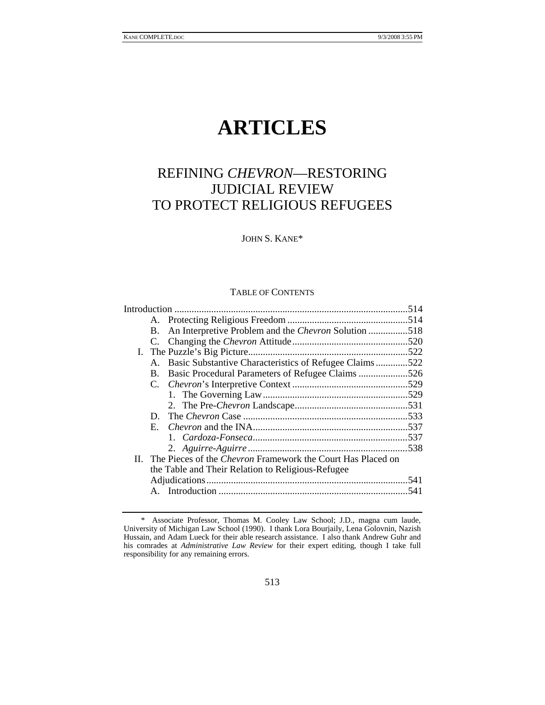# **ARTICLES**

# REFINING *CHEVRON*—RESTORING JUDICIAL REVIEW TO PROTECT RELIGIOUS REFUGEES

JOHN S. KANE\*

#### TABLE OF CONTENTS

|  | В.      | An Interpretive Problem and the <i>Chevron</i> Solution 518     |      |  |
|--|---------|-----------------------------------------------------------------|------|--|
|  |         |                                                                 |      |  |
|  |         |                                                                 |      |  |
|  | $A_{-}$ | Basic Substantive Characteristics of Refugee Claims522          |      |  |
|  | B.      | Basic Procedural Parameters of Refugee Claims 526               |      |  |
|  |         |                                                                 |      |  |
|  |         |                                                                 |      |  |
|  |         |                                                                 |      |  |
|  | D.      |                                                                 |      |  |
|  |         |                                                                 |      |  |
|  |         |                                                                 |      |  |
|  |         |                                                                 |      |  |
|  |         | II. The Pieces of the Chevron Framework the Court Has Placed on |      |  |
|  |         | the Table and Their Relation to Religious-Refugee               |      |  |
|  |         |                                                                 |      |  |
|  |         |                                                                 | .541 |  |
|  |         |                                                                 |      |  |

 <sup>\*</sup> Associate Professor, Thomas M. Cooley Law School; J.D., magna cum laude, University of Michigan Law School (1990). I thank Lora Bourjaily, Lena Golovnin, Nazish Hussain, and Adam Lueck for their able research assistance. I also thank Andrew Guhr and his comrades at *Administrative Law Review* for their expert editing, though I take full responsibility for any remaining errors.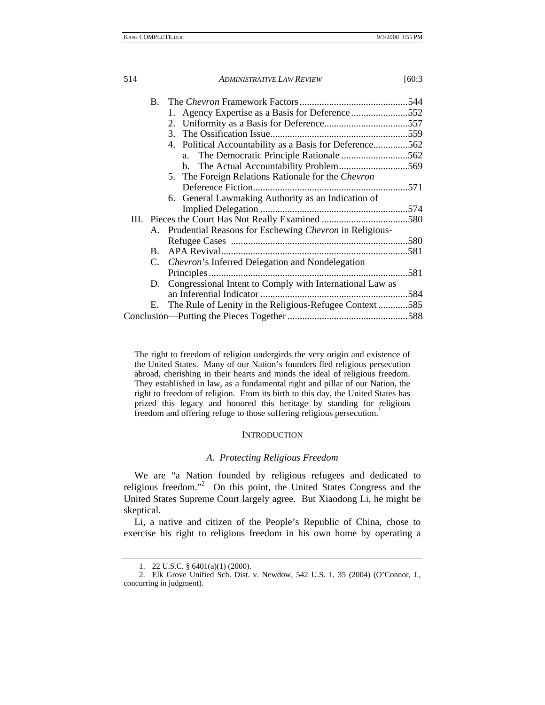| $\mathbf{B}$ . |                                                           |     |
|----------------|-----------------------------------------------------------|-----|
|                | 1. Agency Expertise as a Basis for Deference 552          |     |
|                |                                                           |     |
|                |                                                           |     |
|                | 4. Political Accountability as a Basis for Deference562   |     |
|                | The Democratic Principle Rationale 562<br>a.              |     |
|                |                                                           |     |
|                | 5. The Foreign Relations Rationale for the <i>Chevron</i> |     |
|                |                                                           |     |
|                | 6. General Lawmaking Authority as an Indication of        |     |
|                |                                                           |     |
|                |                                                           |     |
| А.             | Prudential Reasons for Eschewing Chevron in Religious-    |     |
|                |                                                           |     |
| B.             |                                                           |     |
| C.             | <i>Chevron's</i> Inferred Delegation and Nondelegation    |     |
|                |                                                           | 581 |
| D.             | Congressional Intent to Comply with International Law as  |     |
|                |                                                           |     |
| Е.             | The Rule of Lenity in the Religious-Refugee Context585    |     |
|                |                                                           |     |
|                |                                                           |     |

The right to freedom of religion undergirds the very origin and existence of the United States. Many of our Nation's founders fled religious persecution abroad, cherishing in their hearts and minds the ideal of religious freedom. They established in law, as a fundamental right and pillar of our Nation, the right to freedom of religion. From its birth to this day, the United States has prized this legacy and honored this heritage by standing for religious freedom and offering refuge to those suffering religious persecution.<sup>1</sup>

#### **INTRODUCTION**

#### *A. Protecting Religious Freedom*

We are "a Nation founded by religious refugees and dedicated to religious freedom."<sup>2</sup> On this point, the United States Congress and the United States Supreme Court largely agree. But Xiaodong Li, he might be skeptical.

Li, a native and citizen of the People's Republic of China, chose to exercise his right to religious freedom in his own home by operating a

 <sup>1. 22</sup> U.S.C. § 6401(a)(1) (2000).

 <sup>2.</sup> Elk Grove Unified Sch. Dist. v. Newdow, 542 U.S. 1, 35 (2004) (O'Connor, J., concurring in judgment).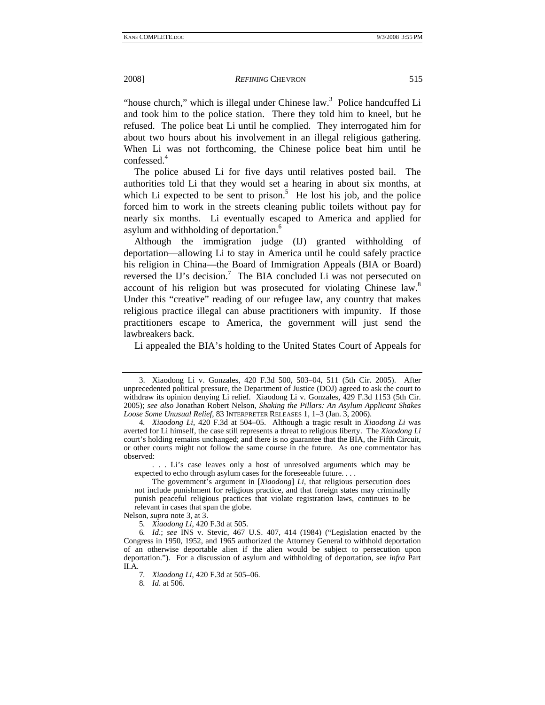"house church," which is illegal under Chinese law.<sup>3</sup> Police handcuffed Li and took him to the police station. There they told him to kneel, but he refused. The police beat Li until he complied. They interrogated him for about two hours about his involvement in an illegal religious gathering. When Li was not forthcoming, the Chinese police beat him until he confessed.<sup>4</sup>

The police abused Li for five days until relatives posted bail. The authorities told Li that they would set a hearing in about six months, at which Li expected to be sent to prison.<sup>5</sup> He lost his job, and the police forced him to work in the streets cleaning public toilets without pay for nearly six months. Li eventually escaped to America and applied for asylum and withholding of deportation.<sup>6</sup>

Although the immigration judge (IJ) granted withholding of deportation—allowing Li to stay in America until he could safely practice his religion in China—the Board of Immigration Appeals (BIA or Board) reversed the IJ's decision.<sup>7</sup> The BIA concluded Li was not persecuted on account of his religion but was prosecuted for violating Chinese law.<sup>8</sup> Under this "creative" reading of our refugee law, any country that makes religious practice illegal can abuse practitioners with impunity. If those practitioners escape to America, the government will just send the lawbreakers back.

Li appealed the BIA's holding to the United States Court of Appeals for

 . . . Li's case leaves only a host of unresolved arguments which may be expected to echo through asylum cases for the foreseeable future. . . .

Nelson, *supra* note 3, at 3.

8*. Id*. at 506.

 <sup>3.</sup> Xiaodong Li v. Gonzales, 420 F.3d 500, 503–04, 511 (5th Cir. 2005). After unprecedented political pressure, the Department of Justice (DOJ) agreed to ask the court to withdraw its opinion denying Li relief. Xiaodong Li v. Gonzales, 429 F.3d 1153 (5th Cir. 2005); *see also* Jonathan Robert Nelson, *Shaking the Pillars: An Asylum Applicant Shakes Loose Some Unusual Relief*, 83 INTERPRETER RELEASES 1, 1–3 (Jan. 3, 2006).

<sup>4</sup>*. Xiaodong Li*, 420 F.3d at 504–05. Although a tragic result in *Xiaodong Li* was averted for Li himself, the case still represents a threat to religious liberty. The *Xiaodong Li*  court's holding remains unchanged; and there is no guarantee that the BIA, the Fifth Circuit, or other courts might not follow the same course in the future. As one commentator has observed:

The government's argument in [*Xiaodong*] *Li*, that religious persecution does not include punishment for religious practice, and that foreign states may criminally punish peaceful religious practices that violate registration laws, continues to be relevant in cases that span the globe.

<sup>5</sup>*. Xiaodong Li*, 420 F.3d at 505.

<sup>6</sup>*. Id*.; *see* INS v. Stevic, 467 U.S. 407, 414 (1984) ("Legislation enacted by the Congress in 1950, 1952, and 1965 authorized the Attorney General to withhold deportation of an otherwise deportable alien if the alien would be subject to persecution upon deportation."). For a discussion of asylum and withholding of deportation, see *infra* Part II.A.

<sup>7</sup>*. Xiaodong Li*, 420 F.3d at 505–06.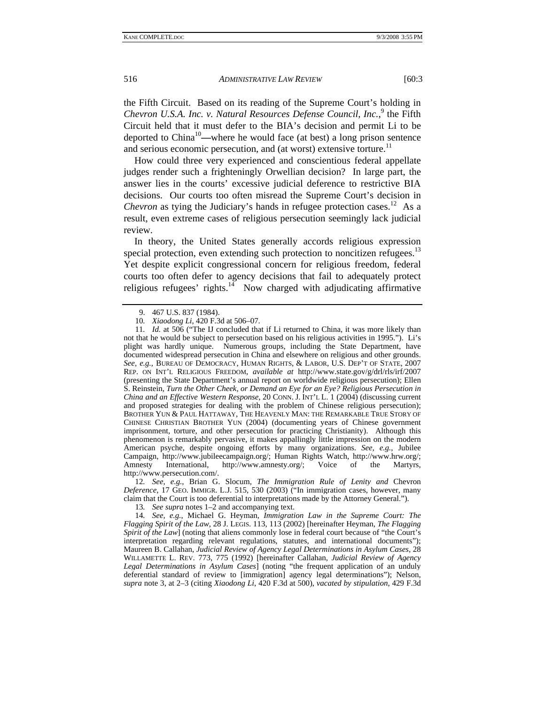the Fifth Circuit. Based on its reading of the Supreme Court's holding in Chevron U.S.A. Inc. v. Natural Resources Defense Council, Inc.,<sup>9</sup> the Fifth Circuit held that it must defer to the BIA's decision and permit Li to be deported to China10**—**where he would face (at best) a long prison sentence and serious economic persecution, and (at worst) extensive torture. $11$ 

How could three very experienced and conscientious federal appellate judges render such a frighteningly Orwellian decision? In large part, the answer lies in the courts' excessive judicial deference to restrictive BIA decisions. Our courts too often misread the Supreme Court's decision in *Chevron* as tying the Judiciary's hands in refugee protection cases.<sup>12</sup> As a result, even extreme cases of religious persecution seemingly lack judicial review.

In theory, the United States generally accords religious expression special protection, even extending such protection to noncitizen refugees.<sup>13</sup> Yet despite explicit congressional concern for religious freedom, federal courts too often defer to agency decisions that fail to adequately protect religious refugees' rights. $14$  Now charged with adjudicating affirmative

11*. Id.* at 506 ("The IJ concluded that if Li returned to China, it was more likely than not that he would be subject to persecution based on his religious activities in 1995."). Li's plight was hardly unique. Numerous groups, including the State Department, have documented widespread persecution in China and elsewhere on religious and other grounds. *See, e.g.*, BUREAU OF DEMOCRACY, HUMAN RIGHTS, & LABOR, U.S. DEP'T OF STATE, 2007 REP. ON INT'L RELIGIOUS FREEDOM, *available at* http://www.state.gov/g/drl/rls/irf/2007 (presenting the State Department's annual report on worldwide religious persecution); Ellen S. Reinstein, *Turn the Other Cheek, or Demand an Eye for an Eye? Religious Persecution in China and an Effective Western Response*, 20 CONN. J. INT'L L. 1 (2004) (discussing current and proposed strategies for dealing with the problem of Chinese religious persecution); BROTHER YUN & PAUL HATTAWAY, THE HEAVENLY MAN: THE REMARKABLE TRUE STORY OF CHINESE CHRISTIAN BROTHER YUN (2004) (documenting years of Chinese government imprisonment, torture, and other persecution for practicing Christianity). Although this phenomenon is remarkably pervasive, it makes appallingly little impression on the modern American psyche, despite ongoing efforts by many organizations. *See, e.g.*, Jubilee Campaign, http://www.jubileecampaign.org/; Human Rights Watch, http://www.hrw.org/; Amnesty International, http://www.amnesty.org/; Voice of the Martyrs, Amnesty International, http://www.amnesty.org/; Voice of the Martyrs, http://www.persecution.com/.

12*. See, e.g.*, Brian G. Slocum, *The Immigration Rule of Lenity and* Chevron *Deference*, 17 GEO. IMMIGR. L.J. 515, 530 (2003) ("In immigration cases, however, many claim that the Court is too deferential to interpretations made by the Attorney General.").

13*. See supra* notes 1–2 and accompanying text.

14*. See, e.g.*, Michael G. Heyman, *Immigration Law in the Supreme Court: The Flagging Spirit of the Law*, 28 J. LEGIS. 113, 113 (2002) [hereinafter Heyman, *The Flagging Spirit of the Law*] (noting that aliens commonly lose in federal court because of "the Court's interpretation regarding relevant regulations, statutes, and international documents"); Maureen B. Callahan, *Judicial Review of Agency Legal Determinations in Asylum Cases*, 28 WILLAMETTE L. REV. 773, 775 (1992) [hereinafter Callahan, *Judicial Review of Agency Legal Determinations in Asylum Cases*] (noting "the frequent application of an unduly deferential standard of review to [immigration] agency legal determinations"); Nelson, *supra* note 3, at 2–3 (citing *Xiaodong Li*, 420 F.3d at 500), *vacated by stipulation*, 429 F.3d

 <sup>9. 467</sup> U.S. 837 (1984).

<sup>10</sup>*. Xiaodong Li*, 420 F.3d at 506–07.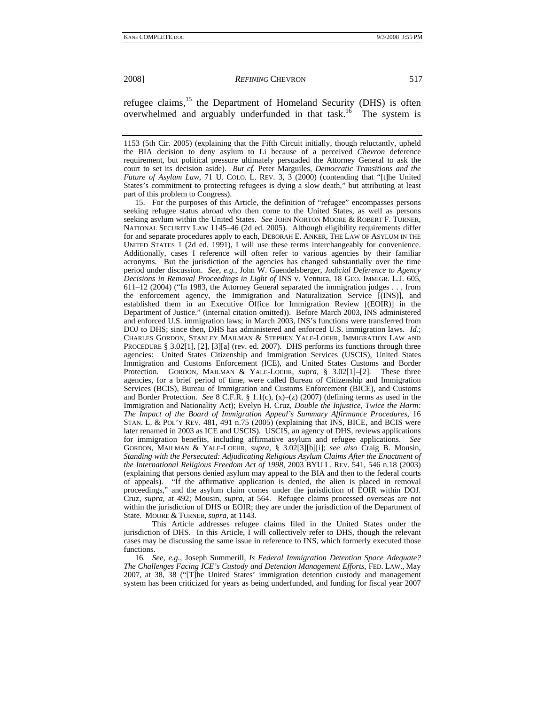refugee claims,<sup>15</sup> the Department of Homeland Security (DHS) is often overwhelmed and arguably underfunded in that task.<sup>16</sup> The system is

 15. For the purposes of this Article, the definition of "refugee" encompasses persons seeking refugee status abroad who then come to the United States, as well as persons seeking asylum within the United States. *See* JOHN NORTON MOORE & ROBERT F. TURNER, NATIONAL SECURITY LAW 1145–46 (2d ed. 2005). Although eligibility requirements differ for and separate procedures apply to each, DEBORAH E. ANKER, THE LAW OF ASYLUM IN THE UNITED STATES 1 (2d ed. 1991), I will use these terms interchangeably for convenience. Additionally, cases I reference will often refer to various agencies by their familiar acronyms. But the jurisdiction of the agencies has changed substantially over the time period under discussion. *See, e.g.*, John W. Guendelsberger, *Judicial Deference to Agency Decisions in Removal Proceedings in Light of* INS v. Ventura, 18 GEO. IMMIGR. L.J. 605, 611–12 (2004) ("In 1983, the Attorney General separated the immigration judges . . . from the enforcement agency, the Immigration and Naturalization Service [(INS)], and established them in an Executive Office for Immigration Review [(EOIR)] in the Department of Justice." (internal citation omitted)). Before March 2003, INS administered and enforced U.S. immigration laws; in March 2003, INS's functions were transferred from DOJ to DHS; since then, DHS has administered and enforced U.S. immigration laws. *Id.*; CHARLES GORDON, STANLEY MAILMAN & STEPHEN YALE-LOEHR, IMMIGRATION LAW AND PROCEDURE § 3.02[1], [2], [3][a] (rev. ed. 2007). DHS performs its functions through three agencies: United States Citizenship and Immigration Services (USCIS), United States Immigration and Customs Enforcement (ICE), and United States Customs and Border Protection. GORDON, MAILMAN & YALE-LOEHR, *supra*, § 3.02[1]-[2]. These three agencies, for a brief period of time, were called Bureau of Citizenship and Immigration Services (BCIS), Bureau of Immigration and Customs Enforcement (BICE), and Customs and Border Protection. *See* 8 C.F.R. § 1.1(c), (x)–(z) (2007) (defining terms as used in the Immigration and Nationality Act); Evelyn H. Cruz, *Double the Injustice, Twice the Harm: The Impact of the Board of Immigration Appeal's Summary Affirmance Procedures*, 16 STAN. L. & POL'Y REV. 481, 491 n.75 (2005) (explaining that INS, BICE, and BCIS were later renamed in 2003 as ICE and USCIS). USCIS, an agency of DHS, reviews applications for immigration benefits, including affirmative asylum and refugee applications. *See* GORDON, MAILMAN & YALE-LOEHR, *supra*, § 3.02[3][b][i]; *see also* Craig B. Mousin, *Standing with the Persecuted: Adjudicating Religious Asylum Claims After the Enactment of the International Religious Freedom Act of 1998*, 2003 BYU L. REV. 541, 546 n.18 (2003) (explaining that persons denied asylum may appeal to the BIA and then to the federal courts of appeals). "If the affirmative application is denied, the alien is placed in removal proceedings," and the asylum claim comes under the jurisdiction of EOIR within DOJ. Cruz, *supra*, at 492; Mousin, *supra*, at 564. Refugee claims processed overseas are not within the jurisdiction of DHS or EOIR; they are under the jurisdiction of the Department of State. MOORE & TURNER, *supra*, at 1143.

 This Article addresses refugee claims filed in the United States under the jurisdiction of DHS. In this Article, I will collectively refer to DHS, though the relevant cases may be discussing the same issue in reference to INS, which formerly executed those functions.

16*. See, e.g.*, Joseph Summerill, *Is Federal Immigration Detention Space Adequate? The Challenges Facing ICE's Custody and Detention Management Efforts*, FED. LAW., May 2007, at 38, 38 ("[T]he United States' immigration detention custody and management system has been criticized for years as being underfunded, and funding for fiscal year 2007

<sup>1153 (5</sup>th Cir. 2005) (explaining that the Fifth Circuit initially, though reluctantly, upheld the BIA decision to deny asylum to Li because of a perceived *Chevron* deference requirement, but political pressure ultimately persuaded the Attorney General to ask the court to set its decision aside). *But cf.* Peter Marguiles, *Democratic Transitions and the Future of Asylum Law*, 71 U. COLO. L. REV. 3, 3 (2000) (contending that "[t]he United States's commitment to protecting refugees is dying a slow death," but attributing at least part of this problem to Congress).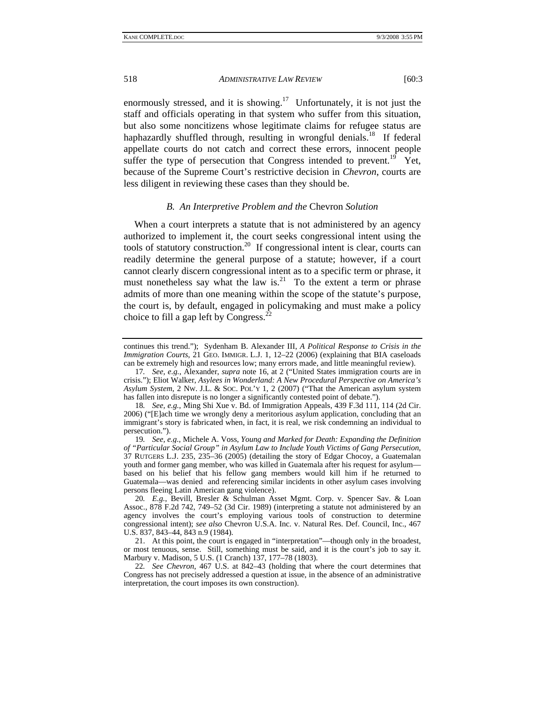enormously stressed, and it is showing.<sup>17</sup> Unfortunately, it is not just the staff and officials operating in that system who suffer from this situation, but also some noncitizens whose legitimate claims for refugee status are haphazardly shuffled through, resulting in wrongful denials.<sup>18</sup> If federal appellate courts do not catch and correct these errors, innocent people suffer the type of persecution that Congress intended to prevent.<sup>19</sup> Yet, because of the Supreme Court's restrictive decision in *Chevron*, courts are less diligent in reviewing these cases than they should be.

#### *B. An Interpretive Problem and the* Chevron *Solution*

When a court interprets a statute that is not administered by an agency authorized to implement it, the court seeks congressional intent using the tools of statutory construction.<sup>20</sup> If congressional intent is clear, courts can readily determine the general purpose of a statute; however, if a court cannot clearly discern congressional intent as to a specific term or phrase, it must nonetheless say what the law is. $^{21}$  To the extent a term or phrase admits of more than one meaning within the scope of the statute's purpose, the court is, by default, engaged in policymaking and must make a policy choice to fill a gap left by Congress.<sup>2</sup>

continues this trend."); Sydenham B. Alexander III, *A Political Response to Crisis in the Immigration Courts*, 21 GEO. IMMIGR. L.J. 1, 12–22 (2006) (explaining that BIA caseloads can be extremely high and resources low; many errors made, and little meaningful review).

<sup>17</sup>*. See, e.g.*, Alexander, *supra* note 16, at 2 ("United States immigration courts are in crisis."); Eliot Walker, *Asylees in Wonderland: A New Procedural Perspective on America's Asylum System*, 2 NW. J.L. & SOC. POL'Y 1, 2 (2007) ("That the American asylum system has fallen into disrepute is no longer a significantly contested point of debate.").

<sup>18</sup>*. See, e.g.*, Ming Shi Xue v. Bd. of Immigration Appeals, 439 F.3d 111, 114 (2d Cir. 2006) ("[E]ach time we wrongly deny a meritorious asylum application, concluding that an immigrant's story is fabricated when, in fact, it is real, we risk condemning an individual to persecution.").

<sup>19</sup>*. See, e.g.*, Michele A. Voss, *Young and Marked for Death: Expanding the Definition of "Particular Social Group" in Asylum Law to Include Youth Victims of Gang Persecution*, 37 RUTGERS L.J. 235, 235–36 (2005) (detailing the story of Edgar Chocoy, a Guatemalan youth and former gang member, who was killed in Guatemala after his request for asylum based on his belief that his fellow gang members would kill him if he returned to Guatemala—was denied and referencing similar incidents in other asylum cases involving persons fleeing Latin American gang violence).

<sup>20</sup>*. E.g.*, Bevill, Bresler & Schulman Asset Mgmt. Corp. v. Spencer Sav. & Loan Assoc., 878 F.2d 742, 749–52 (3d Cir. 1989) (interpreting a statute not administered by an agency involves the court's employing various tools of construction to determine congressional intent); *see also* Chevron U.S.A. Inc. v. Natural Res. Def. Council, Inc., 467 U.S. 837, 843–44, 843 n.9 (1984).

 <sup>21.</sup> At this point, the court is engaged in "interpretation"—though only in the broadest, or most tenuous, sense. Still, something must be said, and it is the court's job to say it. Marbury v. Madison, 5 U.S. (1 Cranch) 137, 177–78 (1803).

<sup>22</sup>*. See Chevron*, 467 U.S. at 842–43 (holding that where the court determines that Congress has not precisely addressed a question at issue, in the absence of an administrative interpretation, the court imposes its own construction).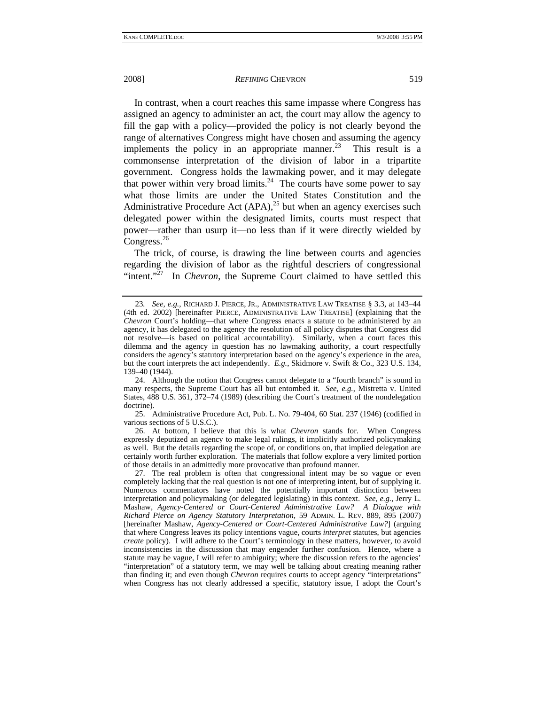In contrast, when a court reaches this same impasse where Congress has assigned an agency to administer an act, the court may allow the agency to fill the gap with a policy—provided the policy is not clearly beyond the range of alternatives Congress might have chosen and assuming the agency implements the policy in an appropriate manner.<sup>23</sup> This result is a commonsense interpretation of the division of labor in a tripartite government. Congress holds the lawmaking power, and it may delegate that power within very broad limits.<sup>24</sup> The courts have some power to say what those limits are under the United States Constitution and the Administrative Procedure Act  $(APA)$ ,<sup>25</sup> but when an agency exercises such delegated power within the designated limits, courts must respect that power—rather than usurp it—no less than if it were directly wielded by Congress.<sup>26</sup>

The trick, of course, is drawing the line between courts and agencies regarding the division of labor as the rightful descriers of congressional "intent."<sup>27</sup> In *Chevron*, the Supreme Court claimed to have settled this

 25. Administrative Procedure Act, Pub. L. No. 79-404, 60 Stat. 237 (1946) (codified in various sections of 5 U.S.C.).

 26. At bottom, I believe that this is what *Chevron* stands for. When Congress expressly deputized an agency to make legal rulings, it implicitly authorized policymaking as well. But the details regarding the scope of, or conditions on, that implied delegation are certainly worth further exploration. The materials that follow explore a very limited portion of those details in an admittedly more provocative than profound manner.

 27. The real problem is often that congressional intent may be so vague or even completely lacking that the real question is not one of interpreting intent, but of supplying it. Numerous commentators have noted the potentially important distinction between interpretation and policymaking (or delegated legislating) in this context. *See, e.g.*, Jerry L. Mashaw, *Agency-Centered or Court-Centered Administrative Law? A Dialogue with Richard Pierce on Agency Statutory Interpretation*, 59 ADMIN. L. REV. 889, 895 (2007) [hereinafter Mashaw, *Agency-Centered or Court-Centered Administrative Law?*] (arguing that where Congress leaves its policy intentions vague, courts *interpret* statutes, but agencies *create* policy). I will adhere to the Court's terminology in these matters, however, to avoid inconsistencies in the discussion that may engender further confusion. Hence, where a statute may be vague, I will refer to ambiguity; where the discussion refers to the agencies' "interpretation" of a statutory term, we may well be talking about creating meaning rather than finding it; and even though *Chevron* requires courts to accept agency "interpretations" when Congress has not clearly addressed a specific, statutory issue, I adopt the Court's

<sup>23</sup>*. See, e.g.*, RICHARD J. PIERCE, JR., ADMINISTRATIVE LAW TREATISE § 3.3, at 143–44 (4th ed. 2002) [hereinafter PIERCE, ADMINISTRATIVE LAW TREATISE] (explaining that the *Chevron* Court's holding—that where Congress enacts a statute to be administered by an agency, it has delegated to the agency the resolution of all policy disputes that Congress did not resolve—is based on political accountability). Similarly, when a court faces this dilemma and the agency in question has no lawmaking authority, a court respectfully considers the agency's statutory interpretation based on the agency's experience in the area, but the court interprets the act independently. *E.g.*, Skidmore v. Swift & Co., 323 U.S. 134, 139–40 (1944).

 <sup>24.</sup> Although the notion that Congress cannot delegate to a "fourth branch" is sound in many respects, the Supreme Court has all but entombed it. *See, e.g.*, Mistretta v. United States, 488 U.S. 361, 372–74 (1989) (describing the Court's treatment of the nondelegation doctrine).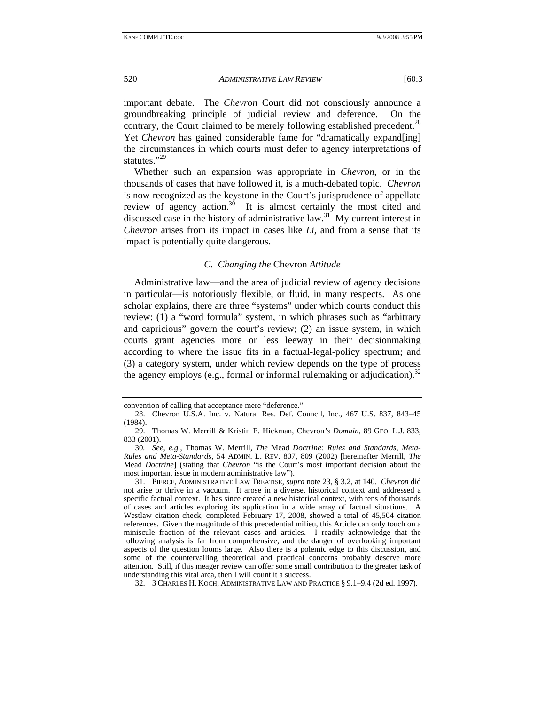important debate. The *Chevron* Court did not consciously announce a groundbreaking principle of judicial review and deference. On the contrary, the Court claimed to be merely following established precedent.<sup>28</sup> Yet *Chevron* has gained considerable fame for "dramatically expand[ing] the circumstances in which courts must defer to agency interpretations of statutes."<sup>29</sup>

Whether such an expansion was appropriate in *Chevron*, or in the thousands of cases that have followed it, is a much-debated topic. *Chevron* is now recognized as the keystone in the Court's jurisprudence of appellate review of agency action.<sup>30</sup> It is almost certainly the most cited and discussed case in the history of administrative law.<sup>31</sup> My current interest in *Chevron* arises from its impact in cases like *Li*, and from a sense that its impact is potentially quite dangerous.

#### *C. Changing the* Chevron *Attitude*

Administrative law—and the area of judicial review of agency decisions in particular—is notoriously flexible, or fluid, in many respects. As one scholar explains, there are three "systems" under which courts conduct this review: (1) a "word formula" system, in which phrases such as "arbitrary and capricious" govern the court's review; (2) an issue system, in which courts grant agencies more or less leeway in their decisionmaking according to where the issue fits in a factual-legal-policy spectrum; and (3) a category system, under which review depends on the type of process the agency employs (e.g., formal or informal rulemaking or adjudication).<sup>32</sup>

convention of calling that acceptance mere "deference."

 <sup>28.</sup> Chevron U.S.A. Inc. v. Natural Res. Def. Council, Inc., 467 U.S. 837, 843–45 (1984).

 <sup>29.</sup> Thomas W. Merrill & Kristin E. Hickman, Chevron*'s Domain*, 89 GEO. L.J. 833, 833 (2001).

<sup>30</sup>*. See, e.g.*, Thomas W. Merrill, *The* Mead *Doctrine: Rules and Standards, Meta-Rules and Meta-Standards*, 54 ADMIN. L. REV. 807, 809 (2002) [hereinafter Merrill, *The* Mead *Doctrine*] (stating that *Chevron* "is the Court's most important decision about the most important issue in modern administrative law").

 <sup>31.</sup> PIERCE, ADMINISTRATIVE LAW TREATISE, *supra* note 23, § 3.2, at 140. *Chevron* did not arise or thrive in a vacuum. It arose in a diverse, historical context and addressed a specific factual context. It has since created a new historical context, with tens of thousands of cases and articles exploring its application in a wide array of factual situations. A Westlaw citation check, completed February 17, 2008, showed a total of 45,504 citation references. Given the magnitude of this precedential milieu, this Article can only touch on a miniscule fraction of the relevant cases and articles. I readily acknowledge that the following analysis is far from comprehensive, and the danger of overlooking important aspects of the question looms large. Also there is a polemic edge to this discussion, and some of the countervailing theoretical and practical concerns probably deserve more attention. Still, if this meager review can offer some small contribution to the greater task of understanding this vital area, then I will count it a success.

 <sup>32. 3</sup> CHARLES H. KOCH, ADMINISTRATIVE LAW AND PRACTICE § 9.1–9.4 (2d ed. 1997).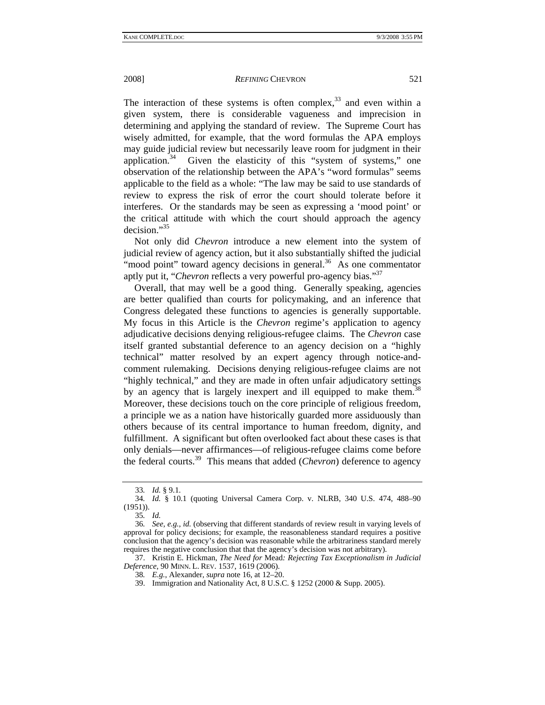The interaction of these systems is often complex,  $33$  and even within a given system, there is considerable vagueness and imprecision in determining and applying the standard of review. The Supreme Court has wisely admitted, for example, that the word formulas the APA employs may guide judicial review but necessarily leave room for judgment in their application.<sup>34</sup> Given the elasticity of this "system of systems," one observation of the relationship between the APA's "word formulas" seems applicable to the field as a whole: "The law may be said to use standards of review to express the risk of error the court should tolerate before it interferes. Or the standards may be seen as expressing a 'mood point' or the critical attitude with which the court should approach the agency decision."35

Not only did *Chevron* introduce a new element into the system of judicial review of agency action, but it also substantially shifted the judicial "mood point" toward agency decisions in general. $36$  As one commentator aptly put it, "*Chevron* reflects a very powerful pro-agency bias."37

Overall, that may well be a good thing. Generally speaking, agencies are better qualified than courts for policymaking, and an inference that Congress delegated these functions to agencies is generally supportable. My focus in this Article is the *Chevron* regime's application to agency adjudicative decisions denying religious-refugee claims. The *Chevron* case itself granted substantial deference to an agency decision on a "highly technical" matter resolved by an expert agency through notice-andcomment rulemaking. Decisions denying religious-refugee claims are not "highly technical," and they are made in often unfair adjudicatory settings by an agency that is largely inexpert and ill equipped to make them.<sup>38</sup> Moreover, these decisions touch on the core principle of religious freedom, a principle we as a nation have historically guarded more assiduously than others because of its central importance to human freedom, dignity, and fulfillment. A significant but often overlooked fact about these cases is that only denials—never affirmances—of religious-refugee claims come before the federal courts.39 This means that added (*Chevron*) deference to agency

35*. Id.*

<sup>33</sup>*. Id.* § 9.1.

<sup>34</sup>*. Id.* § 10.1 (quoting Universal Camera Corp. v. NLRB, 340 U.S. 474, 488–90 (1951)).

<sup>36</sup>*. See, e.g.*, *id.* (observing that different standards of review result in varying levels of approval for policy decisions; for example, the reasonableness standard requires a positive conclusion that the agency's decision was reasonable while the arbitrariness standard merely requires the negative conclusion that that the agency's decision was not arbitrary).

 <sup>37.</sup> Kristin E. Hickman, *The Need for* Mead*: Rejecting Tax Exceptionalism in Judicial Deference*, 90 MINN. L. REV. 1537, 1619 (2006).

<sup>38</sup>*. E.g.*, Alexander, *supra* note 16, at 12–20.

 <sup>39.</sup> Immigration and Nationality Act, 8 U.S.C. § 1252 (2000 & Supp. 2005).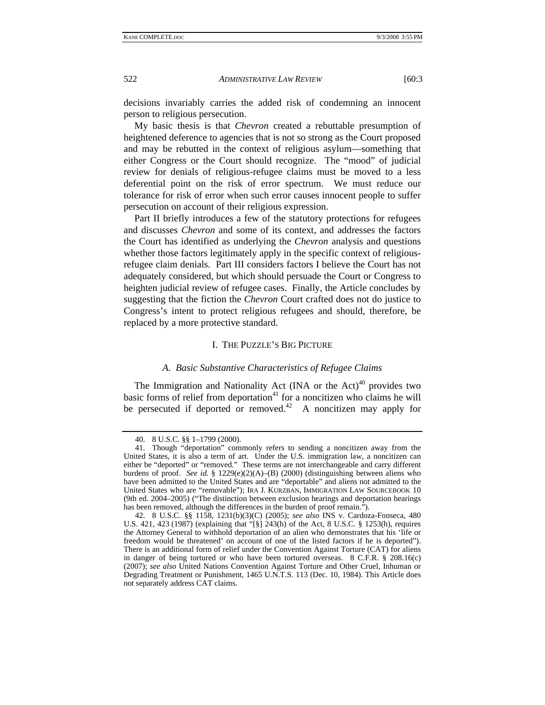decisions invariably carries the added risk of condemning an innocent person to religious persecution.

My basic thesis is that *Chevron* created a rebuttable presumption of heightened deference to agencies that is not so strong as the Court proposed and may be rebutted in the context of religious asylum—something that either Congress or the Court should recognize. The "mood" of judicial review for denials of religious-refugee claims must be moved to a less deferential point on the risk of error spectrum. We must reduce our tolerance for risk of error when such error causes innocent people to suffer persecution on account of their religious expression.

Part II briefly introduces a few of the statutory protections for refugees and discusses *Chevron* and some of its context, and addresses the factors the Court has identified as underlying the *Chevron* analysis and questions whether those factors legitimately apply in the specific context of religiousrefugee claim denials. Part III considers factors I believe the Court has not adequately considered, but which should persuade the Court or Congress to heighten judicial review of refugee cases. Finally, the Article concludes by suggesting that the fiction the *Chevron* Court crafted does not do justice to Congress's intent to protect religious refugees and should, therefore, be replaced by a more protective standard.

#### I. THE PUZZLE'S BIG PICTURE

#### *A. Basic Substantive Characteristics of Refugee Claims*

The Immigration and Nationality Act (INA or the Act) $40$  provides two basic forms of relief from deportation $41$  for a noncitizen who claims he will be persecuted if deported or removed.<sup>42</sup> A noncitizen may apply for

 <sup>40. 8</sup> U.S.C. §§ 1–1799 (2000).

 <sup>41.</sup> Though "deportation" commonly refers to sending a noncitizen away from the United States, it is also a term of art. Under the U.S. immigration law, a noncitizen can either be "deported" or "removed." These terms are not interchangeable and carry different burdens of proof. *See id.* § 1229(e)(2)(A)–(B) (2000) (distinguishing between aliens who have been admitted to the United States and are "deportable" and aliens not admitted to the United States who are "removable"); IRA J. KURZBAN, IMMIGRATION LAW SOURCEBOOK 10 (9th ed. 2004–2005) ("The distinction between exclusion hearings and deportation hearings has been removed, although the differences in the burden of proof remain.").

 <sup>42. 8</sup> U.S.C. §§ 1158, 1231(b)(3)(C) (2005); *see also* INS v. Cardoza-Fonseca, 480 U.S. 421, 423 (1987) (explaining that "[§] 243(h) of the Act, 8 U.S.C. § 1253(h), requires the Attorney General to withhold deportation of an alien who demonstrates that his 'life or freedom would be threatened' on account of one of the listed factors if he is deported"). There is an additional form of relief under the Convention Against Torture (CAT) for aliens in danger of being tortured or who have been tortured overseas. 8 C.F.R. § 208.16(c) (2007); *see also* United Nations Convention Against Torture and Other Cruel, Inhuman or Degrading Treatment or Punishment, 1465 U.N.T.S. 113 (Dec. 10, 1984). This Article does not separately address CAT claims.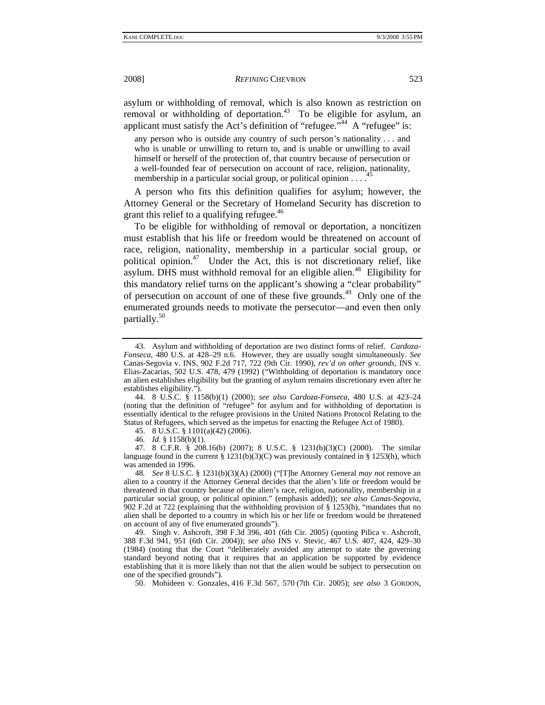asylum or withholding of removal, which is also known as restriction on removal or withholding of deportation.<sup>43</sup> To be eligible for asylum, an applicant must satisfy the Act's definition of "refugee."<sup>44</sup> A "refugee" is:

any person who is outside any country of such person's nationality . . . and who is unable or unwilling to return to, and is unable or unwilling to avail himself or herself of the protection of, that country because of persecution or a well-founded fear of persecution on account of race, religion, nationality, membership in a particular social group, or political opinion  $\dots$ .

A person who fits this definition qualifies for asylum; however, the Attorney General or the Secretary of Homeland Security has discretion to grant this relief to a qualifying refugee. $46$ 

To be eligible for withholding of removal or deportation, a noncitizen must establish that his life or freedom would be threatened on account of race, religion, nationality, membership in a particular social group, or political opinion.<sup>47</sup> Under the Act, this is not discretionary relief, like asylum. DHS must withhold removal for an eligible alien.<sup>48</sup> Eligibility for this mandatory relief turns on the applicant's showing a "clear probability" of persecution on account of one of these five grounds.49 Only one of the enumerated grounds needs to motivate the persecutor—and even then only partially.<sup>50</sup>

 44. 8 U.S.C. § 1158(b)(1) (2000); *see also Cardoza-Fonseca*, 480 U.S. at 423–24 (noting that the definition of "refugee" for asylum and for withholding of deportation is essentially identical to the refugee provisions in the United Nations Protocol Relating to the Status of Refugees, which served as the impetus for enacting the Refugee Act of 1980).

45. 8 U.S.C. § 1101(a)(42) (2006).

46*. Id*. § 1158(b)(1).

 47. 8 C.F.R. § 208.16(b) (2007); 8 U.S.C. § 1231(b)(3)(C) (2000). The similar language found in the current §  $1231(b)(3)(C)$  was previously contained in § 1253(h), which was amended in 1996.

48*. See* 8 U.S.C. § 1231(b)(3)(A) (2000) ("[T]he Attorney General *may not* remove an alien to a country if the Attorney General decides that the alien's life or freedom would be threatened in that country because of the alien's race, religion, nationality, membership in a particular social group, or political opinion." (emphasis added)); *see also Canas-Segovia*, 902 F.2d at 722 (explaining that the withholding provision of § 1253(h), "mandates that no alien shall be deported to a country in which his or her life or freedom would be threatened on account of any of five enumerated grounds").

 49. Singh v. Ashcroft, 398 F.3d 396, 401 (6th Cir. 2005) (quoting Pilica v. Ashcroft, 388 F.3d 941, 951 (6th Cir. 2004)); *see also* INS v. Stevic, 467 U.S. 407, 424, 429–30 (1984) (noting that the Court "deliberately avoided any attempt to state the governing standard beyond noting that it requires that an application be supported by evidence establishing that it is more likely than not that the alien would be subject to persecution on one of the specified grounds").

50. Mohideen v. Gonzales, 416 F.3d 567, 570 (7th Cir. 2005); *see also* 3 GORDON,

 <sup>43.</sup> Asylum and withholding of deportation are two distinct forms of relief. *Cardoza-Fonseca*, 480 U.S. at 428–29 n.6. However, they are usually sought simultaneously. *See*  Canas-Segovia v. INS, 902 F.2d 717, 722 (9th Cir. 1990), *rev'd on other grounds*, INS v. Elias-Zacarias, 502 U.S. 478, 479 (1992) ("Withholding of deportation is mandatory once an alien establishes eligibility but the granting of asylum remains discretionary even after he establishes eligibility.").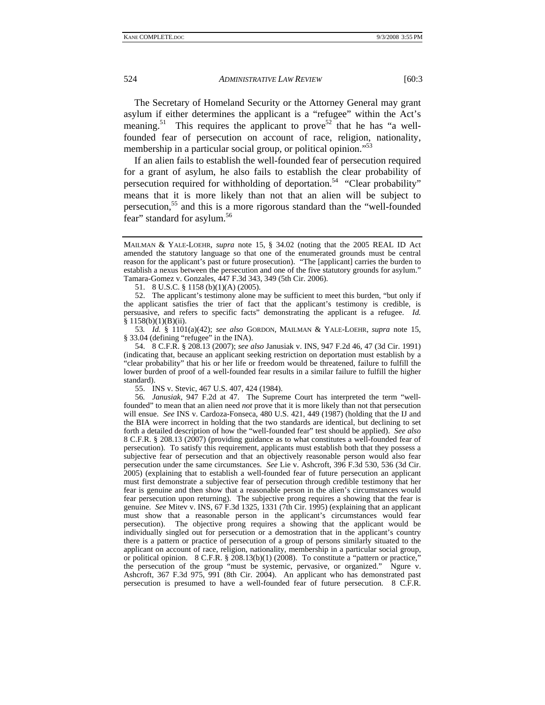The Secretary of Homeland Security or the Attorney General may grant asylum if either determines the applicant is a "refugee" within the Act's meaning.<sup>51</sup> This requires the applicant to prove<sup>52</sup> that he has "a wellfounded fear of persecution on account of race, religion, nationality, membership in a particular social group, or political opinion."<sup>53</sup>

If an alien fails to establish the well-founded fear of persecution required for a grant of asylum, he also fails to establish the clear probability of persecution required for withholding of deportation.<sup>54</sup> "Clear probability" means that it is more likely than not that an alien will be subject to persecution,55 and this is a more rigorous standard than the "well-founded fear" standard for asylum.<sup>56</sup>

51. 8 U.S.C. § 1158 (b)(1)(A) (2005).

 52. The applicant's testimony alone may be sufficient to meet this burden, "but only if the applicant satisfies the trier of fact that the applicant's testimony is credible, is persuasive, and refers to specific facts" demonstrating the applicant is a refugee. *Id.*   $§ 1158(b)(1)(B)(ii).$ 

53*. Id.* § 1101(a)(42); *see also* GORDON, MAILMAN & YALE-LOEHR, *supra* note 15, § 33.04 (defining "refugee" in the INA).

 54. 8 C.F.R. § 208.13 (2007); *see also* Janusiak v. INS, 947 F.2d 46, 47 (3d Cir. 1991) (indicating that, because an applicant seeking restriction on deportation must establish by a "clear probability" that his or her life or freedom would be threatened, failure to fulfill the lower burden of proof of a well-founded fear results in a similar failure to fulfill the higher standard).

55. INS v. Stevic, 467 U.S. 407, 424 (1984).

56*. Janusiak*, 947 F.2d at 47. The Supreme Court has interpreted the term "wellfounded" to mean that an alien need *not* prove that it is more likely than not that persecution will ensue. *See* INS v. Cardoza-Fonseca, 480 U.S. 421, 449 (1987) (holding that the IJ and the BIA were incorrect in holding that the two standards are identical, but declining to set forth a detailed description of how the "well-founded fear" test should be applied). *See also*  8 C.F.R. § 208.13 (2007) (providing guidance as to what constitutes a well-founded fear of persecution). To satisfy this requirement, applicants must establish both that they possess a subjective fear of persecution and that an objectively reasonable person would also fear persecution under the same circumstances. *See* Lie v. Ashcroft, 396 F.3d 530, 536 (3d Cir. 2005) (explaining that to establish a well-founded fear of future persecution an applicant must first demonstrate a subjective fear of persecution through credible testimony that her fear is genuine and then show that a reasonable person in the alien's circumstances would fear persecution upon returning). The subjective prong requires a showing that the fear is genuine. *See* Mitev v. INS, 67 F.3d 1325, 1331 (7th Cir. 1995) (explaining that an applicant must show that a reasonable person in the applicant's circumstances would fear persecution). The objective prong requires a showing that the applicant would be individually singled out for persecution or a demostration that in the applicant's country there is a pattern or practice of persecution of a group of persons similarly situated to the applicant on account of race, religion, nationality, membership in a particular social group, or political opinion. 8 C.F.R. § 208.13(b)(1) (2008). To constitute a "pattern or practice," the persecution of the group "must be systemic, pervasive, or organized." Ngure v. Ashcroft, 367 F.3d 975, 991 (8th Cir. 2004). An applicant who has demonstrated past persecution is presumed to have a well-founded fear of future persecution. 8 C.F.R.

MAILMAN & YALE-LOEHR, *supra* note 15, § 34.02 (noting that the 2005 REAL ID Act amended the statutory language so that one of the enumerated grounds must be central reason for the applicant's past or future prosecution). "The [applicant] carries the burden to establish a nexus between the persecution and one of the five statutory grounds for asylum." Tamara-Gomez v. Gonzales, 447 F.3d 343, 349 (5th Cir. 2006).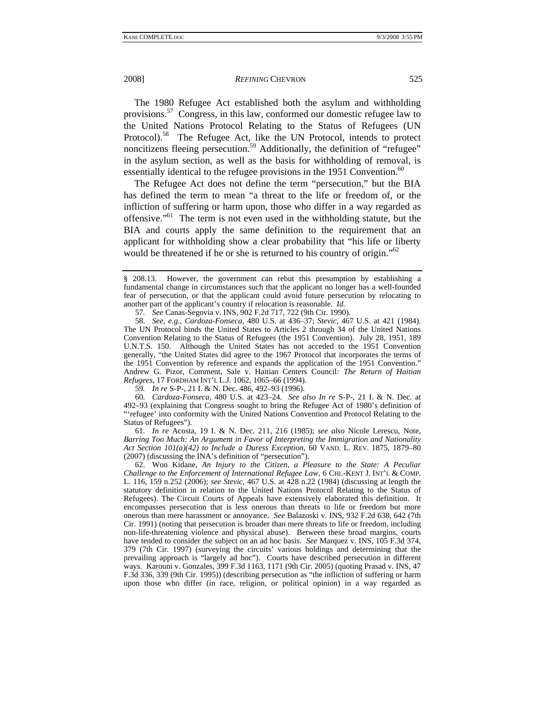The 1980 Refugee Act established both the asylum and withholding provisions.57 Congress, in this law, conformed our domestic refugee law to the United Nations Protocol Relating to the Status of Refugees (UN Protocol).<sup>58</sup> The Refugee Act, like the UN Protocol, intends to protect noncitizens fleeing persecution.<sup>59</sup> Additionally, the definition of "refugee" in the asylum section, as well as the basis for withholding of removal, is essentially identical to the refugee provisions in the 1951 Convention.<sup>60</sup>

The Refugee Act does not define the term "persecution," but the BIA has defined the term to mean "a threat to the life or freedom of, or the infliction of suffering or harm upon, those who differ in a way regarded as offensive."61 The term is not even used in the withholding statute, but the BIA and courts apply the same definition to the requirement that an applicant for withholding show a clear probability that "his life or liberty would be threatened if he or she is returned to his country of origin."<sup>62</sup>

57*. See* Canas-Segovia v. INS, 902 F.2d 717, 722 (9th Cir. 1990).

59*. In re* S-P-, 21 I. & N. Dec. 486, 492–93 (1996).

60*. Cardoza-Fonseca*, 480 U.S. at 423–24. *See also In re* S-P-, 21 I. & N. Dec. at 492–93 (explaining that Congress sought to bring the Refugee Act of 1980's definition of "'refugee' into conformity with the United Nations Convention and Protocol Relating to the Status of Refugees").

61*. In re* Acosta, 19 I. & N. Dec. 211, 216 (1985); *see also* Nicole Lerescu, Note, *Barring Too Much: An Argument in Favor of Interpreting the Immigration and Nationality Act Section 101(a)(42) to Include a Duress Exception*, 60 VAND. L. REV. 1875, 1879–80 (2007) (discussing the INA's definition of "persecution").

 62. Won Kidane, *An Injury to the Citizen, a Pleasure to the State: A Peculiar Challenge to the Enforcement of International Refugee Law*, 6 CHI.-KENT J. INT'L & COMP. L. 116, 159 n.252 (2006); *see Stevic*, 467 U.S. at 428 n.22 (1984) (discussing at length the statutory definition in relation to the United Nations Protocol Relating to the Status of Refugees). The Circuit Courts of Appeals have extensively elaborated this definition. It encompasses persecution that is less onerous than threats to life or freedom but more onerous than mere harassment or annoyance. *See* Balazoski v. INS, 932 F.2d 638, 642 (7th Cir. 1991) (noting that persecution is broader than mere threats to life or freedom, including non-life-threatening violence and physical abuse). Between these broad margins, courts have tended to consider the subject on an ad hoc basis. *See* Marquez v. INS, 105 F.3d 374, 379 (7th Cir. 1997) (surveying the circuits' various holdings and determining that the prevailing approach is "largely ad hoc"). Courts have described persecution in different ways. Karouni v. Gonzales, 399 F.3d 1163, 1171 (9th Cir. 2005) (quoting Prasad v. INS, 47 F.3d 336, 339 (9th Cir. 1995)) (describing persecution as "the infliction of suffering or harm upon those who differ (in race, religion, or political opinion) in a way regarded as

<sup>§ 208.13.</sup> However, the government can rebut this presumption by establishing a fundamental change in circumstances such that the applicant no longer has a well-founded fear of persecution, or that the applicant could avoid future persecution by relocating to another part of the applicant's country if relocation is reasonable. *Id.*

 <sup>58.</sup> *See, e.g.*, *Cardoza-Fonseca*, 480 U.S. at 436–37; *Stevic*, 467 U.S. at 421 (1984). The UN Protocol binds the United States to Articles 2 through 34 of the United Nations Convention Relating to the Status of Refugees (the 1951 Convention). July 28, 1951, 189 U.N.T.S. 150. Although the United States has not acceded to the 1951 Convention generally, "the United States did agree to the 1967 Protocol that incorporates the terms of the 1951 Convention by reference and expands the application of the 1951 Convention." Andrew G. Pizor, Comment, Sale v. Haitian Centers Council*: The Return of Haitian Refugees*, 17 FORDHAM INT'L L.J. 1062, 1065–66 (1994).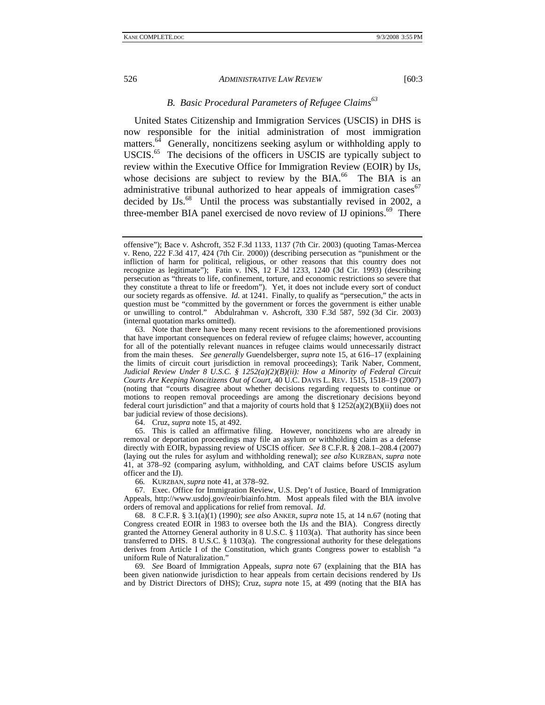# *B. Basic Procedural Parameters of Refugee Claims63*

United States Citizenship and Immigration Services (USCIS) in DHS is now responsible for the initial administration of most immigration matters. $64$  Generally, noncitizens seeking asylum or withholding apply to USCIS.<sup>65</sup> The decisions of the officers in USCIS are typically subject to review within the Executive Office for Immigration Review (EOIR) by IJs, whose decisions are subject to review by the BIA. $^{66}$  The BIA is an administrative tribunal authorized to hear appeals of immigration cases  $67$ decided by IJs.<sup>68</sup> Until the process was substantially revised in 2002, a three-member BIA panel exercised de novo review of IJ opinions.<sup>69</sup> There

64. Cruz, *supra* note 15, at 492.

 65. This is called an affirmative filing. However, noncitizens who are already in removal or deportation proceedings may file an asylum or withholding claim as a defense directly with EOIR, bypassing review of USCIS officer. *See* 8 C.F.R. § 208.1–208.4 (2007) (laying out the rules for asylum and withholding renewal); *see also* KURZBAN, *supra* note 41, at 378–92 (comparing asylum, withholding, and CAT claims before USCIS asylum officer and the IJ).

66*.* KURZBAN, *supra* note 41, at 378–92.

 67. Exec. Office for Immigration Review, U.S. Dep't of Justice, Board of Immigration Appeals, http://www.usdoj.gov/eoir/biainfo.htm. Most appeals filed with the BIA involve orders of removal and applications for relief from removal. *Id*.

 68. 8 C.F.R. § 3.1(a)(1) (1990); *see also* ANKER, *supra* note 15, at 14 n.67 (noting that Congress created EOIR in 1983 to oversee both the IJs and the BIA). Congress directly granted the Attorney General authority in 8 U.S.C. § 1103(a). That authority has since been transferred to DHS. 8 U.S.C. § 1103(a). The congressional authority for these delegations derives from Article I of the Constitution, which grants Congress power to establish "a uniform Rule of Naturalization."

69*. See* Board of Immigration Appeals, *supra* note 67 (explaining that the BIA has been given nationwide jurisdiction to hear appeals from certain decisions rendered by IJs and by District Directors of DHS); Cruz, *supra* note 15, at 499 (noting that the BIA has

offensive"); Bace v. Ashcroft, 352 F.3d 1133, 1137 (7th Cir. 2003) (quoting Tamas-Mercea v. Reno, 222 F.3d 417, 424 (7th Cir. 2000)) (describing persecution as "punishment or the infliction of harm for political, religious, or other reasons that this country does not recognize as legitimate"); Fatin v. INS, 12 F.3d 1233, 1240 (3d Cir. 1993) (describing persecution as "threats to life, confinement, torture, and economic restrictions so severe that they constitute a threat to life or freedom"). Yet, it does not include every sort of conduct our society regards as offensive. *Id.* at 1241. Finally, to qualify as "persecution," the acts in question must be "committed by the government or forces the government is either unable or unwilling to control." Abdulrahman v. Ashcroft, 330 F.3d 587, 592 (3d Cir. 2003) (internal quotation marks omitted).

 <sup>63.</sup> Note that there have been many recent revisions to the aforementioned provisions that have important consequences on federal review of refugee claims; however, accounting for all of the potentially relevant nuances in refugee claims would unnecessarily distract from the main theses. *See generally* Guendelsberger, *supra* note 15, at 616–17 (explaining the limits of circuit court jurisdiction in removal proceedings); Tarik Naber, Comment, *Judicial Review Under 8 U.S.C. § 1252(a)(2)(B)(ii): How a Minority of Federal Circuit Courts Are Keeping Noncitizens Out of Court*, 40 U.C. DAVIS L. REV. 1515, 1518–19 (2007) (noting that "courts disagree about whether decisions regarding requests to continue or motions to reopen removal proceedings are among the discretionary decisions beyond federal court jurisdiction" and that a majority of courts hold that  $\S 1252(a)(2)(B)(ii)$  does not bar judicial review of those decisions).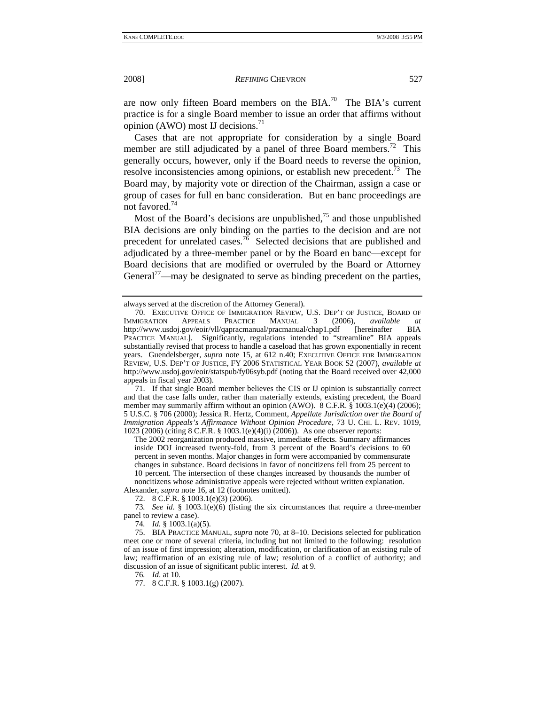are now only fifteen Board members on the BIA.<sup>70</sup> The BIA's current practice is for a single Board member to issue an order that affirms without opinion (AWO) most IJ decisions. $^{71}$ 

Cases that are not appropriate for consideration by a single Board member are still adjudicated by a panel of three Board members.<sup>72</sup> This generally occurs, however, only if the Board needs to reverse the opinion, resolve inconsistencies among opinions, or establish new precedent. $\frac{73}{12}$  The Board may, by majority vote or direction of the Chairman, assign a case or group of cases for full en banc consideration. But en banc proceedings are not favored.<sup>74</sup>

Most of the Board's decisions are unpublished, $^{75}$  and those unpublished BIA decisions are only binding on the parties to the decision and are not precedent for unrelated cases.<sup>76</sup> Selected decisions that are published and adjudicated by a three-member panel or by the Board en banc—except for Board decisions that are modified or overruled by the Board or Attorney General<sup>77</sup>—may be designated to serve as binding precedent on the parties,

 71. If that single Board member believes the CIS or IJ opinion is substantially correct and that the case falls under, rather than materially extends, existing precedent, the Board member may summarily affirm without an opinion (AWO). 8 C.F.R. § 1003.1(e)(4) (2006); 5 U.S.C. § 706 (2000); Jessica R. Hertz, Comment, *Appellate Jurisdiction over the Board of Immigration Appeals's Affirmance Without Opinion Procedure*, 73 U. CHI. L. REV. 1019, 1023 (2006) (citing 8 C.F.R. § 1003.1(e)(4)(i) (2006)). As one observer reports:

The 2002 reorganization produced massive, immediate effects. Summary affirmances inside DOJ increased twenty-fold, from 3 percent of the Board's decisions to 60 percent in seven months. Major changes in form were accompanied by commensurate changes in substance. Board decisions in favor of noncitizens fell from 25 percent to 10 percent. The intersection of these changes increased by thousands the number of noncitizens whose administrative appeals were rejected without written explanation. Alexander, *supra* note 16, at 12 (footnotes omitted).

72. 8 C.F.R. § 1003.1(e)(3) (2006).

73*. See id*. § 1003.1(e)(6) (listing the six circumstances that require a three-member panel to review a case).

74*. Id.* § 1003.1(a)(5).

 75. BIA PRACTICE MANUAL, *supra* note 70, at 8–10. Decisions selected for publication meet one or more of several criteria, including but not limited to the following: resolution of an issue of first impression; alteration, modification, or clarification of an existing rule of law; reaffirmation of an existing rule of law; resolution of a conflict of authority; and discussion of an issue of significant public interest. *Id.* at 9.

76*. Id*. at 10.

77. 8 C.F.R. § 1003.1(g) (2007).

always served at the discretion of the Attorney General).

 <sup>70.</sup> EXECUTIVE OFFICE OF IMMIGRATION REVIEW, U.S. DEP'T OF JUSTICE, BOARD OF IMMIGRATION APPEALS PRACTICE MANUAL 3 (2006), *available at* http://www.usdoj.gov/eoir/vll/qapracmanual/pracmanual/chap1.pdf [hereinafter BIA PRACTICE MANUAL]. Significantly, regulations intended to "streamline" BIA appeals substantially revised that process to handle a caseload that has grown exponentially in recent years. Guendelsberger, *supra* note 15, at 612 n.40; EXECUTIVE OFFICE FOR IMMIGRATION REVIEW, U.S. DEP'T OF JUSTICE, FY 2006 STATISTICAL YEAR BOOK S2 (2007), *available at* http://www.usdoj.gov/eoir/statspub/fy06syb.pdf (noting that the Board received over 42,000 appeals in fiscal year 2003).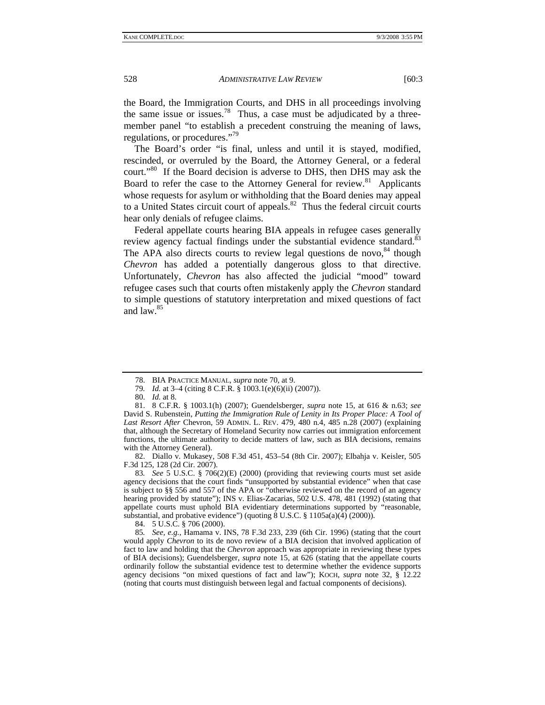the Board, the Immigration Courts, and DHS in all proceedings involving the same issue or issues.<sup>78</sup> Thus, a case must be adjudicated by a threemember panel "to establish a precedent construing the meaning of laws, regulations, or procedures."79

The Board's order "is final, unless and until it is stayed, modified, rescinded, or overruled by the Board, the Attorney General, or a federal court."80 If the Board decision is adverse to DHS, then DHS may ask the Board to refer the case to the Attorney General for review.<sup>81</sup> Applicants whose requests for asylum or withholding that the Board denies may appeal to a United States circuit court of appeals. $82$  Thus the federal circuit courts hear only denials of refugee claims.

Federal appellate courts hearing BIA appeals in refugee cases generally review agency factual findings under the substantial evidence standard.<sup>83</sup> The APA also directs courts to review legal questions de novo, $84$  though *Chevron* has added a potentially dangerous gloss to that directive. Unfortunately, *Chevron* has also affected the judicial "mood" toward refugee cases such that courts often mistakenly apply the *Chevron* standard to simple questions of statutory interpretation and mixed questions of fact and law.85

 82. Diallo v. Mukasey, 508 F.3d 451, 453–54 (8th Cir. 2007); Elbahja v. Keisler, 505 F.3d 125, 128 (2d Cir. 2007).

83*. See* 5 U.S.C. § 706(2)(E) (2000) (providing that reviewing courts must set aside agency decisions that the court finds "unsupported by substantial evidence" when that case is subject to §§ 556 and 557 of the APA or "otherwise reviewed on the record of an agency hearing provided by statute"); INS v. Elias-Zacarias, 502 U.S. 478, 481 (1992) (stating that appellate courts must uphold BIA evidentiary determinations supported by "reasonable, substantial, and probative evidence") (quoting  $\frac{8 \text{ U.S.C. } }{3}$  1105a(a)(4) (2000)).

84. 5 U.S.C. § 706 (2000).

85*. See, e.g.*, Hamama v. INS, 78 F.3d 233, 239 (6th Cir. 1996) (stating that the court would apply *Chevron* to its de novo review of a BIA decision that involved application of fact to law and holding that the *Chevron* approach was appropriate in reviewing these types of BIA decisions); Guendelsberger, *supra* note 15, at 626 (stating that the appellate courts ordinarily follow the substantial evidence test to determine whether the evidence supports agency decisions "on mixed questions of fact and law"); KOCH, *supra* note 32, § 12.22 (noting that courts must distinguish between legal and factual components of decisions).

 <sup>78.</sup> BIA PRACTICE MANUAL, *supra* note 70, at 9.

<sup>79</sup>*. Id.* at 3–4 (citing 8 C.F.R. § 1003.1(e)(6)(ii) (2007)).

 <sup>80.</sup> *Id.* at 8.

 <sup>81. 8</sup> C.F.R. § 1003.1(h) (2007); Guendelsberger, *supra* note 15, at 616 & n.63; *see* David S. Rubenstein, *Putting the Immigration Rule of Lenity in Its Proper Place: A Tool of Last Resort After* Chevron, 59 ADMIN. L. REV. 479, 480 n.4, 485 n.28 (2007) (explaining that, although the Secretary of Homeland Security now carries out immigration enforcement functions, the ultimate authority to decide matters of law, such as BIA decisions, remains with the Attorney General).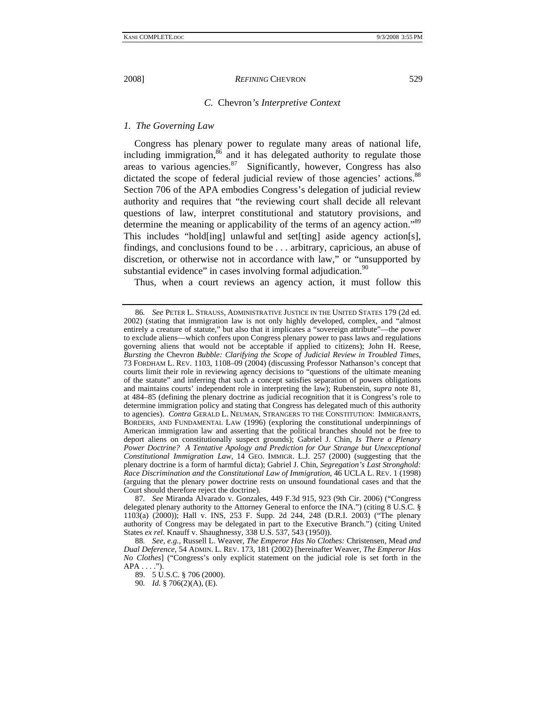#### *C.* Chevron*'s Interpretive Context*

#### *1. The Governing Law*

Congress has plenary power to regulate many areas of national life, including immigration, $86$  and it has delegated authority to regulate those areas to various agencies. $87$  Significantly, however, Congress has also dictated the scope of federal judicial review of those agencies' actions.<sup>88</sup> Section 706 of the APA embodies Congress's delegation of judicial review authority and requires that "the reviewing court shall decide all relevant questions of law, interpret constitutional and statutory provisions, and determine the meaning or applicability of the terms of an agency action."<sup>89</sup> This includes "hold[ing] unlawful and set[ting] aside agency action[s], findings, and conclusions found to be . . . arbitrary, capricious, an abuse of discretion, or otherwise not in accordance with law," or "unsupported by substantial evidence" in cases involving formal adjudication.<sup>90</sup>

Thus, when a court reviews an agency action, it must follow this

87*. See* Miranda Alvarado v. Gonzales, 449 F.3d 915, 923 (9th Cir. 2006) ("Congress delegated plenary authority to the Attorney General to enforce the INA.") (citing 8 U.S.C. § 1103(a) (2000)); Hall v. INS, 253 F. Supp. 2d 244, 248 (D.R.I. 2003) ("The plenary authority of Congress may be delegated in part to the Executive Branch.") (citing United States *ex rel.* Knauff v. Shaughnessy, 338 U.S. 537, 543 (1950)).

90*. Id.* § 706(2)(A), (E).

<sup>86</sup>*. See* PETER L. STRAUSS, ADMINISTRATIVE JUSTICE IN THE UNITED STATES 179 (2d ed. 2002) (stating that immigration law is not only highly developed, complex, and "almost entirely a creature of statute," but also that it implicates a "sovereign attribute"—the power to exclude aliens—which confers upon Congress plenary power to pass laws and regulations governing aliens that would not be acceptable if applied to citizens); John H. Reese, *Bursting the* Chevron *Bubble: Clarifying the Scope of Judicial Review in Troubled Times*, 73 FORDHAM L. REV. 1103, 1108–09 (2004) (discussing Professor Nathanson's concept that courts limit their role in reviewing agency decisions to "questions of the ultimate meaning of the statute" and inferring that such a concept satisfies separation of powers obligations and maintains courts' independent role in interpreting the law); Rubenstein, *supra* note 81, at 484–85 (defining the plenary doctrine as judicial recognition that it is Congress's role to determine immigration policy and stating that Congress has delegated much of this authority to agencies). *Contra* GERALD L. NEUMAN, STRANGERS TO THE CONSTITUTION: IMMIGRANTS, BORDERS, AND FUNDAMENTAL LAW (1996) (exploring the constitutional underpinnings of American immigration law and asserting that the political branches should not be free to deport aliens on constitutionally suspect grounds); Gabriel J. Chin, *Is There a Plenary Power Doctrine? A Tentative Apology and Prediction for Our Strange but Unexceptional Constitutional Immigration Law*, 14 GEO. IMMIGR. L.J. 257 (2000) (suggesting that the plenary doctrine is a form of harmful dicta); Gabriel J. Chin, *Segregation's Last Stronghold: Race Discrimination and the Constitutional Law of Immigration*, 46 UCLA L. REV. 1 (1998) (arguing that the plenary power doctrine rests on unsound foundational cases and that the Court should therefore reject the doctrine).

<sup>88</sup>*. See, e.g.*, Russell L. Weaver, *The Emperor Has No Clothes:* Christensen*,* Mead *and Dual Deference*, 54 ADMIN. L. REV. 173, 181 (2002) [hereinafter Weaver, *The Emperor Has No Clothes*] ("Congress's only explicit statement on the judicial role is set forth in the  $APA \ldots$ .").

 <sup>89. 5</sup> U.S.C. § 706 (2000).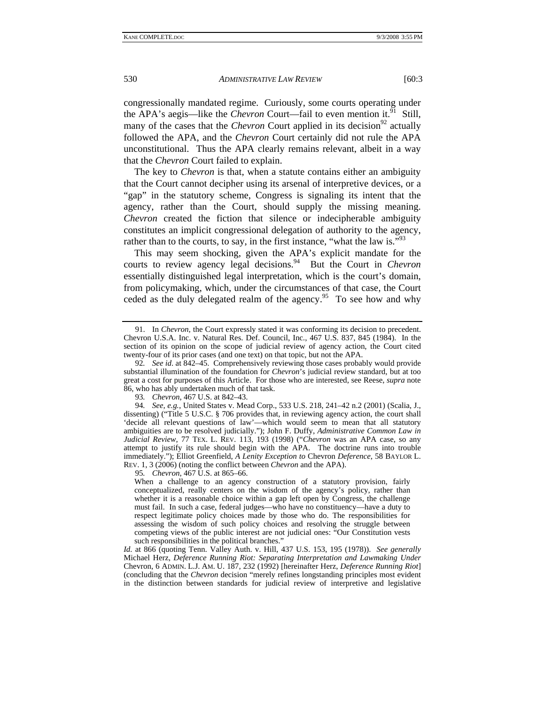congressionally mandated regime. Curiously, some courts operating under the APA's aegis—like the *Chevron* Court—fail to even mention it.<sup>91</sup> Still, many of the cases that the *Chevron* Court applied in its decision<sup>92</sup> actually followed the APA, and the *Chevron* Court certainly did not rule the APA unconstitutional. Thus the APA clearly remains relevant, albeit in a way that the *Chevron* Court failed to explain.

The key to *Chevron* is that, when a statute contains either an ambiguity that the Court cannot decipher using its arsenal of interpretive devices, or a "gap" in the statutory scheme, Congress is signaling its intent that the agency, rather than the Court, should supply the missing meaning. *Chevron* created the fiction that silence or indecipherable ambiguity constitutes an implicit congressional delegation of authority to the agency, rather than to the courts, to say, in the first instance, "what the law is."<sup>93</sup>

This may seem shocking, given the APA's explicit mandate for the courts to review agency legal decisions.<sup>94</sup> But the Court in *Chevron* essentially distinguished legal interpretation, which is the court's domain, from policymaking, which, under the circumstances of that case, the Court ceded as the duly delegated realm of the agency.<sup>95</sup> To see how and why

95*. Chevron*, 467 U.S. at 865–66.

When a challenge to an agency construction of a statutory provision, fairly conceptualized, really centers on the wisdom of the agency's policy, rather than whether it is a reasonable choice within a gap left open by Congress, the challenge must fail. In such a case, federal judges—who have no constituency—have a duty to respect legitimate policy choices made by those who do. The responsibilities for assessing the wisdom of such policy choices and resolving the struggle between competing views of the public interest are not judicial ones: "Our Constitution vests such responsibilities in the political branches.'

 <sup>91.</sup> In *Chevron*, the Court expressly stated it was conforming its decision to precedent. Chevron U.S.A. Inc. v. Natural Res. Def. Council, Inc., 467 U.S. 837, 845 (1984). In the section of its opinion on the scope of judicial review of agency action, the Court cited twenty-four of its prior cases (and one text) on that topic, but not the APA.

<sup>92</sup>*. See id*. at 842–45. Comprehensively reviewing those cases probably would provide substantial illumination of the foundation for *Chevron*'s judicial review standard, but at too great a cost for purposes of this Article. For those who are interested, see Reese, *supra* note 86, who has ably undertaken much of that task.

<sup>93</sup>*. Chevron*, 467 U.S. at 842–43.

<sup>94</sup>*. See, e.g.*, United States v. Mead Corp., 533 U.S. 218, 241–42 n.2 (2001) (Scalia, J., dissenting) ("Title 5 U.S.C. § 706 provides that, in reviewing agency action, the court shall 'decide all relevant questions of law'—which would seem to mean that all statutory ambiguities are to be resolved judicially."); John F. Duffy, *Administrative Common Law in Judicial Review*, 77 TEX. L. REV. 113, 193 (1998) ("*Chevron* was an APA case, so any attempt to justify its rule should begin with the APA. The doctrine runs into trouble immediately."); Elliot Greenfield, *A Lenity Exception to* Chevron *Deference*, 58 BAYLOR L. REV. 1, 3 (2006) (noting the conflict between *Chevron* and the APA).

*Id.* at 866 (quoting Tenn. Valley Auth. v. Hill, 437 U.S. 153, 195 (1978)). *See generally* Michael Herz, *Deference Running Riot: Separating Interpretation and Lawmaking Under* Chevron, 6 ADMIN. L.J. AM. U. 187, 232 (1992) [hereinafter Herz, *Deference Running Riot*] (concluding that the *Chevron* decision "merely refines longstanding principles most evident in the distinction between standards for judicial review of interpretive and legislative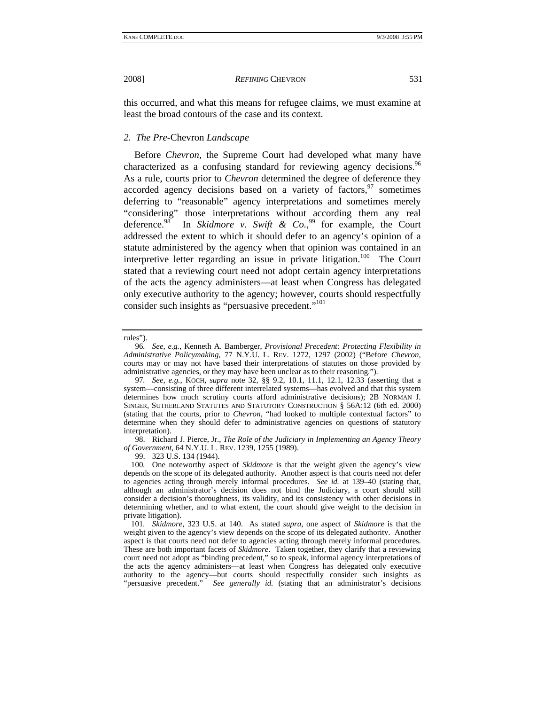this occurred, and what this means for refugee claims, we must examine at least the broad contours of the case and its context.

#### *2. The Pre-*Chevron *Landscape*

 Before *Chevron*, the Supreme Court had developed what many have characterized as a confusing standard for reviewing agency decisions.<sup>96</sup> As a rule, courts prior to *Chevron* determined the degree of deference they accorded agency decisions based on a variety of factors,  $97$  sometimes deferring to "reasonable" agency interpretations and sometimes merely "considering" those interpretations without according them any real deference.<sup>98</sup> In *Skidmore v. Swift & Co.*<sup>99</sup> for example, the Court addressed the extent to which it should defer to an agency's opinion of a statute administered by the agency when that opinion was contained in an interpretive letter regarding an issue in private litigation.100 The Court stated that a reviewing court need not adopt certain agency interpretations of the acts the agency administers—at least when Congress has delegated only executive authority to the agency; however, courts should respectfully consider such insights as "persuasive precedent."<sup>101</sup>

 98. Richard J. Pierce, Jr., *The Role of the Judiciary in Implementing an Agency Theory of Government*, 64 N.Y.U. L. REV. 1239, 1255 (1989).

99. 323 U.S. 134 (1944).

rules").

<sup>96</sup>*. See, e.g.*, Kenneth A. Bamberger, *Provisional Precedent: Protecting Flexibility in Administrative Policymaking*, 77 N.Y.U. L. REV. 1272, 1297 (2002) ("Before *Chevron*, courts may or may not have based their interpretations of statutes on those provided by administrative agencies, or they may have been unclear as to their reasoning.").

<sup>97</sup>*. See, e.g.*, KOCH, *supra* note 32, §§ 9.2, 10.1, 11.1, 12.1, 12.33 (asserting that a system—consisting of three different interrelated systems—has evolved and that this system determines how much scrutiny courts afford administrative decisions); 2B NORMAN J. SINGER, SUTHERLAND STATUTES AND STATUTORY CONSTRUCTION § 56A:12 (6th ed. 2000) (stating that the courts, prior to *Chevron*, "had looked to multiple contextual factors" to determine when they should defer to administrative agencies on questions of statutory interpretation).

<sup>100</sup>*.* One noteworthy aspect of *Skidmore* is that the weight given the agency's view depends on the scope of its delegated authority. Another aspect is that courts need not defer to agencies acting through merely informal procedures. *See id.* at 139–40 (stating that, although an administrator's decision does not bind the Judiciary, a court should still consider a decision's thoroughness, its validity, and its consistency with other decisions in determining whether, and to what extent, the court should give weight to the decision in private litigation).

<sup>101</sup>*. Skidmore*, 323 U.S. at 140. As stated *supra*, one aspect of *Skidmore* is that the weight given to the agency's view depends on the scope of its delegated authority. Another aspect is that courts need not defer to agencies acting through merely informal procedures. These are both important facets of *Skidmore*. Taken together, they clarify that a reviewing court need not adopt as "binding precedent," so to speak, informal agency interpretations of the acts the agency administers—at least when Congress has delegated only executive authority to the agency—but courts should respectfully consider such insights as "persuasive precedent." *See generally id.* (stating that an administrator's decisions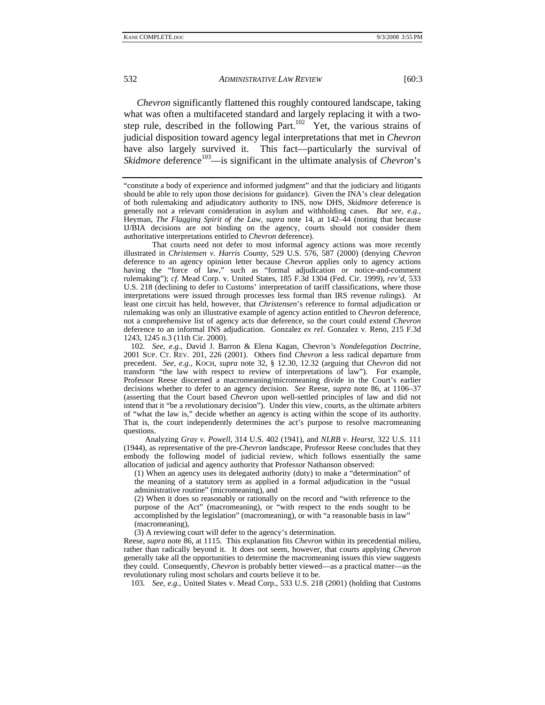*Chevron* significantly flattened this roughly contoured landscape, taking what was often a multifaceted standard and largely replacing it with a twostep rule, described in the following Part.<sup>102</sup> Yet, the various strains of judicial disposition toward agency legal interpretations that met in *Chevron* have also largely survived it. This fact—particularly the survival of *Skidmore* deference<sup>103</sup>—is significant in the ultimate analysis of *Chevron*'s

 That courts need not defer to most informal agency actions was more recently illustrated in *Christensen v. Harris County*, 529 U.S. 576, 587 (2000) (denying *Chevron* deference to an agency opinion letter because *Chevron* applies only to agency actions having the "force of law," such as "formal adjudication or notice-and-comment rulemaking"); *cf.* Mead Corp. v. United States, 185 F.3d 1304 (Fed. Cir. 1999), *rev'd*, 533 U.S. 218 (declining to defer to Customs' interpretation of tariff classifications, where those interpretations were issued through processes less formal than IRS revenue rulings). At least one circuit has held, however, that *Christensen*'s reference to formal adjudication or rulemaking was only an illustrative example of agency action entitled to *Chevron* deference, not a comprehensive list of agency acts due deference, so the court could extend *Chevron* deference to an informal INS adjudication. Gonzalez *ex rel*. Gonzalez v. Reno, 215 F.3d 1243, 1245 n.3 (11th Cir. 2000).

102*. See, e.g.*, David J. Barron & Elena Kagan, Chevron*'s Nondelegation Doctrine*, 2001 SUP. CT. REV. 201, 226 (2001). Others find *Chevron* a less radical departure from precedent. *See, e.g.*, KOCH, *supra* note 32, § 12.30, 12.32 (arguing that *Chevron* did not transform "the law with respect to review of interpretations of law"). For example, Professor Reese discerned a macromeaning/micromeaning divide in the Court's earlier decisions whether to defer to an agency decision. *See* Reese, *supra* note 86, at 1106–37 (asserting that the Court based *Chevron* upon well-settled principles of law and did not intend that it "be a revolutionary decision"). Under this view, courts, as the ultimate arbiters of "what the law is," decide whether an agency is acting within the scope of its authority. That is, the court independently determines the act's purpose to resolve macromeaning questions.

Analyzing *Gray v. Powell*, 314 U.S. 402 (1941), and *NLRB v. Hearst*, 322 U.S. 111 (1944), as representative of the pre-*Chevron* landscape, Professor Reese concludes that they embody the following model of judicial review, which follows essentially the same allocation of judicial and agency authority that Professor Nathanson observed:

(1) When an agency uses its delegated authority (duty) to make a "determination" of the meaning of a statutory term as applied in a formal adjudication in the "usual administrative routine" (micromeaning), and

(2) When it does so reasonably or rationally on the record and "with reference to the purpose of the Act" (macromeaning), or "with respect to the ends sought to be accomplished by the legislation" (macromeaning), or with "a reasonable basis in law" (macromeaning),

(3) A reviewing court will defer to the agency's determination.

Reese, *supra* note 86, at 1115. This explanation fits *Chevron* within its precedential milieu, rather than radically beyond it. It does not seem, however, that courts applying *Chevron* generally take all the opportunities to determine the macromeaning issues this view suggests they could. Consequently, *Chevron* is probably better viewed—as a practical matter—as the revolutionary ruling most scholars and courts believe it to be.

103*. See, e.g.*, United States v. Mead Corp., 533 U.S. 218 (2001) (holding that Customs

<sup>&</sup>quot;constitute a body of experience and informed judgment" and that the judiciary and litigants should be able to rely upon those decisions for guidance). Given the INA's clear delegation of both rulemaking and adjudicatory authority to INS, now DHS, *Skidmore* deference is generally not a relevant consideration in asylum and withholding cases. *But see, e.g.*, Heyman, *The Flagging Spirit of the Law*, *supra* note 14, at 142–44 (noting that because IJ/BIA decisions are not binding on the agency, courts should not consider them authoritative interpretations entitled to *Chevron* deference).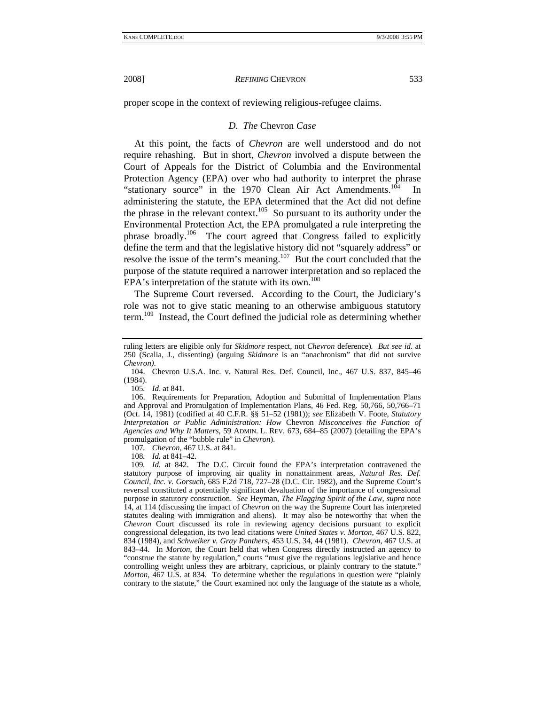proper scope in the context of reviewing religious-refugee claims.

#### *D. The* Chevron *Case*

 At this point, the facts of *Chevron* are well understood and do not require rehashing. But in short, *Chevron* involved a dispute between the Court of Appeals for the District of Columbia and the Environmental Protection Agency (EPA) over who had authority to interpret the phrase "stationary source" in the 1970 Clean Air Act Amendments.<sup>104</sup> In administering the statute, the EPA determined that the Act did not define the phrase in the relevant context.<sup>105</sup> So pursuant to its authority under the Environmental Protection Act, the EPA promulgated a rule interpreting the phrase broadly.<sup>106</sup> The court agreed that Congress failed to explicitly define the term and that the legislative history did not "squarely address" or resolve the issue of the term's meaning.<sup>107</sup> But the court concluded that the purpose of the statute required a narrower interpretation and so replaced the  $EPA's$  interpretation of the statute with its own.<sup>108</sup>

The Supreme Court reversed. According to the Court, the Judiciary's role was not to give static meaning to an otherwise ambiguous statutory term.109 Instead, the Court defined the judicial role as determining whether

105*. Id*. at 841.

107*. Chevron*, 467 U.S. at 841.

108*. Id.* at 841–42.

ruling letters are eligible only for *Skidmore* respect, not *Chevron* deference)*. But see id.* at 250 (Scalia, J., dissenting) (arguing *Skidmore* is an "anachronism" that did not survive *Chevron)*.

 <sup>104.</sup> Chevron U.S.A. Inc. v. Natural Res. Def. Council, Inc., 467 U.S. 837, 845–46 (1984).

 <sup>106.</sup> Requirements for Preparation, Adoption and Submittal of Implementation Plans and Approval and Promulgation of Implementation Plans, 46 Fed. Reg. 50,766, 50,766–71 (Oct. 14, 1981) (codified at 40 C.F.R. §§ 51–52 (1981)); *see* Elizabeth V. Foote, *Statutory Interpretation or Public Administration: How* Chevron *Misconceives the Function of Agencies and Why It Matters*, 59 ADMIN. L. REV. 673, 684–85 (2007) (detailing the EPA's promulgation of the "bubble rule" in *Chevron*).

<sup>109</sup>*. Id.* at 842. The D.C. Circuit found the EPA's interpretation contravened the statutory purpose of improving air quality in nonattainment areas, *Natural Res. Def. Council, Inc. v. Gorsuch*, 685 F.2d 718, 727–28 (D.C. Cir. 1982), and the Supreme Court's reversal constituted a potentially significant devaluation of the importance of congressional purpose in statutory construction. *See* Heyman, *The Flagging Spirit of the Law*, *supra* note 14, at 114 (discussing the impact of *Chevron* on the way the Supreme Court has interpreted statutes dealing with immigration and aliens). It may also be noteworthy that when the *Chevron* Court discussed its role in reviewing agency decisions pursuant to explicit congressional delegation, its two lead citations were *United States v. Morton*, 467 U.S. 822, 834 (1984), and *Schweiker v. Gray Panthers*, 453 U.S. 34, 44 (1981). *Chevron*, 467 U.S. at 843–44. In *Morton*, the Court held that when Congress directly instructed an agency to "construe the statute by regulation," courts "must give the regulations legislative and hence controlling weight unless they are arbitrary, capricious, or plainly contrary to the statute." *Morton*, 467 U.S. at 834. To determine whether the regulations in question were "plainly contrary to the statute," the Court examined not only the language of the statute as a whole,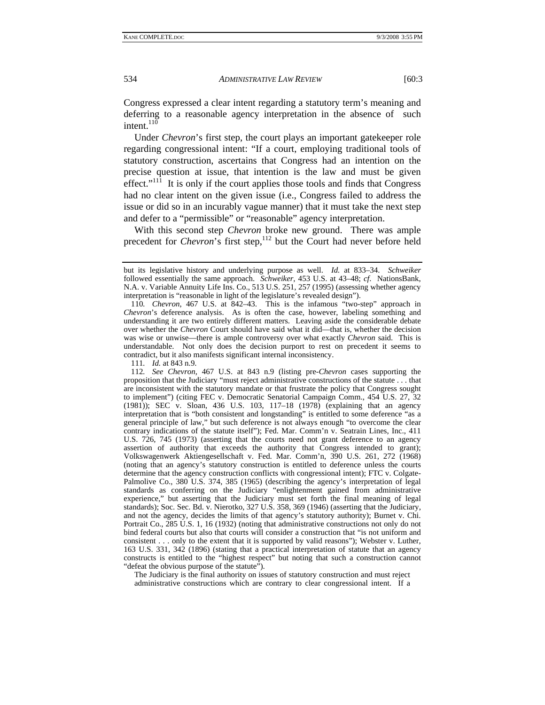Congress expressed a clear intent regarding a statutory term's meaning and deferring to a reasonable agency interpretation in the absence of such intent. $^{110}$ 

Under *Chevron*'s first step, the court plays an important gatekeeper role regarding congressional intent: "If a court, employing traditional tools of statutory construction, ascertains that Congress had an intention on the precise question at issue, that intention is the law and must be given effect." $11\hat{1}$  It is only if the court applies those tools and finds that Congress had no clear intent on the given issue (i.e., Congress failed to address the issue or did so in an incurably vague manner) that it must take the next step and defer to a "permissible" or "reasonable" agency interpretation.

With this second step *Chevron* broke new ground. There was ample precedent for *Chevron*'s first step,<sup>112</sup> but the Court had never before held

111*. Id.* at 843 n.9.

112*. See Chevron*, 467 U.S. at 843 n.9 (listing pre-*Chevron* cases supporting the proposition that the Judiciary "must reject administrative constructions of the statute . . . that are inconsistent with the statutory mandate or that frustrate the policy that Congress sought to implement") (citing FEC v. Democratic Senatorial Campaign Comm., 454 U.S. 27, 32 (1981)); SEC v. Sloan, 436 U.S. 103, 117–18 (1978) (explaining that an agency interpretation that is "both consistent and longstanding" is entitled to some deference "as a general principle of law," but such deference is not always enough "to overcome the clear contrary indications of the statute itself"); Fed. Mar. Comm'n v. Seatrain Lines, Inc., 411 U.S. 726, 745 (1973) (asserting that the courts need not grant deference to an agency assertion of authority that exceeds the authority that Congress intended to grant); Volkswagenwerk Aktiengesellschaft v. Fed. Mar. Comm'n, 390 U.S. 261, 272 (1968) (noting that an agency's statutory construction is entitled to deference unless the courts determine that the agency construction conflicts with congressional intent); FTC v. Colgate-Palmolive Co., 380 U.S. 374, 385 (1965) (describing the agency's interpretation of legal standards as conferring on the Judiciary "enlightenment gained from administrative experience," but asserting that the Judiciary must set forth the final meaning of legal standards); Soc. Sec. Bd. v. Nierotko, 327 U.S. 358, 369 (1946) (asserting that the Judiciary, and not the agency, decides the limits of that agency's statutory authority); Burnet v. Chi. Portrait Co., 285 U.S. 1, 16 (1932) (noting that administrative constructions not only do not bind federal courts but also that courts will consider a construction that "is not uniform and consistent . . . only to the extent that it is supported by valid reasons"); Webster v. Luther, 163 U.S. 331, 342 (1896) (stating that a practical interpretation of statute that an agency constructs is entitled to the "highest respect" but noting that such a construction cannot "defeat the obvious purpose of the statute").

The Judiciary is the final authority on issues of statutory construction and must reject administrative constructions which are contrary to clear congressional intent. If a

but its legislative history and underlying purpose as well. *Id.* at 833–34. *Schweiker* followed essentially the same approach. *Schweiker*, 453 U.S. at 43–48; *cf*. NationsBank, N.A. v. Variable Annuity Life Ins. Co., 513 U.S. 251, 257 (1995) (assessing whether agency interpretation is "reasonable in light of the legislature's revealed design").

<sup>110</sup>*. Chevron*, 467 U.S. at 842–43. This is the infamous "two-step" approach in *Chevron*'s deference analysis. As is often the case, however, labeling something and understanding it are two entirely different matters. Leaving aside the considerable debate over whether the *Chevron* Court should have said what it did—that is, whether the decision was wise or unwise—there is ample controversy over what exactly *Chevron* said. This is understandable. Not only does the decision purport to rest on precedent it seems to contradict, but it also manifests significant internal inconsistency.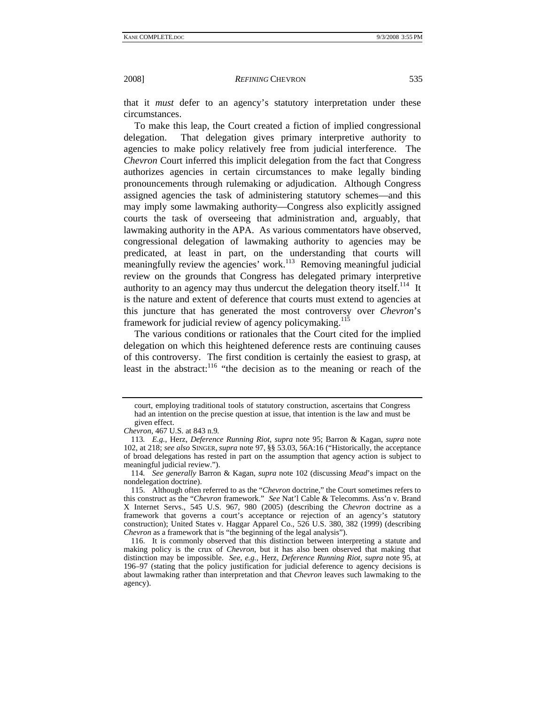that it *must* defer to an agency's statutory interpretation under these circumstances.

To make this leap, the Court created a fiction of implied congressional delegation. That delegation gives primary interpretive authority to agencies to make policy relatively free from judicial interference. The *Chevron* Court inferred this implicit delegation from the fact that Congress authorizes agencies in certain circumstances to make legally binding pronouncements through rulemaking or adjudication. Although Congress assigned agencies the task of administering statutory schemes—and this may imply some lawmaking authority—Congress also explicitly assigned courts the task of overseeing that administration and, arguably, that lawmaking authority in the APA. As various commentators have observed, congressional delegation of lawmaking authority to agencies may be predicated, at least in part, on the understanding that courts will meaningfully review the agencies' work.<sup>113</sup> Removing meaningful judicial review on the grounds that Congress has delegated primary interpretive authority to an agency may thus undercut the delegation theory itself.<sup>114</sup> It is the nature and extent of deference that courts must extend to agencies at this juncture that has generated the most controversy over *Chevron*'s framework for judicial review of agency policymaking.<sup>115</sup>

The various conditions or rationales that the Court cited for the implied delegation on which this heightened deference rests are continuing causes of this controversy. The first condition is certainly the easiest to grasp, at least in the abstract:<sup>116</sup> "the decision as to the meaning or reach of the

court, employing traditional tools of statutory construction, ascertains that Congress had an intention on the precise question at issue, that intention is the law and must be given effect.

*Chevron*, 467 U.S. at 843 n.9*.* 

<sup>113</sup>*. E.g.*, Herz, *Deference Running Riot*, *supra* note 95; Barron & Kagan, *supra* note 102, at 218; *see also* SINGER, *supra* note 97, §§ 53.03, 56A:16 ("Historically, the acceptance of broad delegations has rested in part on the assumption that agency action is subject to meaningful judicial review.").

<sup>114</sup>*. See generally* Barron & Kagan, *supra* note 102 (discussing *Mead*'s impact on the nondelegation doctrine).

 <sup>115.</sup> Although often referred to as the "*Chevron* doctrine," the Court sometimes refers to this construct as the "*Chevron* framework." *See* Nat'l Cable & Telecomms. Ass'n v. Brand X Internet Servs., 545 U.S. 967, 980 (2005) (describing the *Chevron* doctrine as a framework that governs a court's acceptance or rejection of an agency's statutory construction); United States v. Haggar Apparel Co., 526 U.S. 380, 382 (1999) (describing *Chevron* as a framework that is "the beginning of the legal analysis").

 <sup>116.</sup> It is commonly observed that this distinction between interpreting a statute and making policy is the crux of *Chevron*, but it has also been observed that making that distinction may be impossible. *See, e.g.*, Herz, *Deference Running Riot*, *supra* note 95, at 196–97 (stating that the policy justification for judicial deference to agency decisions is about lawmaking rather than interpretation and that *Chevron* leaves such lawmaking to the agency).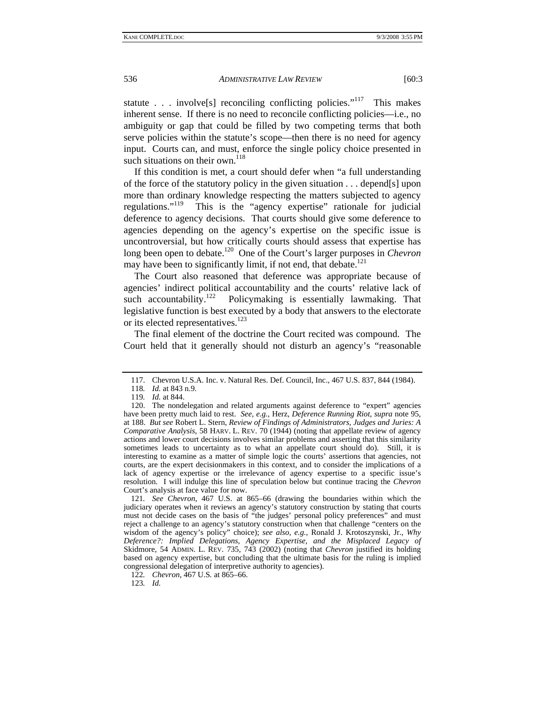statute . . . involve<sup>[s]</sup> reconciling conflicting policies."<sup>117</sup> This makes inherent sense. If there is no need to reconcile conflicting policies—i.e., no ambiguity or gap that could be filled by two competing terms that both serve policies within the statute's scope—then there is no need for agency input. Courts can, and must, enforce the single policy choice presented in such situations on their own. $^{118}$ 

If this condition is met, a court should defer when "a full understanding of the force of the statutory policy in the given situation . . . depend[s] upon more than ordinary knowledge respecting the matters subjected to agency regulations."119 This is the "agency expertise" rationale for judicial deference to agency decisions. That courts should give some deference to agencies depending on the agency's expertise on the specific issue is uncontroversial, but how critically courts should assess that expertise has long been open to debate.<sup>120</sup> One of the Court's larger purposes in *Chevron* may have been to significantly limit, if not end, that debate.<sup>121</sup>

The Court also reasoned that deference was appropriate because of agencies' indirect political accountability and the courts' relative lack of such accountability.<sup>122</sup> Policymaking is essentially lawmaking. That legislative function is best executed by a body that answers to the electorate or its elected representatives.<sup>123</sup>

The final element of the doctrine the Court recited was compound. The Court held that it generally should not disturb an agency's "reasonable

121*. See Chevron*, 467 U.S. at 865–66 (drawing the boundaries within which the judiciary operates when it reviews an agency's statutory construction by stating that courts must not decide cases on the basis of "the judges' personal policy preferences" and must reject a challenge to an agency's statutory construction when that challenge "centers on the wisdom of the agency's policy" choice); *see also, e.g.*, Ronald J. Krotoszynski, Jr., *Why Deference?: Implied Delegations, Agency Expertise, and the Misplaced Legacy of*  Skidmore, 54 ADMIN. L. REV. 735, 743 (2002) (noting that *Chevron* justified its holding based on agency expertise, but concluding that the ultimate basis for the ruling is implied congressional delegation of interpretive authority to agencies).

122*. Chevron*, 467 U.S*.* at 865–66.

123*. Id.*

 <sup>117.</sup> Chevron U.S.A. Inc. v. Natural Res. Def. Council, Inc., 467 U.S. 837, 844 (1984).

<sup>118</sup>*. Id.* at 843 n.9.

<sup>119</sup>*. Id.* at 844.

 <sup>120.</sup> The nondelegation and related arguments against deference to "expert" agencies have been pretty much laid to rest. *See, e.g.*, Herz, *Deference Running Riot*, *supra* note 95, at 188. *But see* Robert L. Stern, *Review of Findings of Administrators, Judges and Juries: A Comparative Analysis*, 58 HARV. L. REV. 70 (1944) (noting that appellate review of agency actions and lower court decisions involves similar problems and asserting that this similarity sometimes leads to uncertainty as to what an appellate court should do). Still, it is interesting to examine as a matter of simple logic the courts' assertions that agencies, not courts, are the expert decisionmakers in this context, and to consider the implications of a lack of agency expertise or the irrelevance of agency expertise to a specific issue's resolution. I will indulge this line of speculation below but continue tracing the *Chevron* Court's analysis at face value for now.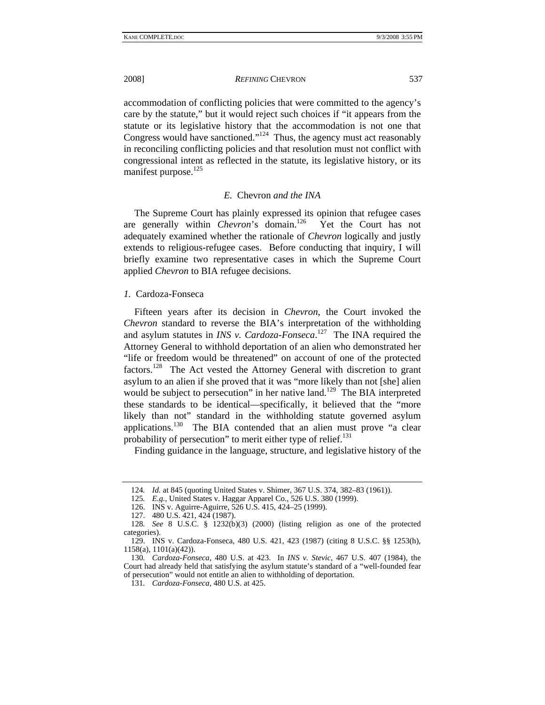accommodation of conflicting policies that were committed to the agency's care by the statute," but it would reject such choices if "it appears from the statute or its legislative history that the accommodation is not one that Congress would have sanctioned."<sup>124</sup> Thus, the agency must act reasonably in reconciling conflicting policies and that resolution must not conflict with congressional intent as reflected in the statute, its legislative history, or its manifest purpose.<sup>125</sup>

# *E.* Chevron *and the INA*

The Supreme Court has plainly expressed its opinion that refugee cases are generally within *Chevron*'s domain.126 Yet the Court has not adequately examined whether the rationale of *Chevron* logically and justly extends to religious-refugee cases. Before conducting that inquiry, I will briefly examine two representative cases in which the Supreme Court applied *Chevron* to BIA refugee decisions.

## *1.* Cardoza-Fonseca

Fifteen years after its decision in *Chevron*, the Court invoked the *Chevron* standard to reverse the BIA's interpretation of the withholding and asylum statutes in *INS v. Cardoza-Fonseca*. 127 The INA required the Attorney General to withhold deportation of an alien who demonstrated her "life or freedom would be threatened" on account of one of the protected factors.128 The Act vested the Attorney General with discretion to grant asylum to an alien if she proved that it was "more likely than not [she] alien would be subject to persecution" in her native land.<sup>129</sup> The BIA interpreted these standards to be identical—specifically, it believed that the "more likely than not" standard in the withholding statute governed asylum applications.<sup>130</sup> The BIA contended that an alien must prove "a clear probability of persecution" to merit either type of relief. $^{131}$ 

Finding guidance in the language, structure, and legislative history of the

<sup>124</sup>*. Id.* at 845 (quoting United States v. Shimer, 367 U.S. 374, 382–83 (1961)).

<sup>125</sup>*. E.g.*, United States v. Haggar Apparel Co., 526 U.S. 380 (1999).

 <sup>126.</sup> INS v. Aguirre-Aguirre, 526 U.S. 415, 424–25 (1999).

 <sup>127. 480</sup> U.S. 421, 424 (1987).

<sup>128</sup>*. See* 8 U.S.C. § 1232(b)(3) (2000) (listing religion as one of the protected categories).

 <sup>129.</sup> INS v. Cardoza-Fonseca, 480 U.S. 421, 423 (1987) (citing 8 U.S.C. §§ 1253(h), 1158(a), 1101(a)(42)).

<sup>130</sup>*. Cardoza-Fonseca*, 480 U.S. at 423. In *INS v. Stevic*, 467 U.S. 407 (1984), the Court had already held that satisfying the asylum statute's standard of a "well-founded fear of persecution" would not entitle an alien to withholding of deportation.

<sup>131</sup>*. Cardoza-Fonseca*, 480 U.S. at 425.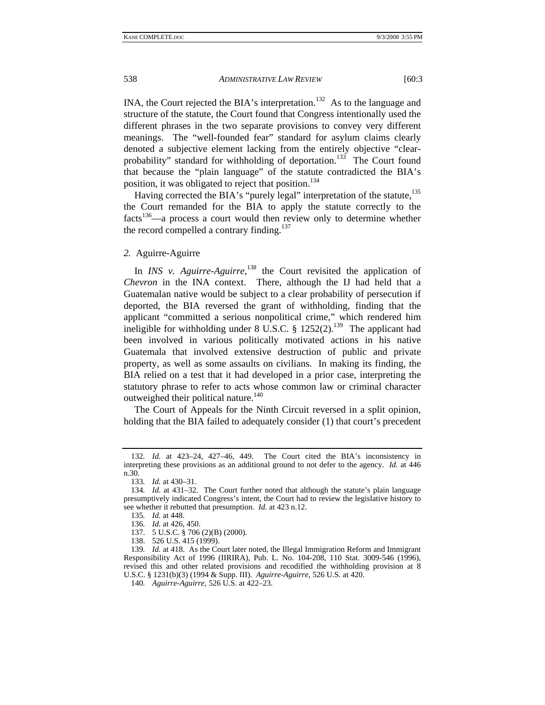INA, the Court rejected the BIA's interpretation.<sup>132</sup> As to the language and structure of the statute, the Court found that Congress intentionally used the different phrases in the two separate provisions to convey very different meanings. The "well-founded fear" standard for asylum claims clearly denoted a subjective element lacking from the entirely objective "clearprobability" standard for withholding of deportation.<sup>133</sup> The Court found that because the "plain language" of the statute contradicted the BIA's position, it was obligated to reject that position.<sup>134</sup>

Having corrected the BIA's "purely legal" interpretation of the statute,<sup>135</sup> the Court remanded for the BIA to apply the statute correctly to the facts<sup>136</sup>—a process a court would then review only to determine whether the record compelled a contrary finding.<sup>137</sup>

*2.* Aguirre-Aguirre

In *INS v. Aguirre-Aguirre*,<sup>138</sup> the Court revisited the application of *Chevron* in the INA context. There, although the IJ had held that a Guatemalan native would be subject to a clear probability of persecution if deported, the BIA reversed the grant of withholding, finding that the applicant "committed a serious nonpolitical crime," which rendered him ineligible for withholding under 8 U.S.C. § 1252(2).<sup>139</sup> The applicant had been involved in various politically motivated actions in his native Guatemala that involved extensive destruction of public and private property, as well as some assaults on civilians. In making its finding, the BIA relied on a test that it had developed in a prior case, interpreting the statutory phrase to refer to acts whose common law or criminal character outweighed their political nature.<sup>140</sup>

The Court of Appeals for the Ninth Circuit reversed in a split opinion, holding that the BIA failed to adequately consider (1) that court's precedent

137. 5 U.S.C. § 706 (2)(B) (2000).

138. 526 U.S. 415 (1999).

<sup>132</sup>*. Id.* at 423–24, 427–46, 449. The Court cited the BIA's inconsistency in interpreting these provisions as an additional ground to not defer to the agency. *Id.* at 446 n.30.

<sup>133</sup>*. Id.* at 430–31.

<sup>134</sup>*. Id.* at 431–32. The Court further noted that although the statute's plain language presumptively indicated Congress's intent, the Court had to review the legislative history to see whether it rebutted that presumption. *Id.* at 423 n.12.

<sup>135</sup>*. Id.* at 448.

<sup>136</sup>*. Id.* at 426, 450.

<sup>139</sup>*. Id.* at 418. As the Court later noted, the Illegal Immigration Reform and Immigrant Responsibility Act of 1996 (IIRIRA), Pub. L. No. 104-208, 110 Stat. 3009-546 (1996), revised this and other related provisions and recodified the withholding provision at 8 U.S.C. § 1231(b)(3) (1994 & Supp. III). *Aguirre-Aguirre*, 526 U.S. at 420.

<sup>140</sup>*. Aguirre-Aguirre*, 526 U.S. at 422–23.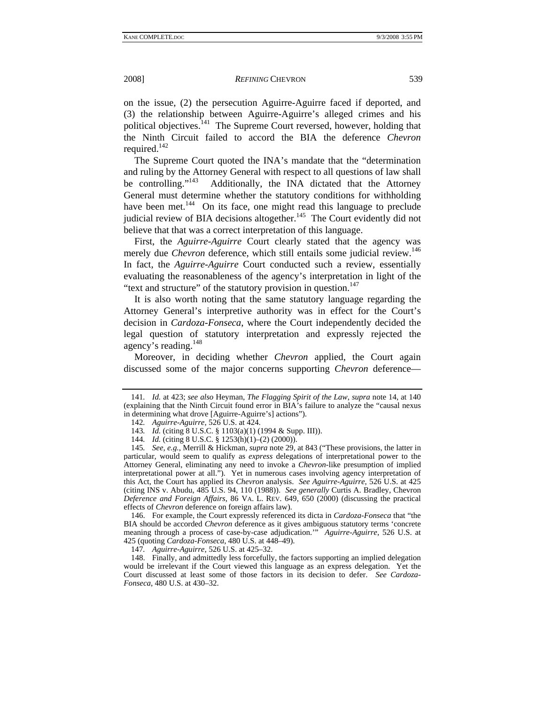on the issue, (2) the persecution Aguirre-Aguirre faced if deported, and (3) the relationship between Aguirre-Aguirre's alleged crimes and his political objectives.<sup>141</sup> The Supreme Court reversed, however, holding that the Ninth Circuit failed to accord the BIA the deference *Chevron* required. $142$ 

The Supreme Court quoted the INA's mandate that the "determination and ruling by the Attorney General with respect to all questions of law shall be controlling."<sup>143</sup> Additionally, the INA dictated that the Attorney Additionally, the INA dictated that the Attorney General must determine whether the statutory conditions for withholding have been met.<sup>144</sup> On its face, one might read this language to preclude judicial review of BIA decisions altogether.<sup>145</sup> The Court evidently did not believe that that was a correct interpretation of this language.

First, the *Aguirre-Aguirre* Court clearly stated that the agency was merely due *Chevron* deference, which still entails some judicial review.<sup>146</sup> In fact, the *Aguirre-Aguirre* Court conducted such a review, essentially evaluating the reasonableness of the agency's interpretation in light of the "text and structure" of the statutory provision in question.<sup>147</sup>

It is also worth noting that the same statutory language regarding the Attorney General's interpretive authority was in effect for the Court's decision in *Cardoza-Fonseca*, where the Court independently decided the legal question of statutory interpretation and expressly rejected the agency's reading.<sup>148</sup>

Moreover, in deciding whether *Chevron* applied, the Court again discussed some of the major concerns supporting *Chevron* deference—

 146. For example, the Court expressly referenced its dicta in *Cardoza-Fonseca* that "the BIA should be accorded *Chevron* deference as it gives ambiguous statutory terms 'concrete meaning through a process of case-by-case adjudication.'" *Aguirre-Aguirre*, 526 U.S. at 425 (quoting *Cardoza-Fonseca*, 480 U.S. at 448–49).

147*. Aguirre-Aguirre*, 526 U.S. at 425–32.

 148. Finally, and admittedly less forcefully, the factors supporting an implied delegation would be irrelevant if the Court viewed this language as an express delegation. Yet the Court discussed at least some of those factors in its decision to defer. *See Cardoza-Fonseca*, 480 U.S. at 430–32.

<sup>141</sup>*. Id.* at 423; *see also* Heyman, *The Flagging Spirit of the Law*, *supra* note 14, at 140 (explaining that the Ninth Circuit found error in BIA's failure to analyze the "causal nexus in determining what drove [Aguirre-Aguirre's] actions").

<sup>142</sup>*. Aguirre-Aguirre*, 526 U.S. at 424.

<sup>143</sup>*. Id.* (citing 8 U.S.C. § 1103(a)(1) (1994 & Supp. III)).

<sup>144</sup>*. Id.* (citing 8 U.S.C. § 1253(h)(1)–(2) (2000)).

<sup>145</sup>*. See, e.g.*, Merrill & Hickman, *supra* note 29, at 843 ("These provisions, the latter in particular, would seem to qualify as *express* delegations of interpretational power to the Attorney General, eliminating any need to invoke a *Chevron*-like presumption of implied interpretational power at all."). Yet in numerous cases involving agency interpretation of this Act, the Court has applied its *Chevron* analysis. *See Aguirre-Aguirre*, 526 U.S. at 425 (citing INS v. Abudu, 485 U.S. 94, 110 (1988)). *See generally* Curtis A. Bradley, Chevron *Deference and Foreign Affairs*, 86 VA. L. REV. 649, 650 (2000) (discussing the practical effects of *Chevron* deference on foreign affairs law).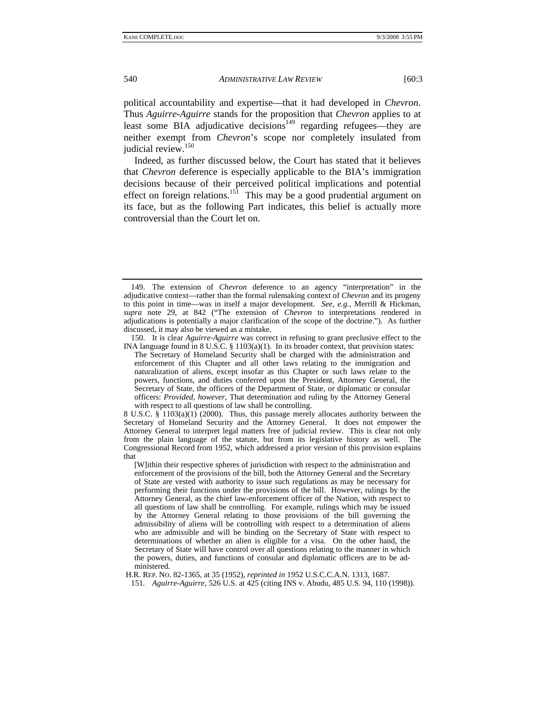political accountability and expertise—that it had developed in *Chevron*. Thus *Aguirre-Aguirre* stands for the proposition that *Chevron* applies to at least some BIA adjudicative decisions<sup>149</sup> regarding refugees—they are neither exempt from *Chevron*'s scope nor completely insulated from judicial review.<sup>150</sup>

Indeed, as further discussed below, the Court has stated that it believes that *Chevron* deference is especially applicable to the BIA's immigration decisions because of their perceived political implications and potential effect on foreign relations.<sup>151</sup> This may be a good prudential argument on its face, but as the following Part indicates, this belief is actually more controversial than the Court let on.

 150. It is clear *Aguirre-Aguirre* was correct in refusing to grant preclusive effect to the INA language found in 8 U.S.C. § 1103(a)(1). In its broader context, that provision states:

The Secretary of Homeland Security shall be charged with the administration and enforcement of this Chapter and all other laws relating to the immigration and naturalization of aliens, except insofar as this Chapter or such laws relate to the powers, functions, and duties conferred upon the President, Attorney General, the Secretary of State, the officers of the Department of State, or diplomatic or consular officers: *Provided*, *however*, That determination and ruling by the Attorney General with respect to all questions of law shall be controlling.

8 U.S.C. § 1103(a)(1) (2000). Thus, this passage merely allocates authority between the Secretary of Homeland Security and the Attorney General. It does not empower the Attorney General to interpret legal matters free of judicial review. This is clear not only from the plain language of the statute, but from its legislative history as well. The Congressional Record from 1952, which addressed a prior version of this provision explains that

[W]ithin their respective spheres of jurisdiction with respect to the administration and enforcement of the provisions of the bill, both the Attorney General and the Secretary of State are vested with authority to issue such regulations as may be necessary for performing their functions under the provisions of the bill. However, rulings by the Attorney General, as the chief law-enforcement officer of the Nation, with respect to all questions of law shall be controlling. For example, rulings which may be issued by the Attorney General relating to those provisions of the bill governing the admissibility of aliens will be controlling with respect to a determination of aliens who are admissible and will be binding on the Secretary of State with respect to determinations of whether an alien is eligible for a visa. On the other hand, the Secretary of State will have control over all questions relating to the manner in which the powers, duties, and functions of consular and diplomatic officers are to be administered.

H.R. REP. NO. 82-1365, at 35 (1952), *reprinted in* 1952 U.S.C.C.A.N. 1313, 1687.

151*. Aguirre-Aguirre*, 526 U.S. at 425 (citing INS v. Abudu, 485 U.S. 94, 110 (1998)).

 <sup>149.</sup> The extension of *Chevron* deference to an agency "interpretation" in the adjudicative context—rather than the formal rulemaking context of *Chevron* and its progeny to this point in time—was in itself a major development. *See, e.g.*, Merrill & Hickman, *supra* note 29, at 842 ("The extension of *Chevron* to interpretations rendered in adjudications is potentially a major clarification of the scope of the doctrine."). As further discussed, it may also be viewed as a mistake.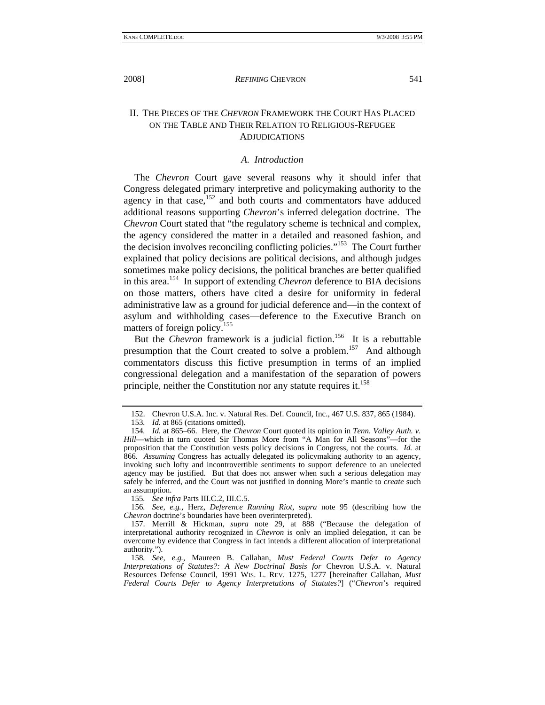## II. THE PIECES OF THE *CHEVRON* FRAMEWORK THE COURT HAS PLACED ON THE TABLE AND THEIR RELATION TO RELIGIOUS-REFUGEE ADJUDICATIONS

#### *A. Introduction*

The *Chevron* Court gave several reasons why it should infer that Congress delegated primary interpretive and policymaking authority to the agency in that case, $152$  and both courts and commentators have adduced additional reasons supporting *Chevron*'s inferred delegation doctrine. The *Chevron* Court stated that "the regulatory scheme is technical and complex, the agency considered the matter in a detailed and reasoned fashion, and the decision involves reconciling conflicting policies."153 The Court further explained that policy decisions are political decisions, and although judges sometimes make policy decisions, the political branches are better qualified in this area.154 In support of extending *Chevron* deference to BIA decisions on those matters, others have cited a desire for uniformity in federal administrative law as a ground for judicial deference and—in the context of asylum and withholding cases—deference to the Executive Branch on matters of foreign policy.<sup>155</sup>

But the *Chevron* framework is a judicial fiction.<sup>156</sup> It is a rebuttable presumption that the Court created to solve a problem.<sup>157</sup> And although commentators discuss this fictive presumption in terms of an implied congressional delegation and a manifestation of the separation of powers principle, neither the Constitution nor any statute requires it.<sup>158</sup>

155*. See infra* Parts III.C.2, III.C.5.

156*. See, e.g.*, Herz, *Deference Running Riot*, *supra* note 95 (describing how the *Chevron* doctrine's boundaries have been overinterpreted).

 157. Merrill & Hickman, *supra* note 29, at 888 ("Because the delegation of interpretational authority recognized in *Chevron* is only an implied delegation, it can be overcome by evidence that Congress in fact intends a different allocation of interpretational authority.").

158*. See, e.g.*, Maureen B. Callahan, *Must Federal Courts Defer to Agency Interpretations of Statutes?: A New Doctrinal Basis for* Chevron U.S.A. v. Natural Resources Defense Council, 1991 WIS. L. REV. 1275, 1277 [hereinafter Callahan, *Must Federal Courts Defer to Agency Interpretations of Statutes?*] ("*Chevron*'s required

 <sup>152.</sup> Chevron U.S.A. Inc. v. Natural Res. Def. Council, Inc., 467 U.S. 837, 865 (1984).

<sup>153</sup>*. Id.* at 865 (citations omitted).

<sup>154</sup>*. Id.* at 865–66. Here, the *Chevron* Court quoted its opinion in *Tenn. Valley Auth. v. Hill*—which in turn quoted Sir Thomas More from "A Man for All Seasons"—for the proposition that the Constitution vests policy decisions in Congress, not the courts. *Id.* at 866. *Assuming* Congress has actually delegated its policymaking authority to an agency, invoking such lofty and incontrovertible sentiments to support deference to an unelected agency may be justified. But that does not answer when such a serious delegation may safely be inferred, and the Court was not justified in donning More's mantle to *create* such an assumption.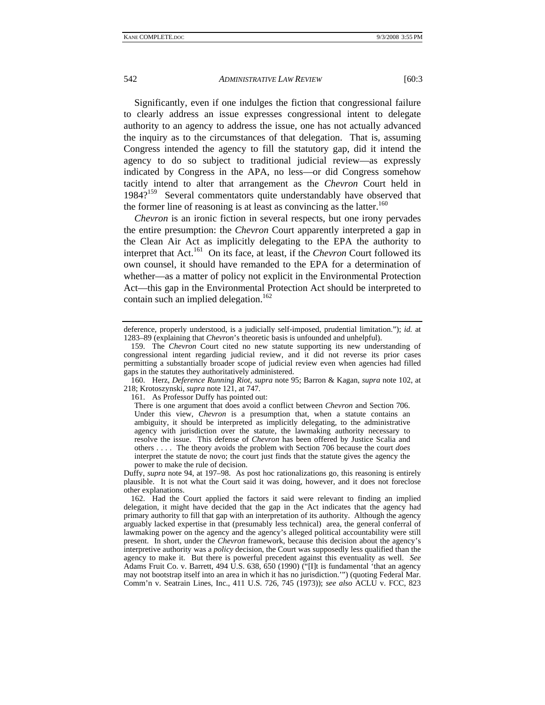Significantly, even if one indulges the fiction that congressional failure to clearly address an issue expresses congressional intent to delegate authority to an agency to address the issue, one has not actually advanced the inquiry as to the circumstances of that delegation. That is, assuming Congress intended the agency to fill the statutory gap, did it intend the agency to do so subject to traditional judicial review—as expressly

indicated by Congress in the APA, no less—or did Congress somehow tacitly intend to alter that arrangement as the *Chevron* Court held in 1984?<sup>159</sup> Several commentators quite understandably have observed that the former line of reasoning is at least as convincing as the latter.<sup>160</sup> *Chevron* is an ironic fiction in several respects, but one irony pervades

the entire presumption: the *Chevron* Court apparently interpreted a gap in the Clean Air Act as implicitly delegating to the EPA the authority to interpret that Act.<sup>161</sup> On its face, at least, if the *Chevron* Court followed its own counsel, it should have remanded to the EPA for a determination of whether—as a matter of policy not explicit in the Environmental Protection Act—this gap in the Environmental Protection Act should be interpreted to contain such an implied delegation.<sup>162</sup>

161. As Professor Duffy has pointed out:

Duffy, *supra* note 94, at 197–98. As post hoc rationalizations go, this reasoning is entirely plausible. It is not what the Court said it was doing, however, and it does not foreclose other explanations.

 162. Had the Court applied the factors it said were relevant to finding an implied delegation, it might have decided that the gap in the Act indicates that the agency had primary authority to fill that gap with an interpretation of its authority. Although the agency arguably lacked expertise in that (presumably less technical) area, the general conferral of lawmaking power on the agency and the agency's alleged political accountability were still present. In short, under the *Chevron* framework, because this decision about the agency's interpretive authority was a *policy* decision, the Court was supposedly less qualified than the agency to make it. But there is powerful precedent against this eventuality as well. *See* Adams Fruit Co. v. Barrett, 494 U.S. 638, 650 (1990) ("[I]t is fundamental 'that an agency may not bootstrap itself into an area in which it has no jurisdiction.'") (quoting Federal Mar. Comm'n v. Seatrain Lines, Inc., 411 U.S. 726, 745 (1973)); *see also* ACLU v. FCC, 823

deference, properly understood, is a judicially self-imposed, prudential limitation."); *id.* at 1283–89 (explaining that *Chevron*'s theoretic basis is unfounded and unhelpful).

 <sup>159.</sup> The *Chevron* Court cited no new statute supporting its new understanding of congressional intent regarding judicial review, and it did not reverse its prior cases permitting a substantially broader scope of judicial review even when agencies had filled gaps in the statutes they authoritatively administered.

 <sup>160.</sup> Herz, *Deference Running Riot*, *supra* note 95; Barron & Kagan, *supra* note 102, at 218; Krotoszynski, *supra* note 121, at 747.

There is one argument that does avoid a conflict between *Chevron* and Section 706. Under this view, *Chevron* is a presumption that, when a statute contains an ambiguity, it should be interpreted as implicitly delegating, to the administrative agency with jurisdiction over the statute, the lawmaking authority necessary to resolve the issue. This defense of *Chevron* has been offered by Justice Scalia and others . . . . The theory avoids the problem with Section 706 because the court *does* interpret the statute de novo; the court just finds that the statute gives the agency the power to make the rule of decision.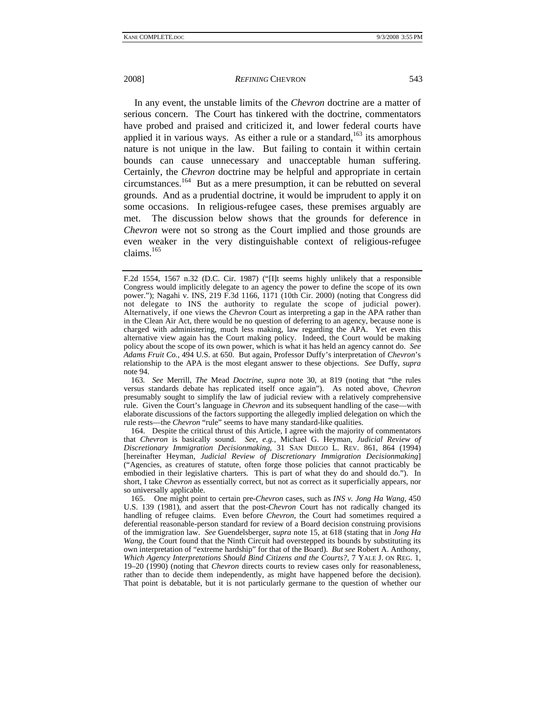2008] *REFINING* CHEVRON 543

In any event, the unstable limits of the *Chevron* doctrine are a matter of serious concern. The Court has tinkered with the doctrine, commentators have probed and praised and criticized it, and lower federal courts have applied it in various ways. As either a rule or a standard,<sup>163</sup> its amorphous nature is not unique in the law. But failing to contain it within certain bounds can cause unnecessary and unacceptable human suffering. Certainly, the *Chevron* doctrine may be helpful and appropriate in certain circumstances.164 But as a mere presumption, it can be rebutted on several grounds. And as a prudential doctrine, it would be imprudent to apply it on some occasions. In religious-refugee cases, these premises arguably are met. The discussion below shows that the grounds for deference in *Chevron* were not so strong as the Court implied and those grounds are even weaker in the very distinguishable context of religious-refugee claims. $165$ 

163*. See* Merrill, *The* Mead *Doctrine*, *supra* note 30, at 819 (noting that "the rules versus standards debate has replicated itself once again"). As noted above, *Chevron* presumably sought to simplify the law of judicial review with a relatively comprehensive rule. Given the Court's language in *Chevron* and its subsequent handling of the case—with elaborate discussions of the factors supporting the allegedly implied delegation on which the rule rests—the *Chevron* "rule" seems to have many standard-like qualities.

 164. Despite the critical thrust of this Article, I agree with the majority of commentators that *Chevron* is basically sound. *See, e.g.*, Michael G. Heyman, *Judicial Review of Discretionary Immigration Decisionmaking*, 31 SAN DIEGO L. REV. 861, 864 (1994) [hereinafter Heyman, *Judicial Review of Discretionary Immigration Decisionmaking*] ("Agencies, as creatures of statute, often forge those policies that cannot practicably be embodied in their legislative charters. This is part of what they do and should do."). In short, I take *Chevron* as essentially correct, but not as correct as it superficially appears, nor so universally applicable.

 165. One might point to certain pre-*Chevron* cases, such as *INS v. Jong Ha Wang*, 450 U.S. 139 (1981), and assert that the post-*Chevron* Court has not radically changed its handling of refugee claims. Even before *Chevron*, the Court had sometimes required a deferential reasonable-person standard for review of a Board decision construing provisions of the immigration law. *See* Guendelsberger, *supra* note 15, at 618 (stating that in *Jong Ha Wang*, the Court found that the Ninth Circuit had overstepped its bounds by substituting its own interpretation of "extreme hardship" for that of the Board). *But see* Robert A. Anthony, *Which Agency Interpretations Should Bind Citizens and the Courts?*, 7 YALE J. ON REG. 1, 19–20 (1990) (noting that *Chevron* directs courts to review cases only for reasonableness, rather than to decide them independently, as might have happened before the decision). That point is debatable, but it is not particularly germane to the question of whether our

F.2d 1554, 1567 n.32 (D.C. Cir. 1987) ("[I]t seems highly unlikely that a responsible Congress would implicitly delegate to an agency the power to define the scope of its own power."); Nagahi v. INS, 219 F.3d 1166, 1171 (10th Cir. 2000) (noting that Congress did not delegate to INS the authority to regulate the scope of judicial power). Alternatively, if one views the *Chevron* Court as interpreting a gap in the APA rather than in the Clean Air Act, there would be no question of deferring to an agency, because none is charged with administering, much less making, law regarding the APA. Yet even this alternative view again has the Court making policy. Indeed, the Court would be making policy about the scope of its own power, which is what it has held an agency cannot do. *See Adams Fruit Co.*, 494 U.S. at 650. But again, Professor Duffy's interpretation of *Chevron*'s relationship to the APA is the most elegant answer to these objections. *See* Duffy, *supra* note 94.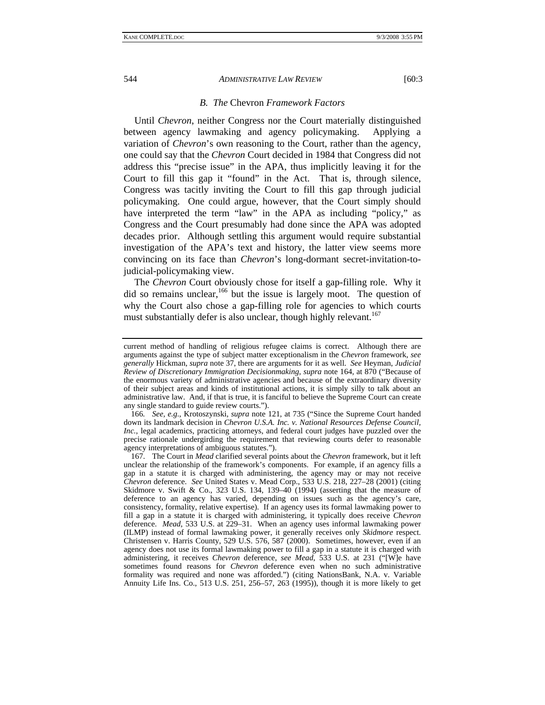#### *B. The* Chevron *Framework Factors*

Until *Chevron*, neither Congress nor the Court materially distinguished between agency lawmaking and agency policymaking. Applying a variation of *Chevron*'s own reasoning to the Court, rather than the agency, one could say that the *Chevron* Court decided in 1984 that Congress did not address this "precise issue" in the APA, thus implicitly leaving it for the Court to fill this gap it "found" in the Act. That is, through silence, Congress was tacitly inviting the Court to fill this gap through judicial policymaking. One could argue, however, that the Court simply should have interpreted the term "law" in the APA as including "policy," as Congress and the Court presumably had done since the APA was adopted decades prior. Although settling this argument would require substantial investigation of the APA's text and history, the latter view seems more convincing on its face than *Chevron*'s long-dormant secret-invitation-tojudicial-policymaking view.

The *Chevron* Court obviously chose for itself a gap-filling role. Why it did so remains unclear,  $166$  but the issue is largely moot. The question of why the Court also chose a gap-filling role for agencies to which courts must substantially defer is also unclear, though highly relevant.<sup>167</sup>

166*. See, e.g.*, Krotoszynski, *supra* note 121, at 735 ("Since the Supreme Court handed down its landmark decision in *Chevron U.S.A. Inc. v. National Resources Defense Council, Inc.*, legal academics, practicing attorneys, and federal court judges have puzzled over the precise rationale undergirding the requirement that reviewing courts defer to reasonable agency interpretations of ambiguous statutes.").

 167. The Court in *Mead* clarified several points about the *Chevron* framework, but it left unclear the relationship of the framework's components. For example, if an agency fills a gap in a statute it is charged with administering, the agency may or may not receive *Chevron* deference. *See* United States v. Mead Corp., 533 U.S. 218, 227–28 (2001) (citing Skidmore v. Swift & Co., 323 U.S. 134, 139-40 (1994) (asserting that the measure of deference to an agency has varied, depending on issues such as the agency's care, consistency, formality, relative expertise). If an agency uses its formal lawmaking power to fill a gap in a statute it is charged with administering, it typically does receive *Chevron* deference. *Mead*, 533 U.S. at 229–31. When an agency uses informal lawmaking power (ILMP) instead of formal lawmaking power, it generally receives only *Skidmore* respect. Christensen v. Harris County, 529 U.S. 576, 587 (2000). Sometimes, however, even if an agency does not use its formal lawmaking power to fill a gap in a statute it is charged with administering, it receives *Chevron* deference, *see Mead*, 533 U.S. at 231 ("[W]e have sometimes found reasons for *Chevron* deference even when no such administrative formality was required and none was afforded.") (citing NationsBank, N.A. v. Variable Annuity Life Ins. Co., 513 U.S. 251, 256–57, 263 (1995)), though it is more likely to get

current method of handling of religious refugee claims is correct. Although there are arguments against the type of subject matter exceptionalism in the *Chevron* framework, *see generally* Hickman, *supra* note 37, there are arguments for it as well. *See* Heyman, *Judicial Review of Discretionary Immigration Decisionmaking*, *supra* note 164, at 870 ("Because of the enormous variety of administrative agencies and because of the extraordinary diversity of their subject areas and kinds of institutional actions, it is simply silly to talk about an administrative law. And, if that is true, it is fanciful to believe the Supreme Court can create any single standard to guide review courts.").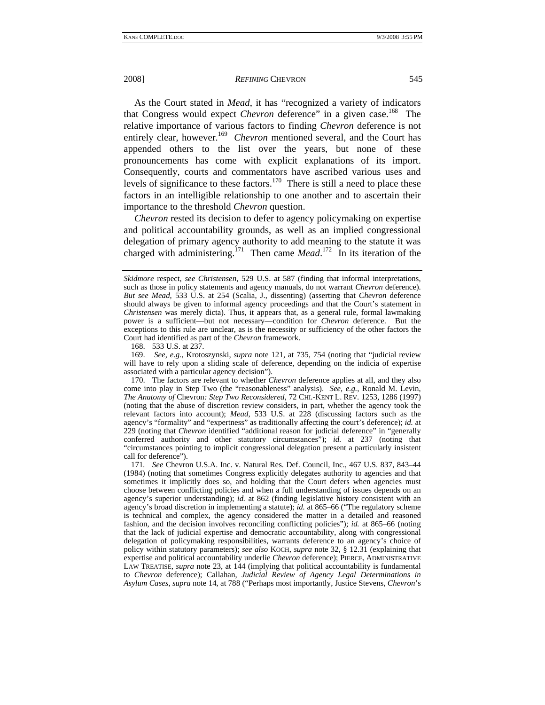As the Court stated in *Mead*, it has "recognized a variety of indicators that Congress would expect *Chevron* deference" in a given case.<sup>168</sup> The relative importance of various factors to finding *Chevron* deference is not entirely clear, however.<sup>169</sup> *Chevron* mentioned several, and the Court has appended others to the list over the years, but none of these pronouncements has come with explicit explanations of its import. Consequently, courts and commentators have ascribed various uses and levels of significance to these factors.<sup>170</sup> There is still a need to place these factors in an intelligible relationship to one another and to ascertain their importance to the threshold *Chevron* question.

*Chevron* rested its decision to defer to agency policymaking on expertise and political accountability grounds, as well as an implied congressional delegation of primary agency authority to add meaning to the statute it was charged with administering.<sup>171</sup> Then came *Mead*.<sup>172</sup> In its iteration of the

168. 533 U.S. at 237.

 169. *See, e.g.*, Krotoszynski, *supra* note 121, at 735, 754 (noting that "judicial review will have to rely upon a sliding scale of deference, depending on the indicia of expertise associated with a particular agency decision").

171*. See* Chevron U.S.A. Inc. v. Natural Res. Def. Council, Inc., 467 U.S. 837, 843–44 (1984) (noting that sometimes Congress explicitly delegates authority to agencies and that sometimes it implicitly does so, and holding that the Court defers when agencies must choose between conflicting policies and when a full understanding of issues depends on an agency's superior understanding); *id.* at 862 (finding legislative history consistent with an agency's broad discretion in implementing a statute); *id.* at 865–66 ("The regulatory scheme is technical and complex, the agency considered the matter in a detailed and reasoned fashion, and the decision involves reconciling conflicting policies"); *id.* at 865–66 (noting that the lack of judicial expertise and democratic accountability, along with congressional delegation of policymaking responsibilities, warrants deference to an agency's choice of policy within statutory parameters); *see also* KOCH, *supra* note 32, § 12.31 (explaining that expertise and political accountability underlie *Chevron* deference); PIERCE, ADMINISTRATIVE LAW TREATISE, *supra* note 23, at 144 (implying that political accountability is fundamental to *Chevron* deference); Callahan, *Judicial Review of Agency Legal Determinations in Asylum Cases*, *supra* note 14, at 788 ("Perhaps most importantly, Justice Stevens, *Chevron*'s

*Skidmore* respect, *see Christensen*, 529 U.S. at 587 (finding that informal interpretations, such as those in policy statements and agency manuals, do not warrant *Chevron* deference). *But see Mead*, 533 U.S. at 254 (Scalia, J., dissenting) (asserting that *Chevron* deference should always be given to informal agency proceedings and that the Court's statement in *Christensen* was merely dicta). Thus, it appears that, as a general rule, formal lawmaking power is a sufficient—but not necessary—condition for *Chevron* deference. But the exceptions to this rule are unclear, as is the necessity or sufficiency of the other factors the Court had identified as part of the *Chevron* framework.

 <sup>170.</sup> The factors are relevant to whether *Chevron* deference applies at all, and they also come into play in Step Two (the "reasonableness" analysis). *See, e.g.*, Ronald M. Levin, *The Anatomy of* Chevron*: Step Two Reconsidered*, 72 CHI.-KENT L. REV. 1253, 1286 (1997) (noting that the abuse of discretion review considers, in part, whether the agency took the relevant factors into account); *Mead*, 533 U.S. at 228 (discussing factors such as the agency's "formality" and "expertness" as traditionally affecting the court's deference); *id.* at 229 (noting that *Chevron* identified "additional reason for judicial deference" in "generally conferred authority and other statutory circumstances"); *id.* at 237 (noting that "circumstances pointing to implicit congressional delegation present a particularly insistent call for deference").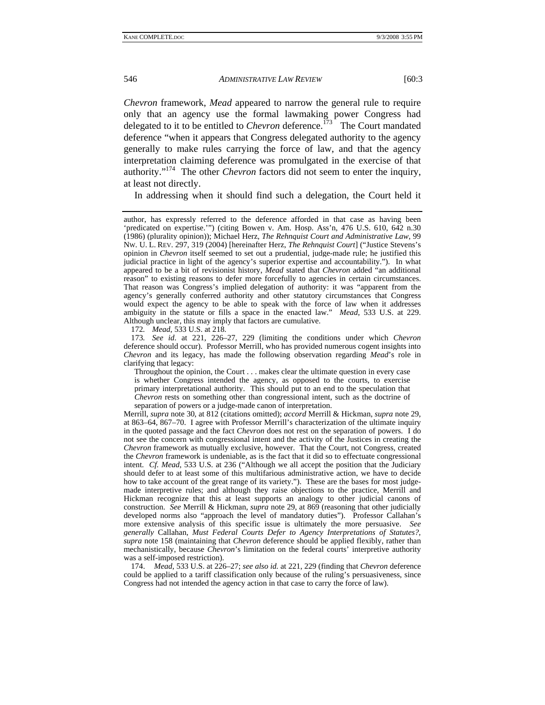*Chevron* framework, *Mead* appeared to narrow the general rule to require only that an agency use the formal lawmaking power Congress had delegated to it to be entitled to *Chevron* deference.<sup>173</sup> The Court mandated deference "when it appears that Congress delegated authority to the agency generally to make rules carrying the force of law, and that the agency interpretation claiming deference was promulgated in the exercise of that authority."174 The other *Chevron* factors did not seem to enter the inquiry, at least not directly.

In addressing when it should find such a delegation, the Court held it

172*. Mead*, 533 U.S. at 218.

173*. See id*. at 221, 226–27, 229 (limiting the conditions under which *Chevron*  deference should occur). Professor Merrill, who has provided numerous cogent insights into *Chevron* and its legacy, has made the following observation regarding *Mead*'s role in clarifying that legacy:

Throughout the opinion, the Court . . . makes clear the ultimate question in every case is whether Congress intended the agency, as opposed to the courts, to exercise primary interpretational authority. This should put to an end to the speculation that *Chevron* rests on something other than congressional intent, such as the doctrine of separation of powers or a judge-made canon of interpretation.

Merrill, *supra* note 30, at 812 (citations omitted); *accord* Merrill & Hickman, *supra* note 29, at 863–64, 867–70. I agree with Professor Merrill's characterization of the ultimate inquiry in the quoted passage and the fact *Chevron* does not rest on the separation of powers. I do not see the concern with congressional intent and the activity of the Justices in creating the *Chevron* framework as mutually exclusive, however. That the Court, not Congress, created the *Chevron* framework is undeniable, as is the fact that it did so to effectuate congressional intent. *Cf. Mead*, 533 U.S. at 236 ("Although we all accept the position that the Judiciary should defer to at least some of this multifarious administrative action, we have to decide how to take account of the great range of its variety."). These are the bases for most judgemade interpretive rules; and although they raise objections to the practice, Merrill and Hickman recognize that this at least supports an analogy to other judicial canons of construction. *See* Merrill & Hickman, *supra* note 29, at 869 (reasoning that other judicially developed norms also "approach the level of mandatory duties"). Professor Callahan's more extensive analysis of this specific issue is ultimately the more persuasive. *See generally* Callahan, *Must Federal Courts Defer to Agency Interpretations of Statutes?*, *supra* note 158 (maintaining that *Chevron* deference should be applied flexibly, rather than mechanistically, because *Chevron*'s limitation on the federal courts' interpretive authority was a self-imposed restriction).

 174. *Mead*, 533 U.S. at 226–27; *see also id.* at 221, 229 (finding that *Chevron* deference could be applied to a tariff classification only because of the ruling's persuasiveness, since Congress had not intended the agency action in that case to carry the force of law).

author, has expressly referred to the deference afforded in that case as having been 'predicated on expertise.'") (citing Bowen v. Am. Hosp. Ass'n, 476 U.S. 610, 642 n.30 (1986) (plurality opinion)); Michael Herz, *The Rehnquist Court and Administrative Law*, 99 NW. U. L. REV. 297, 319 (2004) [hereinafter Herz, *The Rehnquist Court*] ("Justice Stevens's opinion in *Chevron* itself seemed to set out a prudential, judge-made rule; he justified this judicial practice in light of the agency's superior expertise and accountability."). In what appeared to be a bit of revisionist history, *Mead* stated that *Chevron* added "an additional reason" to existing reasons to defer more forcefully to agencies in certain circumstances. That reason was Congress's implied delegation of authority: it was "apparent from the agency's generally conferred authority and other statutory circumstances that Congress would expect the agency to be able to speak with the force of law when it addresses ambiguity in the statute or fills a space in the enacted law." *Mead*, 533 U.S. at 229. Although unclear, this may imply that factors are cumulative.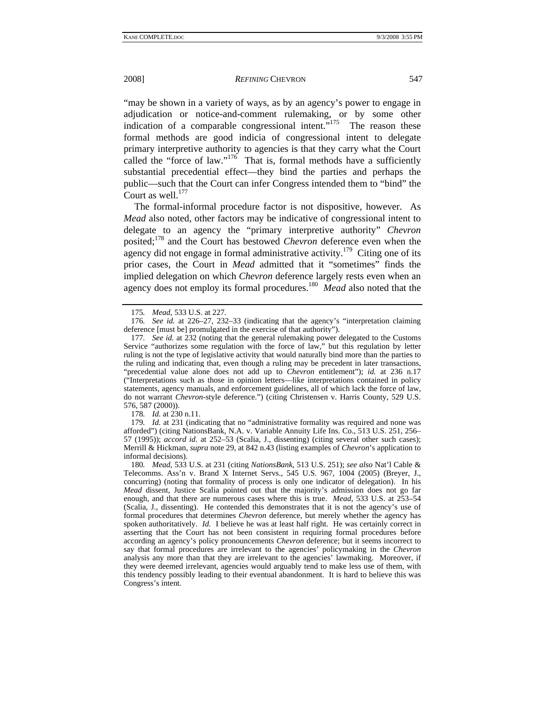"may be shown in a variety of ways, as by an agency's power to engage in adjudication or notice-and-comment rulemaking, or by some other indication of a comparable congressional intent. $175$  The reason these formal methods are good indicia of congressional intent to delegate primary interpretive authority to agencies is that they carry what the Court called the "force of law."<sup>176</sup> That is, formal methods have a sufficiently substantial precedential effect—they bind the parties and perhaps the public—such that the Court can infer Congress intended them to "bind" the Court as well. $^{177}$ 

The formal-informal procedure factor is not dispositive, however. As *Mead* also noted, other factors may be indicative of congressional intent to delegate to an agency the "primary interpretive authority" *Chevron* posited;178 and the Court has bestowed *Chevron* deference even when the agency did not engage in formal administrative activity.<sup>179</sup> Citing one of its prior cases, the Court in *Mead* admitted that it "sometimes" finds the implied delegation on which *Chevron* deference largely rests even when an agency does not employ its formal procedures.180 *Mead* also noted that the

176*. See id.* at 226–27, 232–33 (indicating that the agency's "interpretation claiming deference [must be] promulgated in the exercise of that authority").

178*. Id.* at 230 n.11.

179*. Id.* at 231 (indicating that no "administrative formality was required and none was afforded") (citing NationsBank, N.A. v. Variable Annuity Life Ins. Co., 513 U.S. 251, 256– 57 (1995)); *accord id.* at 252–53 (Scalia, J., dissenting) (citing several other such cases); Merrill & Hickman, *supra* note 29, at 842 n.43 (listing examples of *Chevron*'s application to informal decisions).

180*. Mead*, 533 U.S. at 231 (citing *NationsBank*, 513 U.S. 251); *see also* Nat'l Cable & Telecomms. Ass'n v. Brand X Internet Servs., 545 U.S. 967, 1004 (2005) (Breyer, J., concurring) (noting that formality of process is only one indicator of delegation). In his *Mead* dissent, Justice Scalia pointed out that the majority's admission does not go far enough, and that there are numerous cases where this is true. *Mead*, 533 U.S. at 253–54 (Scalia, J., dissenting). He contended this demonstrates that it is not the agency's use of formal procedures that determines *Chevron* deference, but merely whether the agency has spoken authoritatively. *Id.* I believe he was at least half right. He was certainly correct in asserting that the Court has not been consistent in requiring formal procedures before according an agency's policy pronouncements *Chevron* deference; but it seems incorrect to say that formal procedures are irrelevant to the agencies' policymaking in the *Chevron* analysis any more than that they are irrelevant to the agencies' lawmaking. Moreover, if they were deemed irrelevant, agencies would arguably tend to make less use of them, with this tendency possibly leading to their eventual abandonment. It is hard to believe this was Congress's intent.

<sup>175</sup>*. Mead*, 533 U.S. at 227.

<sup>177</sup>*. See id.* at 232 (noting that the general rulemaking power delegated to the Customs Service "authorizes some regulation with the force of law," but this regulation by letter ruling is not the type of legislative activity that would naturally bind more than the parties to the ruling and indicating that, even though a ruling may be precedent in later transactions, "precedential value alone does not add up to *Chevron* entitlement"); *id.* at 236 n.17 ("Interpretations such as those in opinion letters—like interpretations contained in policy statements, agency manuals, and enforcement guidelines, all of which lack the force of law, do not warrant *Chevron*-style deference.") (citing Christensen v. Harris County, 529 U.S. 576, 587 (2000)).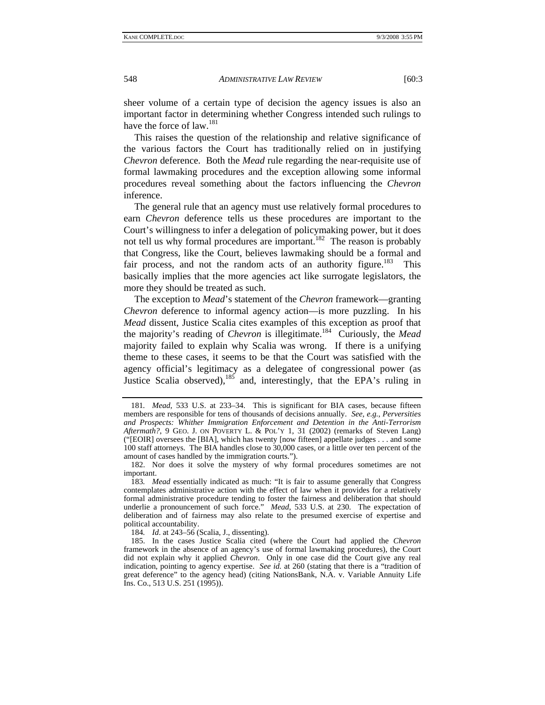sheer volume of a certain type of decision the agency issues is also an important factor in determining whether Congress intended such rulings to have the force of  $law.<sup>181</sup>$ 

This raises the question of the relationship and relative significance of the various factors the Court has traditionally relied on in justifying *Chevron* deference. Both the *Mead* rule regarding the near-requisite use of formal lawmaking procedures and the exception allowing some informal procedures reveal something about the factors influencing the *Chevron* inference.

The general rule that an agency must use relatively formal procedures to earn *Chevron* deference tells us these procedures are important to the Court's willingness to infer a delegation of policymaking power, but it does not tell us why formal procedures are important.<sup>182</sup> The reason is probably that Congress, like the Court, believes lawmaking should be a formal and fair process, and not the random acts of an authority figure.<sup>183</sup> This basically implies that the more agencies act like surrogate legislators, the more they should be treated as such.

The exception to *Mead*'s statement of the *Chevron* framework—granting *Chevron* deference to informal agency action—is more puzzling. In his *Mead* dissent, Justice Scalia cites examples of this exception as proof that the majority's reading of *Chevron* is illegitimate.184 Curiously, the *Mead* majority failed to explain why Scalia was wrong. If there is a unifying theme to these cases, it seems to be that the Court was satisfied with the agency official's legitimacy as a delegatee of congressional power (as Justice Scalia observed), $185$  and, interestingly, that the EPA's ruling in

184*. Id*. at 243–56 (Scalia, J., dissenting).

<sup>181</sup>*. Mead*, 533 U.S. at 233–34. This is significant for BIA cases, because fifteen members are responsible for tens of thousands of decisions annually. *See, e.g.*, *Perversities and Prospects: Whither Immigration Enforcement and Detention in the Anti-Terrorism Aftermath?*, 9 GEO. J. ON POVERTY L. & POL'Y 1, 31 (2002) (remarks of Steven Lang) ("[EOIR] oversees the [BIA], which has twenty [now fifteen] appellate judges . . . and some 100 staff attorneys. The BIA handles close to 30,000 cases, or a little over ten percent of the amount of cases handled by the immigration courts.").

 <sup>182.</sup> Nor does it solve the mystery of why formal procedures sometimes are not important.

<sup>183</sup>*. Mead* essentially indicated as much: "It is fair to assume generally that Congress contemplates administrative action with the effect of law when it provides for a relatively formal administrative procedure tending to foster the fairness and deliberation that should underlie a pronouncement of such force." *Mead*, 533 U.S. at 230. The expectation of deliberation and of fairness may also relate to the presumed exercise of expertise and political accountability.

 <sup>185.</sup> In the cases Justice Scalia cited (where the Court had applied the *Chevron* framework in the absence of an agency's use of formal lawmaking procedures), the Court did not explain why it applied *Chevron*. Only in one case did the Court give any real indication, pointing to agency expertise. *See id.* at 260 (stating that there is a "tradition of great deference" to the agency head) (citing NationsBank, N.A. v. Variable Annuity Life Ins. Co., 513 U.S. 251 (1995)).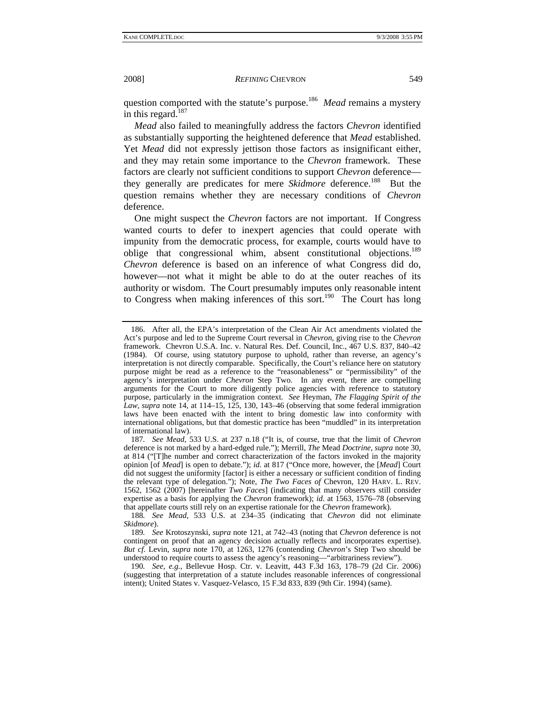question comported with the statute's purpose.<sup>186</sup> *Mead* remains a mystery in this regard. $187$ 

*Mead* also failed to meaningfully address the factors *Chevron* identified as substantially supporting the heightened deference that *Mead* established. Yet *Mead* did not expressly jettison those factors as insignificant either, and they may retain some importance to the *Chevron* framework. These factors are clearly not sufficient conditions to support *Chevron* deference they generally are predicates for mere *Skidmore* deference.<sup>188</sup> But the question remains whether they are necessary conditions of *Chevron* deference.

One might suspect the *Chevron* factors are not important. If Congress wanted courts to defer to inexpert agencies that could operate with impunity from the democratic process, for example, courts would have to oblige that congressional whim, absent constitutional objections.<sup>189</sup> *Chevron* deference is based on an inference of what Congress did do, however—not what it might be able to do at the outer reaches of its authority or wisdom. The Court presumably imputes only reasonable intent to Congress when making inferences of this sort.<sup>190</sup> The Court has long

 <sup>186.</sup> After all, the EPA's interpretation of the Clean Air Act amendments violated the Act's purpose and led to the Supreme Court reversal in *Chevron*, giving rise to the *Chevron* framework. Chevron U.S.A. Inc. v. Natural Res. Def. Council, Inc., 467 U.S. 837, 840–42 (1984). Of course, using statutory purpose to uphold, rather than reverse, an agency's interpretation is not directly comparable. Specifically, the Court's reliance here on statutory purpose might be read as a reference to the "reasonableness" or "permissibility" of the agency's interpretation under *Chevron* Step Two. In any event, there are compelling arguments for the Court to more diligently police agencies with reference to statutory purpose, particularly in the immigration context. *See* Heyman, *The Flagging Spirit of the Law, supra* note 14, at 114–15, 125, 130, 143–46 (observing that some federal immigration laws have been enacted with the intent to bring domestic law into conformity with international obligations, but that domestic practice has been "muddled" in its interpretation of international law).

<sup>187</sup>*. See Mead*, 533 U.S. at 237 n.18 ("It is, of course, true that the limit of *Chevron* deference is not marked by a hard-edged rule."); Merrill, *The* Mead *Doctrine*, *supra* note 30, at 814 ("[T]he number and correct characterization of the factors invoked in the majority opinion [of *Mead*] is open to debate."); *id.* at 817 ("Once more, however, the [*Mead*] Court did not suggest the uniformity [factor] is either a necessary or sufficient condition of finding the relevant type of delegation."); Note, *The Two Faces of* Chevron, 120 HARV. L. REV. 1562, 1562 (2007) [hereinafter *Two Faces*] (indicating that many observers still consider expertise as a basis for applying the *Chevron* framework); *id*. at 1563, 1576–78 (observing that appellate courts still rely on an expertise rationale for the *Chevron* framework).

<sup>188</sup>*. See Mead*, 533 U.S. at 234–35 (indicating that *Chevron* did not eliminate *Skidmore*).

<sup>189</sup>*. See* Krotoszynski, *supra* note 121, at 742–43 (noting that *Chevron* deference is not contingent on proof that an agency decision actually reflects and incorporates expertise). *But cf.* Levin, *supra* note 170, at 1263, 1276 (contending *Chevron*'s Step Two should be understood to require courts to assess the agency's reasoning—"arbitrariness review").

<sup>190</sup>*. See, e.g.*, Bellevue Hosp. Ctr. v. Leavitt, 443 F.3d 163, 178–79 (2d Cir. 2006) (suggesting that interpretation of a statute includes reasonable inferences of congressional intent); United States v. Vasquez-Velasco, 15 F.3d 833, 839 (9th Cir. 1994) (same).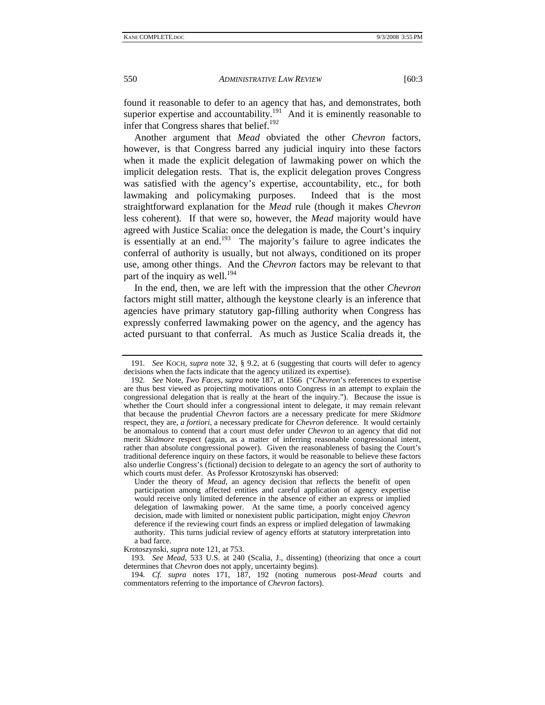found it reasonable to defer to an agency that has, and demonstrates, both superior expertise and accountability.<sup>191</sup> And it is eminently reasonable to infer that Congress shares that belief. $192$ 

Another argument that *Mead* obviated the other *Chevron* factors, however, is that Congress barred any judicial inquiry into these factors when it made the explicit delegation of lawmaking power on which the implicit delegation rests. That is, the explicit delegation proves Congress was satisfied with the agency's expertise, accountability, etc., for both lawmaking and policymaking purposes. Indeed that is the most straightforward explanation for the *Mead* rule (though it makes *Chevron* less coherent). If that were so, however, the *Mead* majority would have agreed with Justice Scalia: once the delegation is made, the Court's inquiry is essentially at an end.<sup>193</sup> The majority's failure to agree indicates the conferral of authority is usually, but not always, conditioned on its proper use, among other things. And the *Chevron* factors may be relevant to that part of the inquiry as well.<sup>194</sup>

In the end, then, we are left with the impression that the other *Chevron* factors might still matter, although the keystone clearly is an inference that agencies have primary statutory gap-filling authority when Congress has expressly conferred lawmaking power on the agency, and the agency has acted pursuant to that conferral. As much as Justice Scalia dreads it, the

Under the theory of *Mead*, an agency decision that reflects the benefit of open participation among affected entities and careful application of agency expertise would receive only limited deference in the absence of either an express or implied delegation of lawmaking power. At the same time, a poorly conceived agency decision, made with limited or nonexistent public participation, might enjoy *Chevron* deference if the reviewing court finds an express or implied delegation of lawmaking authority. This turns judicial review of agency efforts at statutory interpretation into a bad farce.

Krotoszynski, *supra* note 121, at 753.

193*. See Mead*, 533 U.S. at 240 (Scalia, J., dissenting) (theorizing that once a court determines that *Chevron* does not apply, uncertainty begins).

194*. Cf. supra* notes 171, 187, 192 (noting numerous post-*Mead* courts and commentators referring to the importance of *Chevron* factors).

<sup>191</sup>*. See* KOCH, *supra* note 32, § 9.2, at 6 (suggesting that courts will defer to agency decisions when the facts indicate that the agency utilized its expertise).

<sup>192</sup>*. See* Note, *Two Faces*, *supra* note 187, at 1566 ("*Chevron*'s references to expertise are thus best viewed as projecting motivations onto Congress in an attempt to explain the congressional delegation that is really at the heart of the inquiry."). Because the issue is whether the Court should infer a congressional intent to delegate, it may remain relevant that because the prudential *Chevron* factors are a necessary predicate for mere *Skidmore* respect, they are, *a fortiori*, a necessary predicate for *Chevron* deference. It would certainly be anomalous to contend that a court must defer under *Chevron* to an agency that did not merit *Skidmore* respect (again, as a matter of inferring reasonable congressional intent, rather than absolute congressional power). Given the reasonableness of basing the Court's traditional deference inquiry on these factors, it would be reasonable to believe these factors also underlie Congress's (fictional) decision to delegate to an agency the sort of authority to which courts must defer. As Professor Krotoszynski has observed: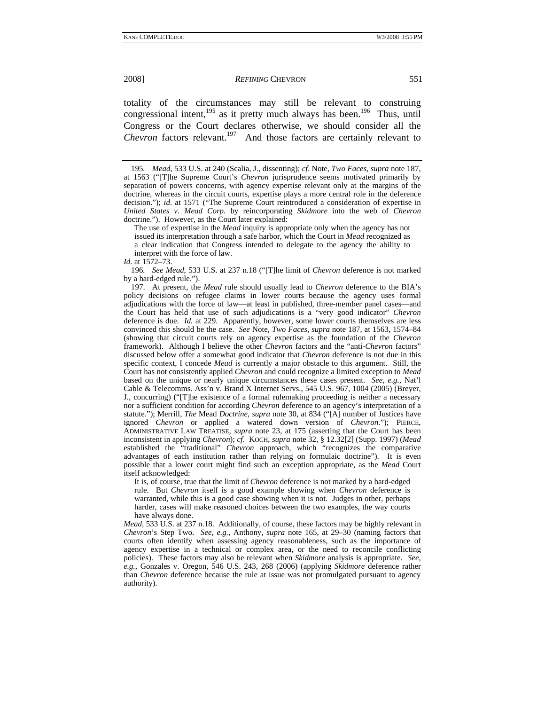totality of the circumstances may still be relevant to construing congressional intent, $195$  as it pretty much always has been.<sup>196</sup> Thus, until Congress or the Court declares otherwise, we should consider all the *Chevron* factors relevant.<sup>197</sup> And those factors are certainly relevant to

The use of expertise in the *Mead* inquiry is appropriate only when the agency has not issued its interpretation through a safe harbor, which the Court in *Mead* recognized as a clear indication that Congress intended to delegate to the agency the ability to interpret with the force of law.

#### *Id.* at 1572–73.

196*. See Mead*, 533 U.S. at 237 n.18 ("[T]he limit of *Chevron* deference is not marked by a hard-edged rule.").

 197. At present, the *Mead* rule should usually lead to *Chevron* deference to the BIA's policy decisions on refugee claims in lower courts because the agency uses formal adjudications with the force of law—at least in published, three-member panel cases—and the Court has held that use of such adjudications is a "very good indicator" *Chevron* deference is due. *Id.* at 229. Apparently, however, some lower courts themselves are less convinced this should be the case. *See* Note, *Two Faces*, *supra* note 187, at 1563, 1574–84 (showing that circuit courts rely on agency expertise as the foundation of the *Chevron* framework). Although I believe the other *Chevron* factors and the "anti-*Chevron* factors" discussed below offer a somewhat good indicator that *Chevron* deference is not due in this specific context, I concede *Mead* is currently a major obstacle to this argument. Still, the Court has not consistently applied *Chevron* and could recognize a limited exception to *Mead* based on the unique or nearly unique circumstances these cases present. *See, e.g.*, Nat'l Cable & Telecomms. Ass'n v. Brand X Internet Servs., 545 U.S. 967, 1004 (2005) (Breyer, J., concurring) ("[T]he existence of a formal rulemaking proceeding is neither a necessary nor a sufficient condition for according *Chevron* deference to an agency's interpretation of a statute."); Merrill, *The* Mead *Doctrine*, *supra* note 30, at 834 ("[A] number of Justices have ignored *Chevron* or applied a watered down version of *Chevron*."); PIERCE, ADMINISTRATIVE LAW TREATISE, *supra* note 23, at 175 (asserting that the Court has been inconsistent in applying *Chevron*); *cf*. KOCH, *supra* note 32, § 12.32[2] (Supp. 1997) (*Mead* established the "traditional" *Chevron* approach, which "recognizes the comparative advantages of each institution rather than relying on formulaic doctrine"). It is even possible that a lower court might find such an exception appropriate, as the *Mead* Court itself acknowledged:

It is, of course, true that the limit of *Chevron* deference is not marked by a hard-edged rule. But *Chevron* itself is a good example showing when *Chevron* deference is warranted, while this is a good case showing when it is not. Judges in other, perhaps harder, cases will make reasoned choices between the two examples, the way courts have always done.

*Mead*, 533 U.S. at 237 n.18. Additionally, of course, these factors may be highly relevant in *Chevron*'s Step Two. *See, e.g.*, Anthony, *supra* note 165, at 29–30 (naming factors that courts often identify when assessing agency reasonableness, such as the importance of agency expertise in a technical or complex area, or the need to reconcile conflicting policies). These factors may also be relevant when *Skidmore* analysis is appropriate. *See, e.g.*, Gonzales v. Oregon, 546 U.S. 243, 268 (2006) (applying *Skidmore* deference rather than *Chevron* deference because the rule at issue was not promulgated pursuant to agency authority).

<sup>195</sup>*. Mead*, 533 U.S. at 240 (Scalia, J., dissenting); *cf*. Note, *Two Faces*, *supra* note 187, at 1563 ("[T]he Supreme Court's *Chevron* jurisprudence seems motivated primarily by separation of powers concerns, with agency expertise relevant only at the margins of the doctrine, whereas in the circuit courts, expertise plays a more central role in the deference decision."); *id*. at 1571 ("The Supreme Court reintroduced a consideration of expertise in *United States v. Mead Corp.* by reincorporating *Skidmore* into the web of *Chevron* doctrine."). However, as the Court later explained: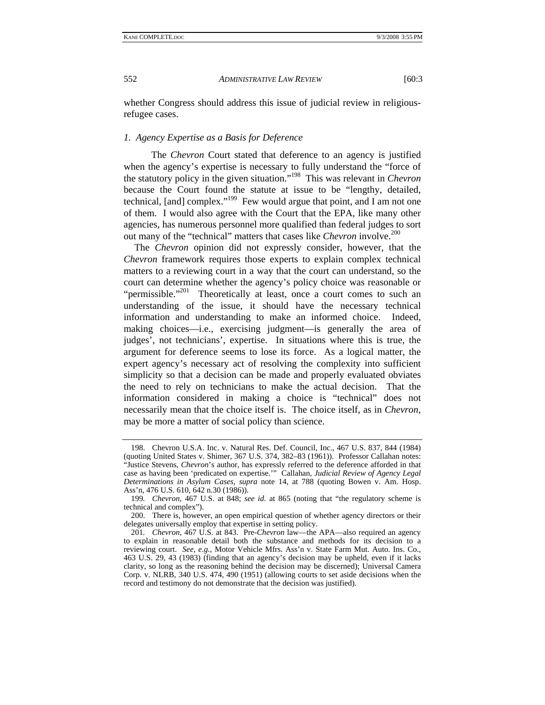whether Congress should address this issue of judicial review in religiousrefugee cases.

## *1. Agency Expertise as a Basis for Deference*

 The *Chevron* Court stated that deference to an agency is justified when the agency's expertise is necessary to fully understand the "force of the statutory policy in the given situation."198 This was relevant in *Chevron* because the Court found the statute at issue to be "lengthy, detailed, technical, [and] complex."<sup>199</sup> Few would argue that point, and I am not one of them. I would also agree with the Court that the EPA, like many other agencies, has numerous personnel more qualified than federal judges to sort out many of the "technical" matters that cases like *Chevron* involve.<sup>200</sup>

The *Chevron* opinion did not expressly consider, however, that the *Chevron* framework requires those experts to explain complex technical matters to a reviewing court in a way that the court can understand, so the court can determine whether the agency's policy choice was reasonable or "permissible."<sup>201</sup> Theoretically at least, once a court comes to such an understanding of the issue, it should have the necessary technical information and understanding to make an informed choice. Indeed, making choices—i.e., exercising judgment—is generally the area of judges', not technicians', expertise. In situations where this is true, the argument for deference seems to lose its force. As a logical matter, the expert agency's necessary act of resolving the complexity into sufficient simplicity so that a decision can be made and properly evaluated obviates the need to rely on technicians to make the actual decision. That the information considered in making a choice is "technical" does not necessarily mean that the choice itself is. The choice itself, as in *Chevron*, may be more a matter of social policy than science.

 <sup>198.</sup> Chevron U.S.A. Inc. v. Natural Res. Def. Council, Inc., 467 U.S. 837, 844 (1984) (quoting United States v. Shimer, 367 U.S. 374, 382–83 (1961)). Professor Callahan notes: "Justice Stevens, *Chevron*'s author, has expressly referred to the deference afforded in that case as having been 'predicated on expertise.'" Callahan, *Judicial Review of Agency Legal Determinations in Asylum Cases*, *supra* note 14, at 788 (quoting Bowen v. Am. Hosp. Ass'n, 476 U.S. 610, 642 n.30 (1986)).

<sup>199</sup>*. Chevron*, 467 U.S. at 848; *see id.* at 865 (noting that "the regulatory scheme is technical and complex").

 <sup>200.</sup> There is, however, an open empirical question of whether agency directors or their delegates universally employ that expertise in setting policy.

<sup>201</sup>*. Chevron*, 467 U.S. at 843. Pre-*Chevron* law—the APA—also required an agency to explain in reasonable detail both the substance and methods for its decision to a reviewing court. *See, e.g.*, Motor Vehicle Mfrs. Ass'n v. State Farm Mut. Auto. Ins. Co., 463 U.S. 29, 43 (1983) (finding that an agency's decision may be upheld, even if it lacks clarity, so long as the reasoning behind the decision may be discerned); Universal Camera Corp. v. NLRB, 340 U.S. 474, 490 (1951) (allowing courts to set aside decisions when the record and testimony do not demonstrate that the decision was justified).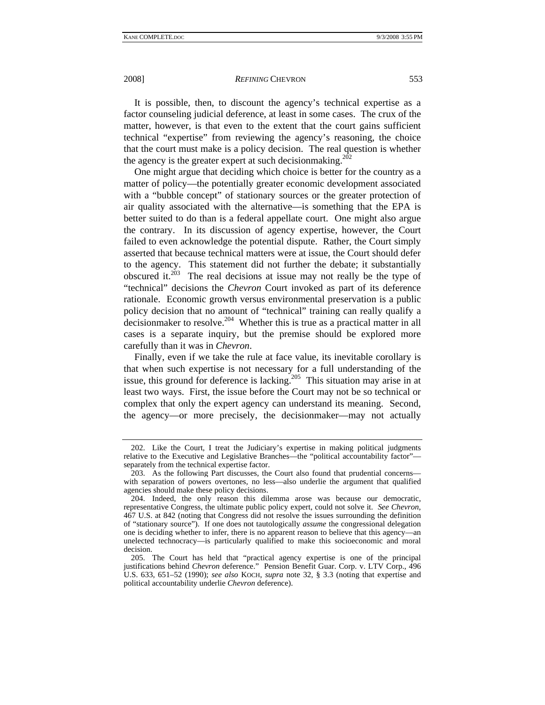It is possible, then, to discount the agency's technical expertise as a factor counseling judicial deference, at least in some cases. The crux of the matter, however, is that even to the extent that the court gains sufficient technical "expertise" from reviewing the agency's reasoning, the choice that the court must make is a policy decision. The real question is whether the agency is the greater expert at such decision making.<sup>202</sup>

One might argue that deciding which choice is better for the country as a matter of policy—the potentially greater economic development associated with a "bubble concept" of stationary sources or the greater protection of air quality associated with the alternative—is something that the EPA is better suited to do than is a federal appellate court. One might also argue the contrary. In its discussion of agency expertise, however, the Court failed to even acknowledge the potential dispute. Rather, the Court simply asserted that because technical matters were at issue, the Court should defer to the agency. This statement did not further the debate; it substantially obscured it.<sup>203</sup> The real decisions at issue may not really be the type of "technical" decisions the *Chevron* Court invoked as part of its deference rationale. Economic growth versus environmental preservation is a public policy decision that no amount of "technical" training can really qualify a  $\frac{1}{2}$  decisionmaker to resolve.<sup>204</sup> Whether this is true as a practical matter in all cases is a separate inquiry, but the premise should be explored more carefully than it was in *Chevron*.

Finally, even if we take the rule at face value, its inevitable corollary is that when such expertise is not necessary for a full understanding of the issue, this ground for deference is lacking.<sup>205</sup> This situation may arise in at least two ways. First, the issue before the Court may not be so technical or complex that only the expert agency can understand its meaning. Second, the agency—or more precisely, the decisionmaker—may not actually

 <sup>202.</sup> Like the Court, I treat the Judiciary's expertise in making political judgments relative to the Executive and Legislative Branches—the "political accountability factor" separately from the technical expertise factor.

 <sup>203.</sup> As the following Part discusses, the Court also found that prudential concerns with separation of powers overtones, no less—also underlie the argument that qualified agencies should make these policy decisions.

 <sup>204.</sup> Indeed, the only reason this dilemma arose was because our democratic, representative Congress, the ultimate public policy expert, could not solve it. *See Chevron*, 467 U.S. at 842 (noting that Congress did not resolve the issues surrounding the definition of "stationary source"). If one does not tautologically *assume* the congressional delegation one is deciding whether to infer, there is no apparent reason to believe that this agency—an unelected technocracy—is particularly qualified to make this socioeconomic and moral decision.

 <sup>205.</sup> The Court has held that "practical agency expertise is one of the principal justifications behind *Chevron* deference." Pension Benefit Guar. Corp. v. LTV Corp., 496 U.S. 633, 651–52 (1990); *see also* KOCH, *supra* note 32, § 3.3 (noting that expertise and political accountability underlie *Chevron* deference).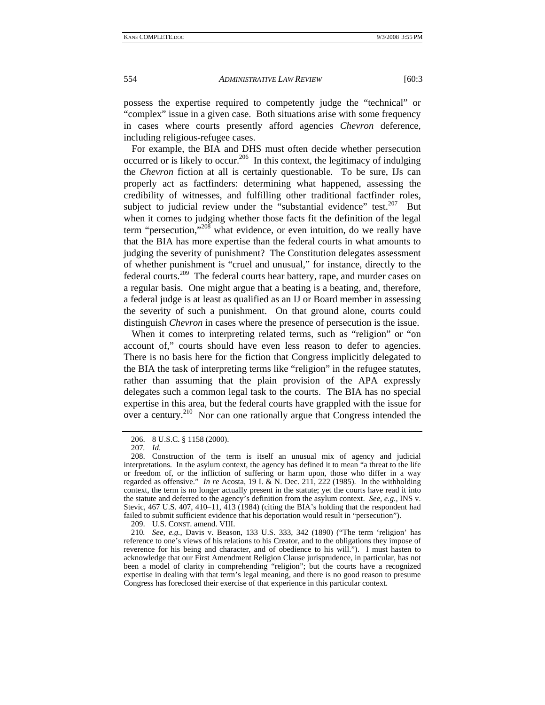possess the expertise required to competently judge the "technical" or "complex" issue in a given case. Both situations arise with some frequency in cases where courts presently afford agencies *Chevron* deference, including religious-refugee cases.

For example, the BIA and DHS must often decide whether persecution occurred or is likely to occur.<sup>206</sup> In this context, the legitimacy of indulging the *Chevron* fiction at all is certainly questionable. To be sure, IJs can properly act as factfinders: determining what happened, assessing the credibility of witnesses, and fulfilling other traditional factfinder roles, subject to judicial review under the "substantial evidence" test.<sup>207</sup> But when it comes to judging whether those facts fit the definition of the legal term "persecution,"208 what evidence, or even intuition, do we really have that the BIA has more expertise than the federal courts in what amounts to judging the severity of punishment? The Constitution delegates assessment of whether punishment is "cruel and unusual," for instance, directly to the federal courts.209 The federal courts hear battery, rape, and murder cases on a regular basis. One might argue that a beating is a beating, and, therefore, a federal judge is at least as qualified as an IJ or Board member in assessing the severity of such a punishment. On that ground alone, courts could distinguish *Chevron* in cases where the presence of persecution is the issue.

When it comes to interpreting related terms, such as "religion" or "on account of," courts should have even less reason to defer to agencies. There is no basis here for the fiction that Congress implicitly delegated to the BIA the task of interpreting terms like "religion" in the refugee statutes, rather than assuming that the plain provision of the APA expressly delegates such a common legal task to the courts. The BIA has no special expertise in this area, but the federal courts have grappled with the issue for over a century.210 Nor can one rationally argue that Congress intended the

209. U.S. CONST. amend. VIII.

 <sup>206. 8</sup> U.S.C. § 1158 (2000).

<sup>207</sup>*. Id*.

 <sup>208.</sup> Construction of the term is itself an unusual mix of agency and judicial interpretations. In the asylum context, the agency has defined it to mean "a threat to the life or freedom of, or the infliction of suffering or harm upon, those who differ in a way regarded as offensive." *In re* Acosta, 19 I. & N. Dec. 211, 222 (1985). In the withholding context, the term is no longer actually present in the statute; yet the courts have read it into the statute and deferred to the agency's definition from the asylum context. *See, e.g.*, INS v. Stevic, 467 U.S. 407, 410–11, 413 (1984) (citing the BIA's holding that the respondent had failed to submit sufficient evidence that his deportation would result in "persecution").

<sup>210</sup>*. See, e.g.*, Davis v. Beason, 133 U.S. 333, 342 (1890) ("The term 'religion' has reference to one's views of his relations to his Creator, and to the obligations they impose of reverence for his being and character, and of obedience to his will."). I must hasten to acknowledge that our First Amendment Religion Clause jurisprudence, in particular, has not been a model of clarity in comprehending "religion"; but the courts have a recognized expertise in dealing with that term's legal meaning, and there is no good reason to presume Congress has foreclosed their exercise of that experience in this particular context.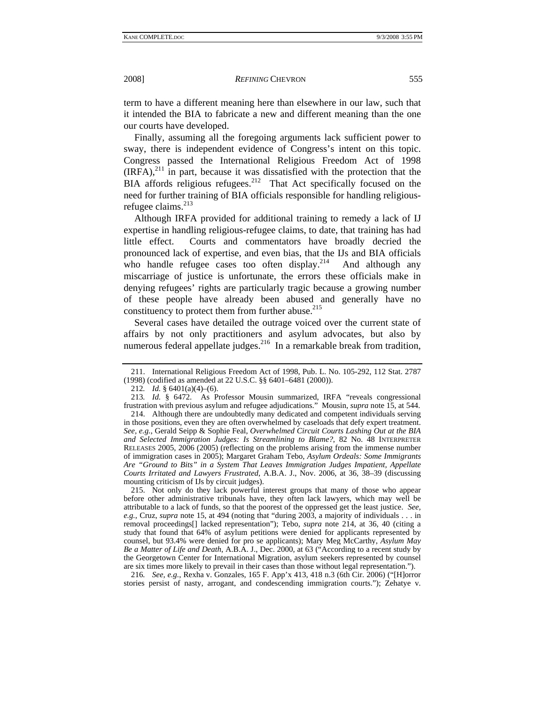term to have a different meaning here than elsewhere in our law, such that it intended the BIA to fabricate a new and different meaning than the one our courts have developed.

Finally, assuming all the foregoing arguments lack sufficient power to sway, there is independent evidence of Congress's intent on this topic. Congress passed the International Religious Freedom Act of 1998  $(RFA)$ ,<sup>211</sup> in part, because it was dissatisfied with the protection that the BIA affords religious refugees.<sup>212</sup> That Act specifically focused on the need for further training of BIA officials responsible for handling religiousrefugee claims. $^{213}$ 

Although IRFA provided for additional training to remedy a lack of IJ expertise in handling religious-refugee claims, to date, that training has had little effect. Courts and commentators have broadly decried the pronounced lack of expertise, and even bias, that the IJs and BIA officials who handle refugee cases too often display.<sup>214</sup> And although any miscarriage of justice is unfortunate, the errors these officials make in denying refugees' rights are particularly tragic because a growing number of these people have already been abused and generally have no constituency to protect them from further abuse.<sup>215</sup>

Several cases have detailed the outrage voiced over the current state of affairs by not only practitioners and asylum advocates, but also by numerous federal appellate judges.<sup>216</sup> In a remarkable break from tradition,

 215. Not only do they lack powerful interest groups that many of those who appear before other administrative tribunals have, they often lack lawyers, which may well be attributable to a lack of funds, so that the poorest of the oppressed get the least justice. *See, e.g.*, Cruz, *supra* note 15, at 494 (noting that "during 2003, a majority of individuals . . . in removal proceedings[] lacked representation"); Tebo, *supra* note 214, at 36, 40 (citing a study that found that 64% of asylum petitions were denied for applicants represented by counsel, but 93.4% were denied for pro se applicants); Mary Meg McCarthy, *Asylum May Be a Matter of Life and Death*, A.B.A. J., Dec. 2000, at 63 ("According to a recent study by the Georgetown Center for International Migration, asylum seekers represented by counsel are six times more likely to prevail in their cases than those without legal representation.").

216*. See, e.g.*, Rexha v. Gonzales, 165 F. App'x 413, 418 n.3 (6th Cir. 2006) ("[H]orror stories persist of nasty, arrogant, and condescending immigration courts."); Zehatye v.

 <sup>211.</sup> International Religious Freedom Act of 1998, Pub. L. No. 105-292, 112 Stat. 2787 (1998) (codified as amended at 22 U.S.C. §§ 6401–6481 (2000)).

<sup>212</sup>*. Id.* § 6401(a)(4)–(6).

<sup>213</sup>*. Id.* § 6472. As Professor Mousin summarized, IRFA "reveals congressional frustration with previous asylum and refugee adjudications." Mousin, *supra* note 15, at 544.

 <sup>214.</sup> Although there are undoubtedly many dedicated and competent individuals serving in those positions, even they are often overwhelmed by caseloads that defy expert treatment. *See, e.g.*, Gerald Seipp & Sophie Feal, *Overwhelmed Circuit Courts Lashing Out at the BIA and Selected Immigration Judges: Is Streamlining to Blame?*, 82 No. 48 INTERPRETER RELEASES 2005, 2006 (2005) (reflecting on the problems arising from the immense number of immigration cases in 2005); Margaret Graham Tebo, *Asylum Ordeals: Some Immigrants Are "Ground to Bits" in a System That Leaves Immigration Judges Impatient, Appellate Courts Irritated and Lawyers Frustrated*, A.B.A. J., Nov. 2006, at 36, 38–39 (discussing mounting criticism of IJs by circuit judges).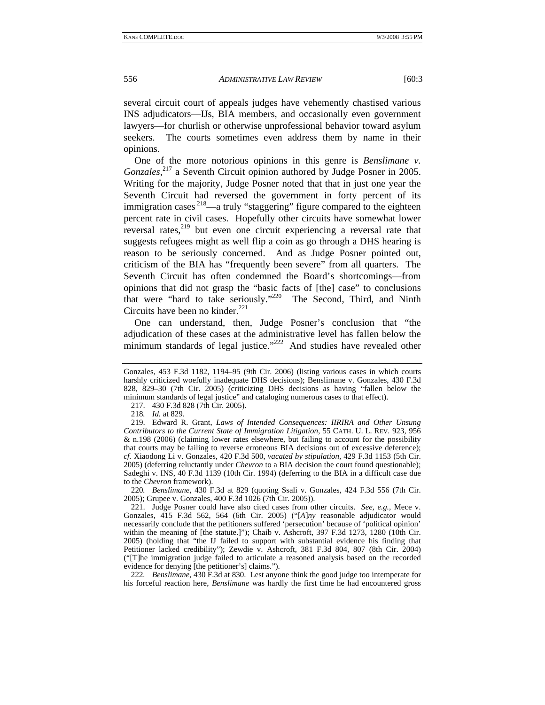several circuit court of appeals judges have vehemently chastised various INS adjudicators—IJs, BIA members, and occasionally even government lawyers—for churlish or otherwise unprofessional behavior toward asylum seekers. The courts sometimes even address them by name in their opinions.

One of the more notorious opinions in this genre is *Benslimane v.*  Gonzales,<sup>217</sup> a Seventh Circuit opinion authored by Judge Posner in 2005. Writing for the majority, Judge Posner noted that that in just one year the Seventh Circuit had reversed the government in forty percent of its immigration cases  $2^{18}$ —a truly "staggering" figure compared to the eighteen percent rate in civil cases. Hopefully other circuits have somewhat lower reversal rates,<sup>219</sup> but even one circuit experiencing a reversal rate that suggests refugees might as well flip a coin as go through a DHS hearing is reason to be seriously concerned. And as Judge Posner pointed out, criticism of the BIA has "frequently been severe" from all quarters. The Seventh Circuit has often condemned the Board's shortcomings—from opinions that did not grasp the "basic facts of [the] case" to conclusions that were "hard to take seriously."<sup>220</sup> The Second, Third, and Ninth Circuits have been no kinder.<sup>221</sup>

One can understand, then, Judge Posner's conclusion that "the adjudication of these cases at the administrative level has fallen below the minimum standards of legal justice."<sup>222</sup> And studies have revealed other

217. 430 F.3d 828 (7th Cir. 2005).

218*. Id.* at 829.

220*. Benslimane*, 430 F.3d at 829 (quoting Ssali v. Gonzales, 424 F.3d 556 (7th Cir. 2005); Grupee v. Gonzales, 400 F.3d 1026 (7th Cir. 2005)).

 221. Judge Posner could have also cited cases from other circuits. *See, e.g.*, Mece v. Gonzales, 415 F.3d 562, 564 (6th Cir. 2005) ("[*A*]*ny* reasonable adjudicator would necessarily conclude that the petitioners suffered 'persecution' because of 'political opinion' within the meaning of [the statute.]"); Chaib v. Ashcroft, 397 F.3d 1273, 1280 (10th Cir. 2005) (holding that "the IJ failed to support with substantial evidence his finding that Petitioner lacked credibility"); Zewdie v. Ashcroft, 381 F.3d 804, 807 (8th Cir. 2004) ("[T]he immigration judge failed to articulate a reasoned analysis based on the recorded evidence for denying [the petitioner's] claims.").

222*. Benslimane*, 430 F.3d at 830. Lest anyone think the good judge too intemperate for his forceful reaction here, *Benslimane* was hardly the first time he had encountered gross

Gonzales, 453 F.3d 1182, 1194–95 (9th Cir. 2006) (listing various cases in which courts harshly criticized woefully inadequate DHS decisions); Benslimane v. Gonzales, 430 F.3d 828, 829–30 (7th Cir. 2005) (criticizing DHS decisions as having "fallen below the minimum standards of legal justice" and cataloging numerous cases to that effect).

 <sup>219.</sup> Edward R. Grant, *Laws of Intended Consequences: IIRIRA and Other Unsung Contributors to the Current State of Immigration Litigation*, 55 CATH. U. L. REV. 923, 956 & n.198 (2006) (claiming lower rates elsewhere, but failing to account for the possibility that courts may be failing to reverse erroneous BIA decisions out of excessive deference); *cf.* Xiaodong Li v. Gonzales, 420 F.3d 500, *vacated by stipulation*, 429 F.3d 1153 (5th Cir. 2005) (deferring reluctantly under *Chevron* to a BIA decision the court found questionable); Sadeghi v. INS, 40 F.3d 1139 (10th Cir. 1994) (deferring to the BIA in a difficult case due to the *Chevron* framework).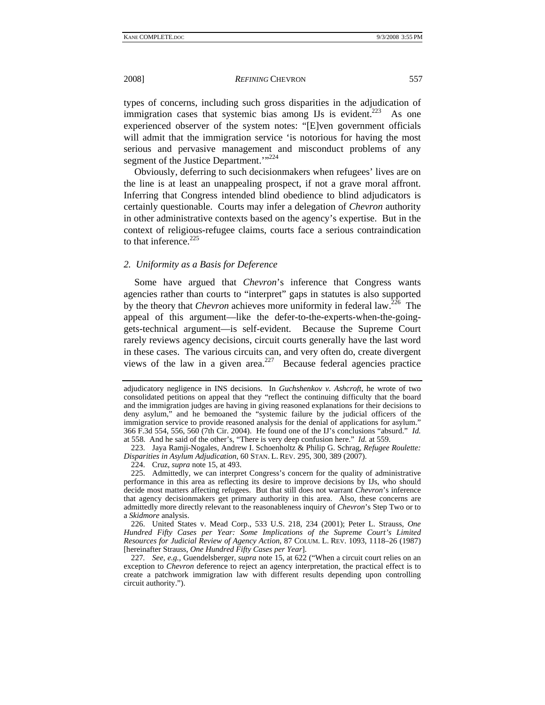types of concerns, including such gross disparities in the adjudication of immigration cases that systemic bias among IJs is evident.<sup>223</sup> As one experienced observer of the system notes: "[E]ven government officials will admit that the immigration service 'is notorious for having the most serious and pervasive management and misconduct problems of any segment of the Justice Department.'"<sup>224</sup>

Obviously, deferring to such decisionmakers when refugees' lives are on the line is at least an unappealing prospect, if not a grave moral affront. Inferring that Congress intended blind obedience to blind adjudicators is certainly questionable. Courts may infer a delegation of *Chevron* authority in other administrative contexts based on the agency's expertise. But in the context of religious-refugee claims, courts face a serious contraindication to that inference.<sup>225</sup>

### *2. Uniformity as a Basis for Deference*

Some have argued that *Chevron*'s inference that Congress wants agencies rather than courts to "interpret" gaps in statutes is also supported by the theory that *Chevron* achieves more uniformity in federal law.<sup> $226$ </sup> The appeal of this argument—like the defer-to-the-experts-when-the-goinggets-technical argument—is self-evident. Because the Supreme Court rarely reviews agency decisions, circuit courts generally have the last word in these cases. The various circuits can, and very often do, create divergent views of the law in a given area.<sup>227</sup> Because federal agencies practice

 226. United States v. Mead Corp., 533 U.S. 218, 234 (2001); Peter L. Strauss, *One Hundred Fifty Cases per Year: Some Implications of the Supreme Court's Limited Resources for Judicial Review of Agency Action*, 87 COLUM. L. REV. 1093, 1118–26 (1987) [hereinafter Strauss, *One Hundred Fifty Cases per Year*].

227*. See, e.g.*, Guendelsberger, *supra* note 15, at 622 ("When a circuit court relies on an exception to *Chevron* deference to reject an agency interpretation, the practical effect is to create a patchwork immigration law with different results depending upon controlling circuit authority.").

adjudicatory negligence in INS decisions. In *Guchshenkov v. Ashcroft*, he wrote of two consolidated petitions on appeal that they "reflect the continuing difficulty that the board and the immigration judges are having in giving reasoned explanations for their decisions to deny asylum," and he bemoaned the "systemic failure by the judicial officers of the immigration service to provide reasoned analysis for the denial of applications for asylum." 366 F.3d 554, 556, 560 (7th Cir. 2004). He found one of the IJ's conclusions "absurd." *Id.* at 558. And he said of the other's, "There is very deep confusion here." *Id.* at 559.

 <sup>223.</sup> Jaya Ramji-Nogales, Andrew I. Schoenholtz & Philip G. Schrag, *Refugee Roulette: Disparities in Asylum Adjudication*, 60 STAN. L. REV. 295, 300, 389 (2007).

 <sup>224.</sup> Cruz, *supra* note 15, at 493.

 <sup>225.</sup> Admittedly, we can interpret Congress's concern for the quality of administrative performance in this area as reflecting its desire to improve decisions by IJs, who should decide most matters affecting refugees. But that still does not warrant *Chevron*'s inference that agency decisionmakers get primary authority in this area. Also, these concerns are admittedly more directly relevant to the reasonableness inquiry of *Chevron*'s Step Two or to a *Skidmore* analysis.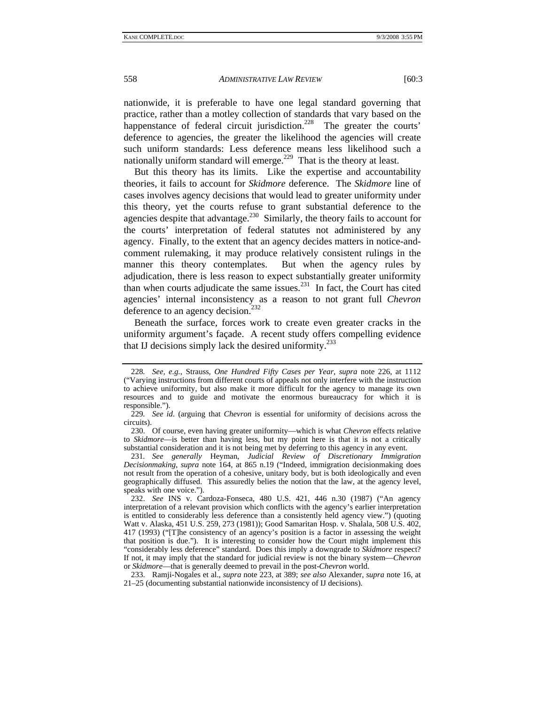nationwide, it is preferable to have one legal standard governing that practice, rather than a motley collection of standards that vary based on the happenstance of federal circuit jurisdiction.<sup>228</sup> The greater the courts' deference to agencies, the greater the likelihood the agencies will create such uniform standards: Less deference means less likelihood such a nationally uniform standard will emerge.<sup>229</sup> That is the theory at least.

But this theory has its limits. Like the expertise and accountability theories, it fails to account for *Skidmore* deference. The *Skidmore* line of cases involves agency decisions that would lead to greater uniformity under this theory, yet the courts refuse to grant substantial deference to the agencies despite that advantage.<sup>230</sup> Similarly, the theory fails to account for the courts' interpretation of federal statutes not administered by any agency. Finally, to the extent that an agency decides matters in notice-andcomment rulemaking, it may produce relatively consistent rulings in the manner this theory contemplates. But when the agency rules by adjudication, there is less reason to expect substantially greater uniformity than when courts adjudicate the same issues. $^{231}$  In fact, the Court has cited agencies' internal inconsistency as a reason to not grant full *Chevron* deference to an agency decision.<sup>232</sup>

Beneath the surface, forces work to create even greater cracks in the uniformity argument's façade. A recent study offers compelling evidence that IJ decisions simply lack the desired uniformity.<sup>233</sup>

 233. Ramji-Nogales et al., *supra* note 223, at 389; *see also* Alexander, *supra* note 16, at 21–25 (documenting substantial nationwide inconsistency of IJ decisions).

<sup>228</sup>*. See, e.g.*, Strauss, *One Hundred Fifty Cases per Year*, *supra* note 226, at 1112 ("Varying instructions from different courts of appeals not only interfere with the instruction to achieve uniformity, but also make it more difficult for the agency to manage its own resources and to guide and motivate the enormous bureaucracy for which it is responsible.").

<sup>229</sup>*. See id*. (arguing that *Chevron* is essential for uniformity of decisions across the circuits).

 <sup>230.</sup> Of course, even having greater uniformity—which is what *Chevron* effects relative to *Skidmore*—is better than having less, but my point here is that it is not a critically substantial consideration and it is not being met by deferring to this agency in any event.

<sup>231</sup>*. See generally* Heyman, *Judicial Review of Discretionary Immigration Decisionmaking*, *supra* note 164, at 865 n.19 ("Indeed, immigration decisionmaking does not result from the operation of a cohesive, unitary body, but is both ideologically and even geographically diffused. This assuredly belies the notion that the law, at the agency level, speaks with one voice.").

 <sup>232.</sup> *See* INS v. Cardoza-Fonseca, 480 U.S. 421, 446 n.30 (1987) ("An agency interpretation of a relevant provision which conflicts with the agency's earlier interpretation is entitled to considerably less deference than a consistently held agency view.") (quoting Watt v. Alaska, 451 U.S. 259, 273 (1981)); Good Samaritan Hosp. v. Shalala, 508 U.S. 402, 417 (1993) ("[T]he consistency of an agency's position is a factor in assessing the weight that position is due."). It is interesting to consider how the Court might implement this "considerably less deference" standard. Does this imply a downgrade to *Skidmore* respect? If not, it may imply that the standard for judicial review is not the binary system—*Chevron* or *Skidmore*—that is generally deemed to prevail in the post-*Chevron* world.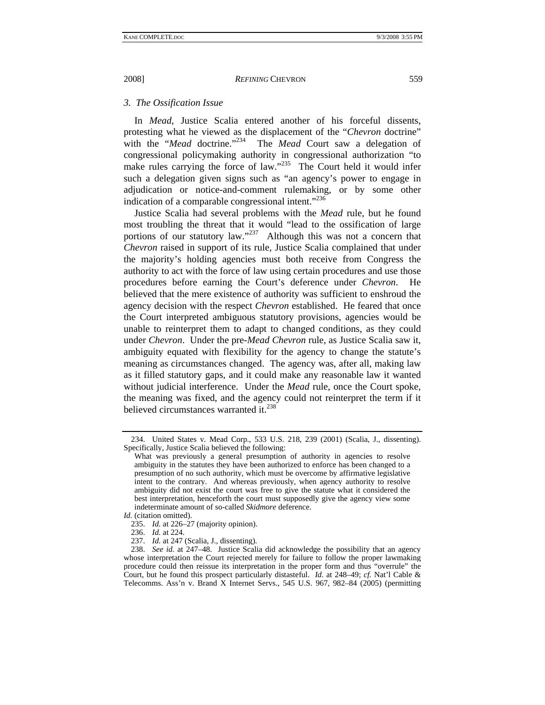# *3. The Ossification Issue*

In *Mead*, Justice Scalia entered another of his forceful dissents, protesting what he viewed as the displacement of the "*Chevron* doctrine" with the "*Mead* doctrine."<sup>234</sup> The *Mead* Court saw a delegation of The *Mead* Court saw a delegation of congressional policymaking authority in congressional authorization "to make rules carrying the force of law. $1235$  The Court held it would infer such a delegation given signs such as "an agency's power to engage in adjudication or notice-and-comment rulemaking, or by some other indication of a comparable congressional intent."<sup>236</sup>

Justice Scalia had several problems with the *Mead* rule, but he found most troubling the threat that it would "lead to the ossification of large portions of our statutory law."<sup>237</sup> Although this was not a concern that *Chevron* raised in support of its rule, Justice Scalia complained that under the majority's holding agencies must both receive from Congress the authority to act with the force of law using certain procedures and use those procedures before earning the Court's deference under *Chevron*. He believed that the mere existence of authority was sufficient to enshroud the agency decision with the respect *Chevron* established. He feared that once the Court interpreted ambiguous statutory provisions, agencies would be unable to reinterpret them to adapt to changed conditions, as they could under *Chevron*. Under the pre-*Mead Chevron* rule, as Justice Scalia saw it, ambiguity equated with flexibility for the agency to change the statute's meaning as circumstances changed. The agency was, after all, making law as it filled statutory gaps, and it could make any reasonable law it wanted without judicial interference. Under the *Mead* rule, once the Court spoke, the meaning was fixed, and the agency could not reinterpret the term if it believed circumstances warranted it.<sup>238</sup>

236. *Id.* at 224.

 <sup>234.</sup> United States v. Mead Corp., 533 U.S. 218, 239 (2001) (Scalia, J., dissenting). Specifically, Justice Scalia believed the following:

What was previously a general presumption of authority in agencies to resolve ambiguity in the statutes they have been authorized to enforce has been changed to a presumption of no such authority, which must be overcome by affirmative legislative intent to the contrary. And whereas previously, when agency authority to resolve ambiguity did not exist the court was free to give the statute what it considered the best interpretation, henceforth the court must supposedly give the agency view some indeterminate amount of so-called *Skidmore* deference.

*Id.* (citation omitted).

 <sup>235.</sup> *Id.* at 226–27 (majority opinion).

 <sup>237.</sup> *Id.* at 247 (Scalia, J., dissenting).

 <sup>238.</sup> *See id.* at 247–48. Justice Scalia did acknowledge the possibility that an agency whose interpretation the Court rejected merely for failure to follow the proper lawmaking procedure could then reissue its interpretation in the proper form and thus "overrule" the Court, but he found this prospect particularly distasteful. *Id.* at 248–49; *cf.* Nat'l Cable & Telecomms. Ass'n v. Brand X Internet Servs., 545 U.S. 967, 982–84 (2005) (permitting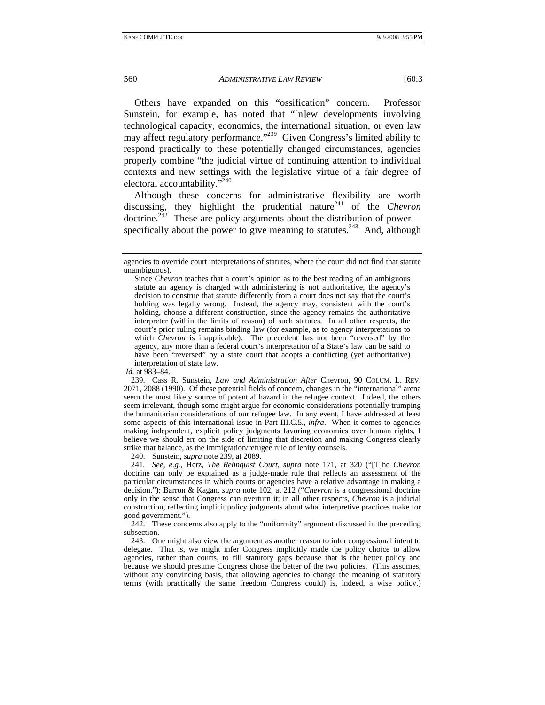Others have expanded on this "ossification" concern. Professor Sunstein, for example, has noted that "[n]ew developments involving technological capacity, economics, the international situation, or even law may affect regulatory performance."<sup>239</sup> Given Congress's limited ability to respond practically to these potentially changed circumstances, agencies properly combine "the judicial virtue of continuing attention to individual contexts and new settings with the legislative virtue of a fair degree of electoral accountability."<sup>240</sup>

Although these concerns for administrative flexibility are worth discussing, they highlight the prudential nature<sup>241</sup> of the *Chevron* doctrine.<sup> $242$ </sup> These are policy arguments about the distribution of power specifically about the power to give meaning to statutes.<sup>243</sup> And, although

240. Sunstein, *supra* note 239, at 2089.

241*. See, e.g.*, Herz, *The Rehnquist Court*, *supra* note 171, at 320 ("[T]he *Chevron* doctrine can only be explained as a judge-made rule that reflects an assessment of the particular circumstances in which courts or agencies have a relative advantage in making a decision."); Barron & Kagan, *supra* note 102, at 212 ("*Chevron* is a congressional doctrine only in the sense that Congress can overturn it; in all other respects, *Chevron* is a judicial construction, reflecting implicit policy judgments about what interpretive practices make for good government.").

 242. These concerns also apply to the "uniformity" argument discussed in the preceding subsection.

 243. One might also view the argument as another reason to infer congressional intent to delegate. That is, we might infer Congress implicitly made the policy choice to allow agencies, rather than courts, to fill statutory gaps because that is the better policy and because we should presume Congress chose the better of the two policies. (This assumes, without any convincing basis, that allowing agencies to change the meaning of statutory terms (with practically the same freedom Congress could) is, indeed, a wise policy.)

agencies to override court interpretations of statutes, where the court did not find that statute unambiguous).

Since *Chevron* teaches that a court's opinion as to the best reading of an ambiguous statute an agency is charged with administering is not authoritative, the agency's decision to construe that statute differently from a court does not say that the court's holding was legally wrong. Instead, the agency may, consistent with the court's holding, choose a different construction, since the agency remains the authoritative interpreter (within the limits of reason) of such statutes. In all other respects, the court's prior ruling remains binding law (for example, as to agency interpretations to which *Chevron* is inapplicable). The precedent has not been "reversed" by the agency, any more than a federal court's interpretation of a State's law can be said to have been "reversed" by a state court that adopts a conflicting (yet authoritative) interpretation of state law.

*Id.* at 983–84.

 <sup>239.</sup> Cass R. Sunstein, *Law and Administration After* Chevron, 90 COLUM. L. REV. 2071, 2088 (1990). Of these potential fields of concern, changes in the "international" arena seem the most likely source of potential hazard in the refugee context. Indeed, the others seem irrelevant, though some might argue for economic considerations potentially trumping the humanitarian considerations of our refugee law. In any event, I have addressed at least some aspects of this international issue in Part III.C.5., *infra*. When it comes to agencies making independent, explicit policy judgments favoring economics over human rights, I believe we should err on the side of limiting that discretion and making Congress clearly strike that balance, as the immigration/refugee rule of lenity counsels.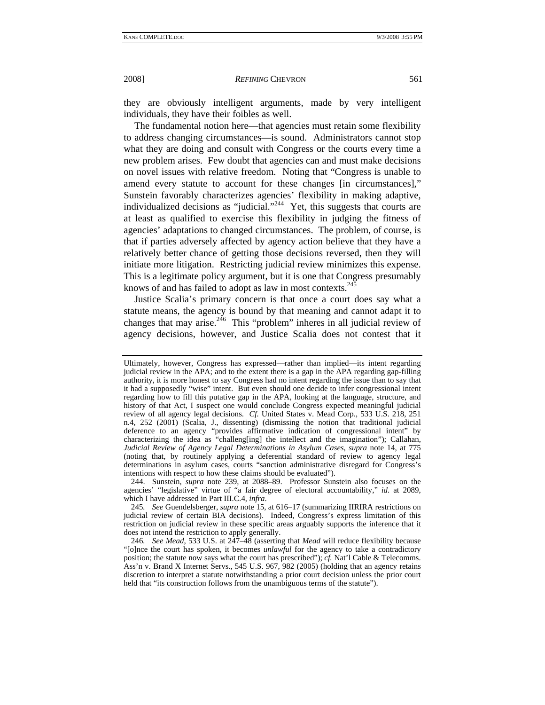they are obviously intelligent arguments, made by very intelligent individuals, they have their foibles as well.

The fundamental notion here—that agencies must retain some flexibility to address changing circumstances—is sound. Administrators cannot stop what they are doing and consult with Congress or the courts every time a new problem arises. Few doubt that agencies can and must make decisions on novel issues with relative freedom. Noting that "Congress is unable to amend every statute to account for these changes [in circumstances]," Sunstein favorably characterizes agencies' flexibility in making adaptive, individualized decisions as "judicial."244 Yet, this suggests that courts are at least as qualified to exercise this flexibility in judging the fitness of agencies' adaptations to changed circumstances. The problem, of course, is that if parties adversely affected by agency action believe that they have a relatively better chance of getting those decisions reversed, then they will initiate more litigation. Restricting judicial review minimizes this expense. This is a legitimate policy argument, but it is one that Congress presumably knows of and has failed to adopt as law in most contexts. $24\overline{5}$ 

Justice Scalia's primary concern is that once a court does say what a statute means, the agency is bound by that meaning and cannot adapt it to changes that may arise.<sup>246</sup> This "problem" inheres in all judicial review of agency decisions, however, and Justice Scalia does not contest that it

245*. See* Guendelsberger, *supra* note 15, at 616–17 (summarizing IIRIRA restrictions on judicial review of certain BIA decisions). Indeed, Congress's express limitation of this restriction on judicial review in these specific areas arguably supports the inference that it does not intend the restriction to apply generally.

Ultimately, however, Congress has expressed—rather than implied—its intent regarding judicial review in the APA; and to the extent there is a gap in the APA regarding gap-filling authority, it is more honest to say Congress had no intent regarding the issue than to say that it had a supposedly "wise" intent. But even should one decide to infer congressional intent regarding how to fill this putative gap in the APA, looking at the language, structure, and history of that Act, I suspect one would conclude Congress expected meaningful judicial review of all agency legal decisions. *Cf.* United States v. Mead Corp., 533 U.S. 218, 251 n.4, 252 (2001) (Scalia, J., dissenting) (dismissing the notion that traditional judicial deference to an agency "provides affirmative indication of congressional intent" by characterizing the idea as "challeng[ing] the intellect and the imagination"); Callahan, *Judicial Review of Agency Legal Determinations in Asylum Cases*, *supra* note 14, at 775 (noting that, by routinely applying a deferential standard of review to agency legal determinations in asylum cases, courts "sanction administrative disregard for Congress's intentions with respect to how these claims should be evaluated").

 <sup>244.</sup> Sunstein, *supra* note 239, at 2088–89. Professor Sunstein also focuses on the agencies' "legislative" virtue of "a fair degree of electoral accountability," *id*. at 2089, which I have addressed in Part III.C.4, *infra*.

<sup>246</sup>*. See Mead*, 533 U.S. at 247–48 (asserting that *Mead* will reduce flexibility because "[o]nce the court has spoken, it becomes *unlawful* for the agency to take a contradictory position; the statute now says what the court has prescribed"); *cf.* Nat'l Cable & Telecomms. Ass'n v. Brand X Internet Servs., 545 U.S. 967, 982 (2005) (holding that an agency retains discretion to interpret a statute notwithstanding a prior court decision unless the prior court held that "its construction follows from the unambiguous terms of the statute").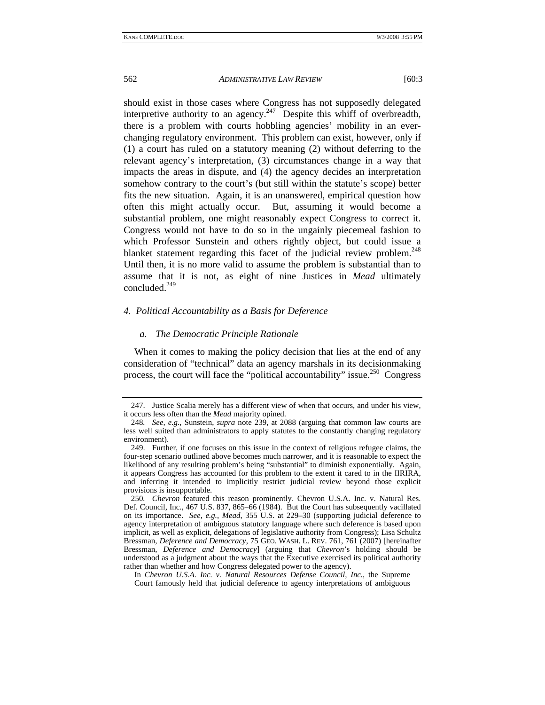should exist in those cases where Congress has not supposedly delegated interpretive authority to an agency.<sup>247</sup> Despite this whiff of overbreadth, there is a problem with courts hobbling agencies' mobility in an everchanging regulatory environment. This problem can exist, however, only if (1) a court has ruled on a statutory meaning (2) without deferring to the relevant agency's interpretation, (3) circumstances change in a way that impacts the areas in dispute, and (4) the agency decides an interpretation somehow contrary to the court's (but still within the statute's scope) better fits the new situation. Again, it is an unanswered, empirical question how often this might actually occur. But, assuming it would become a substantial problem, one might reasonably expect Congress to correct it. Congress would not have to do so in the ungainly piecemeal fashion to which Professor Sunstein and others rightly object, but could issue a blanket statement regarding this facet of the judicial review problem.<sup>248</sup> Until then, it is no more valid to assume the problem is substantial than to assume that it is not, as eight of nine Justices in *Mead* ultimately concluded.249

### *4. Political Accountability as a Basis for Deference*

#### *a. The Democratic Principle Rationale*

When it comes to making the policy decision that lies at the end of any consideration of "technical" data an agency marshals in its decisionmaking process, the court will face the "political accountability" issue.<sup>250</sup> Congress

 In *Chevron U.S.A. Inc. v. Natural Resources Defense Council, Inc.*, the Supreme Court famously held that judicial deference to agency interpretations of ambiguous

 <sup>247.</sup> Justice Scalia merely has a different view of when that occurs, and under his view, it occurs less often than the *Mead* majority opined.

<sup>248</sup>*. See, e.g.*, Sunstein, *supra* note 239, at 2088 (arguing that common law courts are less well suited than administrators to apply statutes to the constantly changing regulatory environment).

 <sup>249.</sup> Further, if one focuses on this issue in the context of religious refugee claims, the four-step scenario outlined above becomes much narrower, and it is reasonable to expect the likelihood of any resulting problem's being "substantial" to diminish exponentially. Again, it appears Congress has accounted for this problem to the extent it cared to in the IIRIRA, and inferring it intended to implicitly restrict judicial review beyond those explicit provisions is insupportable.

<sup>250</sup>*. Chevron* featured this reason prominently. Chevron U.S.A. Inc. v. Natural Res. Def. Council, Inc., 467 U.S. 837, 865–66 (1984). But the Court has subsequently vacillated on its importance. *See, e.g.*, *Mead*, 355 U.S. at 229–30 (supporting judicial deference to agency interpretation of ambiguous statutory language where such deference is based upon implicit, as well as explicit, delegations of legislative authority from Congress); Lisa Schultz Bressman, *Deference and Democracy*, 75 GEO. WASH. L. REV. 761, 761 (2007) [hereinafter Bressman, *Deference and Democracy*] (arguing that *Chevron*'s holding should be understood as a judgment about the ways that the Executive exercised its political authority rather than whether and how Congress delegated power to the agency).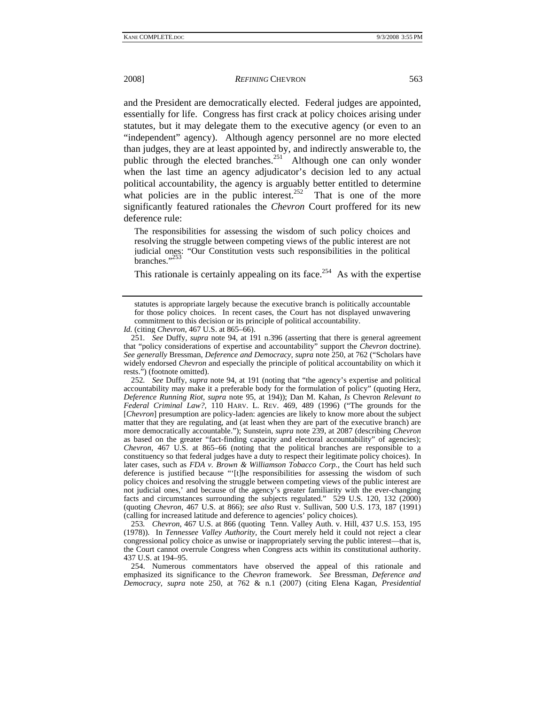2008] *REFINING* CHEVRON 563

and the President are democratically elected. Federal judges are appointed, essentially for life. Congress has first crack at policy choices arising under statutes, but it may delegate them to the executive agency (or even to an "independent" agency). Although agency personnel are no more elected than judges, they are at least appointed by, and indirectly answerable to, the public through the elected branches.<sup>251</sup> Although one can only wonder when the last time an agency adjudicator's decision led to any actual political accountability, the agency is arguably better entitled to determine what policies are in the public interest.<sup>252</sup> That is one of the more significantly featured rationales the *Chevron* Court proffered for its new deference rule:

The responsibilities for assessing the wisdom of such policy choices and resolving the struggle between competing views of the public interest are not judicial ones: "Our Constitution vests such responsibilities in the political branches."<sup>253</sup>

This rationale is certainly appealing on its face.<sup>254</sup> As with the expertise

*Id.* (citing *Chevron*, 467 U.S. at 865–66).

252*. See* Duffy, *supra* note 94, at 191 (noting that "the agency's expertise and political accountability may make it a preferable body for the formulation of policy" (quoting Herz, *Deference Running Riot*, *supra* note 95, at 194)); Dan M. Kahan, *Is* Chevron *Relevant to Federal Criminal Law?*, 110 HARV. L. REV. 469, 489 (1996) ("The grounds for the [*Chevron*] presumption are policy-laden: agencies are likely to know more about the subject matter that they are regulating, and (at least when they are part of the executive branch) are more democratically accountable."); Sunstein, *supra* note 239, at 2087 (describing *Chevron* as based on the greater "fact-finding capacity and electoral accountability" of agencies); *Chevron*, 467 U.S. at 865–66 (noting that the political branches are responsible to a constituency so that federal judges have a duty to respect their legitimate policy choices). In later cases, such as *FDA v. Brown & Williamson Tobacco Corp.*, the Court has held such deference is justified because "'[t]he responsibilities for assessing the wisdom of such policy choices and resolving the struggle between competing views of the public interest are not judicial ones,' and because of the agency's greater familiarity with the ever-changing facts and circumstances surrounding the subjects regulated." 529 U.S. 120, 132 (2000) (quoting *Chevron*, 467 U.S. at 866); *see also* Rust v. Sullivan, 500 U.S. 173, 187 (1991) (calling for increased latitude and deference to agencies' policy choices).

253*. Chevron*, 467 U.S. at 866 (quoting Tenn. Valley Auth. v. Hill, 437 U.S. 153, 195 (1978)). In *Tennessee Valley Authority*, the Court merely held it could not reject a clear congressional policy choice as unwise or inappropriately serving the public interest—that is, the Court cannot overrule Congress when Congress acts within its constitutional authority. 437 U.S. at 194–95.

 254. Numerous commentators have observed the appeal of this rationale and emphasized its significance to the *Chevron* framework. *See* Bressman, *Deference and Democracy*, *supra* note 250, at 762 & n.1 (2007) (citing Elena Kagan, *Presidential* 

statutes is appropriate largely because the executive branch is politically accountable for those policy choices. In recent cases, the Court has not displayed unwavering commitment to this decision or its principle of political accountability.

<sup>251</sup>*. See* Duffy, *supra* note 94, at 191 n.396 (asserting that there is general agreement that "policy considerations of expertise and accountability" support the *Chevron* doctrine). *See generally* Bressman, *Deference and Democracy, supra* note 250, at 762 ("Scholars have widely endorsed *Chevron* and especially the principle of political accountability on which it rests.") (footnote omitted).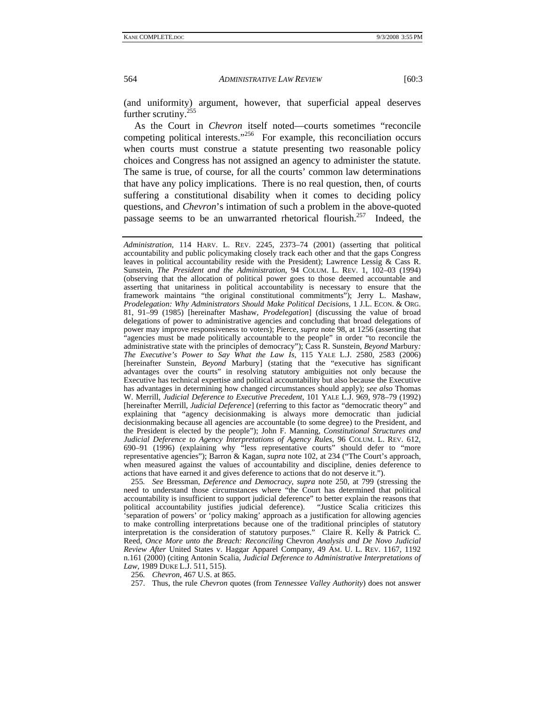(and uniformity) argument, however, that superficial appeal deserves further scrutiny.<sup>255</sup>

As the Court in *Chevron* itself noted—courts sometimes "reconcile competing political interests."<sup>256</sup> For example, this reconciliation occurs when courts must construe a statute presenting two reasonable policy choices and Congress has not assigned an agency to administer the statute. The same is true, of course, for all the courts' common law determinations that have any policy implications. There is no real question, then, of courts suffering a constitutional disability when it comes to deciding policy questions, and *Chevron*'s intimation of such a problem in the above-quoted passage seems to be an unwarranted rhetorical flourish.<sup>257</sup> Indeed, the

255*. See* Bressman, *Deference and Democracy*, *supra* note 250, at 799 (stressing the need to understand those circumstances where "the Court has determined that political accountability is insufficient to support judicial deference" to better explain the reasons that political accountability justifies judicial deference). "Justice Scalia criticizes this 'separation of powers' or 'policy making' approach as a justification for allowing agencies to make controlling interpretations because one of the traditional principles of statutory interpretation is the consideration of statutory purposes." Claire R. Kelly & Patrick C. Reed, *Once More unto the Breach: Reconciling* Chevron *Analysis and De Novo Judicial Review After* United States v. Haggar Apparel Company, 49 AM. U. L. REV. 1167, 1192 n.161 (2000) (citing Antonin Scalia, *Judicial Deference to Administrative Interpretations of Law*, 1989 DUKE L.J. 511, 515).

256*. Chevron*, 467 U.S. at 865.

257. Thus, the rule *Chevron* quotes (from *Tennessee Valley Authority*) does not answer

*Administration*, 114 HARV. L. REV. 2245, 2373–74 (2001) (asserting that political accountability and public policymaking closely track each other and that the gaps Congress leaves in political accountability reside with the President); Lawrence Lessig & Cass R. Sunstein, *The President and the Administration*, 94 COLUM. L. REV. 1, 102–03 (1994) (observing that the allocation of political power goes to those deemed accountable and asserting that unitariness in political accountability is necessary to ensure that the framework maintains "the original constitutional commitments"); Jerry L. Mashaw, *Prodelegation: Why Administrators Should Make Political Decisions*, 1 J.L. ECON. & ORG. 81, 91–99 (1985) [hereinafter Mashaw, *Prodelegation*] (discussing the value of broad delegations of power to administrative agencies and concluding that broad delegations of power may improve responsiveness to voters); Pierce, *supra* note 98, at 1256 (asserting that "agencies must be made politically accountable to the people" in order "to reconcile the administrative state with the principles of democracy"); Cass R. Sunstein, *Beyond* Marbury*: The Executive's Power to Say What the Law Is*, 115 YALE L.J. 2580, 2583 (2006) [hereinafter Sunstein, *Beyond* Marbury] (stating that the "executive has significant advantages over the courts" in resolving statutory ambiguities not only because the Executive has technical expertise and political accountability but also because the Executive has advantages in determining how changed circumstances should apply); *see also* Thomas W. Merrill, *Judicial Deference to Executive Precedent*, 101 YALE L.J. 969, 978–79 (1992) [hereinafter Merrill, *Judicial Deference*] (referring to this factor as "democratic theory" and explaining that "agency decisionmaking is always more democratic than judicial decisionmaking because all agencies are accountable (to some degree) to the President, and the President is elected by the people"); John F. Manning, *Constitutional Structures and Judicial Deference to Agency Interpretations of Agency Rules*, 96 COLUM. L. REV. 612, 690–91 (1996) (explaining why "less representative courts" should defer to "more representative agencies"); Barron & Kagan, *supra* note 102, at 234 ("The Court's approach, when measured against the values of accountability and discipline, denies deference to actions that have earned it and gives deference to actions that do not deserve it.").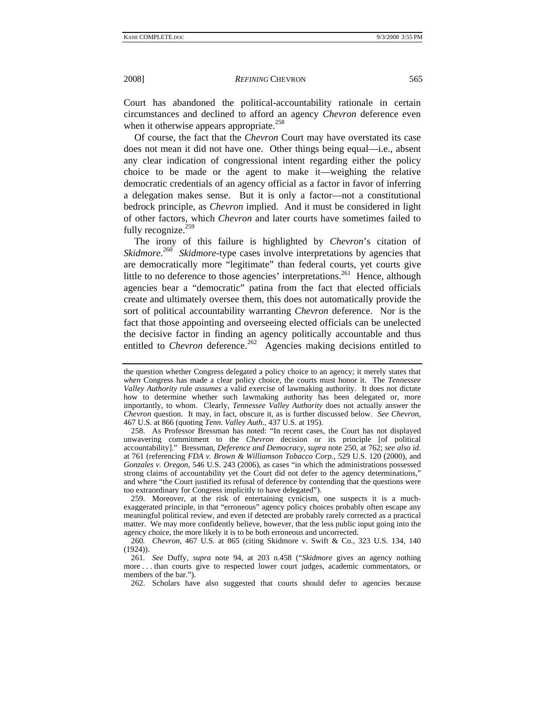Court has abandoned the political-accountability rationale in certain circumstances and declined to afford an agency *Chevron* deference even when it otherwise appears appropriate.<sup>258</sup>

Of course, the fact that the *Chevron* Court may have overstated its case does not mean it did not have one. Other things being equal—i.e., absent any clear indication of congressional intent regarding either the policy choice to be made or the agent to make it—weighing the relative democratic credentials of an agency official as a factor in favor of inferring a delegation makes sense. But it is only a factor—not a constitutional bedrock principle, as *Chevron* implied. And it must be considered in light of other factors, which *Chevron* and later courts have sometimes failed to fully recognize. $259$ 

The irony of this failure is highlighted by *Chevron*'s citation of *Skidmore*.<sup>260</sup> *Skidmore*-type cases involve interpretations by agencies that are democratically more "legitimate" than federal courts, yet courts give little to no deference to those agencies' interpretations.<sup>261</sup> Hence, although agencies bear a "democratic" patina from the fact that elected officials create and ultimately oversee them, this does not automatically provide the sort of political accountability warranting *Chevron* deference. Nor is the fact that those appointing and overseeing elected officials can be unelected the decisive factor in finding an agency politically accountable and thus entitled to *Chevron* deference.<sup>262</sup> Agencies making decisions entitled to

 259. Moreover, at the risk of entertaining cynicism, one suspects it is a muchexaggerated principle, in that "erroneous" agency policy choices probably often escape any meaningful political review, and even if detected are probably rarely corrected as a practical matter. We may more confidently believe, however, that the less public input going into the agency choice, the more likely it is to be both erroneous and uncorrected.

the question whether Congress delegated a policy choice to an agency; it merely states that *when* Congress has made a clear policy choice, the courts must honor it. The *Tennessee Valley Authority* rule *assumes* a valid exercise of lawmaking authority. It does not dictate how to determine whether such lawmaking authority has been delegated or, more importantly, to whom. Clearly, *Tennessee Valley Authority* does not actually answer the *Chevron* question. It may, in fact, obscure it, as is further discussed below. *See Chevron*, 467 U.S. at 866 (quoting *Tenn. Valley Auth.*, 437 U.S. at 195).

 <sup>258.</sup> As Professor Bressman has noted: "In recent cases, the Court has not displayed unwavering commitment to the *Chevron* decision or its principle [of political accountability]." Bressman, *Deference and Democracy*, *supra* note 250, at 762; *see also id*. at 761 (referencing *FDA v. Brown & Williamson Tobacco Corp.*, 529 U.S. 120 (2000), and *Gonzales v. Oregon*, 546 U.S. 243 (2006), as cases "in which the administrations possessed strong claims of accountability yet the Court did not defer to the agency determinations," and where "the Court justified its refusal of deference by contending that the questions were too extraordinary for Congress implicitly to have delegated").

<sup>260</sup>*. Chevron*, 467 U.S. at 865 (citing Skidmore v. Swift & Co., 323 U.S. 134, 140 (1924)).

<sup>261</sup>*. See* Duffy, *supra* note 94, at 203 n.458 ("*Skidmore* gives an agency nothing more . . . than courts give to respected lower court judges, academic commentators, or members of the bar.").

 <sup>262.</sup> Scholars have also suggested that courts should defer to agencies because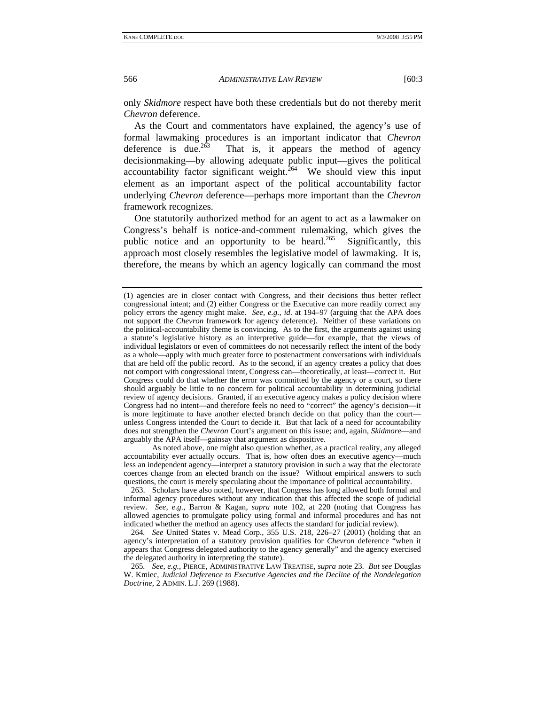only *Skidmore* respect have both these credentials but do not thereby merit *Chevron* deference.

As the Court and commentators have explained, the agency's use of formal lawmaking procedures is an important indicator that *Chevron* That is, it appears the method of agency decisionmaking—by allowing adequate public input—gives the political accountability factor significant weight. $264$  We should view this input element as an important aspect of the political accountability factor underlying *Chevron* deference—perhaps more important than the *Chevron* framework recognizes.

One statutorily authorized method for an agent to act as a lawmaker on Congress's behalf is notice-and-comment rulemaking, which gives the public notice and an opportunity to be heard.<sup>265</sup> Significantly, this approach most closely resembles the legislative model of lawmaking. It is, therefore, the means by which an agency logically can command the most

<sup>(1)</sup> agencies are in closer contact with Congress, and their decisions thus better reflect congressional intent; and (2) either Congress or the Executive can more readily correct any policy errors the agency might make. *See, e.g.*, *id*. at 194–97 (arguing that the APA does not support the *Chevron* framework for agency deference). Neither of these variations on the political-accountability theme is convincing. As to the first, the arguments against using a statute's legislative history as an interpretive guide—for example, that the views of individual legislators or even of committees do not necessarily reflect the intent of the body as a whole—apply with much greater force to postenactment conversations with individuals that are held off the public record. As to the second, if an agency creates a policy that does not comport with congressional intent, Congress can—theoretically, at least—correct it. But Congress could do that whether the error was committed by the agency or a court, so there should arguably be little to no concern for political accountability in determining judicial review of agency decisions. Granted, if an executive agency makes a policy decision where Congress had no intent—and therefore feels no need to "correct" the agency's decision—it is more legitimate to have another elected branch decide on that policy than the court unless Congress intended the Court to decide it. But that lack of a need for accountability does not strengthen the *Chevron* Court's argument on this issue; and, again, *Skidmore*—and arguably the APA itself—gainsay that argument as dispositive.

As noted above, one might also question whether, as a practical reality, any alleged accountability ever actually occurs. That is, how often does an executive agency—much less an independent agency—interpret a statutory provision in such a way that the electorate coerces change from an elected branch on the issue? Without empirical answers to such questions, the court is merely speculating about the importance of political accountability.

 <sup>263.</sup> Scholars have also noted, however, that Congress has long allowed both formal and informal agency procedures without any indication that this affected the scope of judicial review. *See, e.g.*, Barron & Kagan, *supra* note 102, at 220 (noting that Congress has allowed agencies to promulgate policy using formal and informal procedures and has not indicated whether the method an agency uses affects the standard for judicial review).

<sup>264</sup>*. See* United States v. Mead Corp., 355 U.S. 218, 226–27 (2001) (holding that an agency's interpretation of a statutory provision qualifies for *Chevron* deference "when it appears that Congress delegated authority to the agency generally" and the agency exercised the delegated authority in interpreting the statute).

<sup>265</sup>*. See, e.g.*, PIERCE, ADMINISTRATIVE LAW TREATISE, *supra* note 23. *But see* Douglas W. Kmiec, *Judicial Deference to Executive Agencies and the Decline of the Nondelegation Doctrine*, 2 ADMIN. L.J. 269 (1988).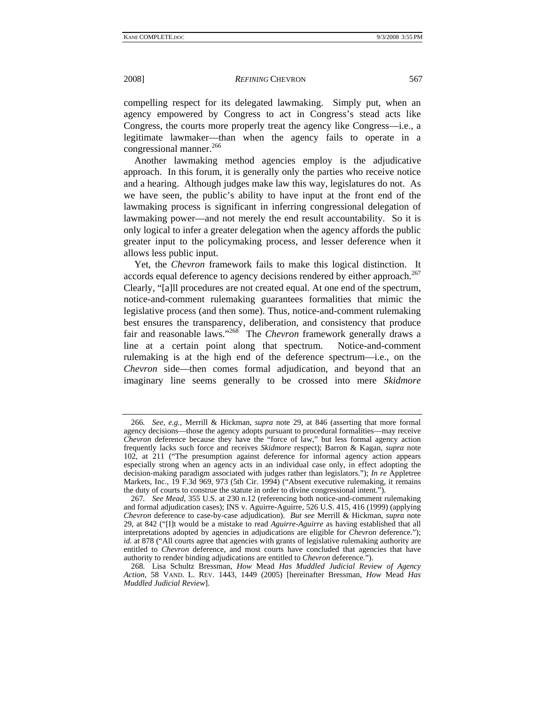compelling respect for its delegated lawmaking. Simply put, when an agency empowered by Congress to act in Congress's stead acts like Congress, the courts more properly treat the agency like Congress—i.e., a legitimate lawmaker—than when the agency fails to operate in a congressional manner.<sup>266</sup>

Another lawmaking method agencies employ is the adjudicative approach. In this forum, it is generally only the parties who receive notice and a hearing. Although judges make law this way, legislatures do not. As we have seen, the public's ability to have input at the front end of the lawmaking process is significant in inferring congressional delegation of lawmaking power—and not merely the end result accountability. So it is only logical to infer a greater delegation when the agency affords the public greater input to the policymaking process, and lesser deference when it allows less public input.

Yet, the *Chevron* framework fails to make this logical distinction. It accords equal deference to agency decisions rendered by either approach.<sup>267</sup> Clearly, "[a]ll procedures are not created equal. At one end of the spectrum, notice-and-comment rulemaking guarantees formalities that mimic the legislative process (and then some). Thus, notice-and-comment rulemaking best ensures the transparency, deliberation, and consistency that produce fair and reasonable laws."268 The *Chevron* framework generally draws a line at a certain point along that spectrum. Notice-and-comment rulemaking is at the high end of the deference spectrum—i.e., on the *Chevron* side—then comes formal adjudication, and beyond that an imaginary line seems generally to be crossed into mere *Skidmore*

<sup>266</sup>*. See, e.g.*, Merrill & Hickman, *supra* note 29, at 846 (asserting that more formal agency decisions—those the agency adopts pursuant to procedural formalities—may receive *Chevron* deference because they have the "force of law," but less formal agency action frequently lacks such force and receives *Skidmore* respect); Barron & Kagan, *supra* note 102, at 211 ("The presumption against deference for informal agency action appears especially strong when an agency acts in an individual case only, in effect adopting the decision-making paradigm associated with judges rather than legislators."); *In re* Appletree Markets, Inc., 19 F.3d 969, 973 (5th Cir. 1994) ("Absent executive rulemaking, it remains the duty of courts to construe the statute in order to divine congressional intent.").

<sup>267</sup>*. See Mead*, 355 U.S. at 230 n.12 (referencing both notice-and-comment rulemaking and formal adjudication cases); INS v. Aguirre-Aguirre, 526 U.S. 415, 416 (1999) (applying *Chevron* deference to case-by-case adjudication). *But see* Merrill & Hickman, *supra* note 29, at 842 ("[I]t would be a mistake to read *Aguirre-Aguirre* as having established that all interpretations adopted by agencies in adjudications are eligible for *Chevron* deference."); *id.* at 878 ("All courts agree that agencies with grants of legislative rulemaking authority are entitled to *Chevron* deference, and most courts have concluded that agencies that have authority to render binding adjudications are entitled to *Chevron* deference.").

<sup>268</sup>*.* Lisa Schultz Bressman, *How* Mead *Has Muddled Judicial Review of Agency Action*, 58 VAND. L. REV. 1443, 1449 (2005) [hereinafter Bressman, *How* Mead *Has Muddled Judicial Review*].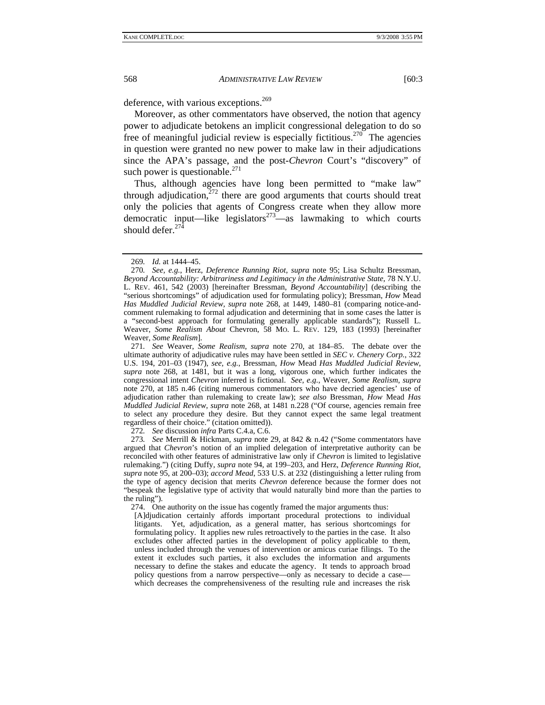deference, with various exceptions.<sup>269</sup>

Moreover, as other commentators have observed, the notion that agency power to adjudicate betokens an implicit congressional delegation to do so free of meaningful judicial review is especially fictitious.<sup>270</sup> The agencies in question were granted no new power to make law in their adjudications since the APA's passage, and the post-*Chevron* Court's "discovery" of such power is questionable. $^{271}$ 

Thus, although agencies have long been permitted to "make law" through adjudication, $272$  there are good arguments that courts should treat only the policies that agents of Congress create when they allow more democratic input—like legislators $273$ —as lawmaking to which courts should defer. $27\overline{4}$ 

271*. See* Weaver, *Some Realism*, *supra* note 270, at 184–85. The debate over the ultimate authority of adjudicative rules may have been settled in *SEC v. Chenery Corp.*, 322 U.S. 194, 201–03 (1947), *see, e.g.*, Bressman, *How* Mead *Has Muddled Judicial Review*, *supra* note 268, at 1481, but it was a long, vigorous one, which further indicates the congressional intent *Chevron* inferred is fictional. *See, e.g.*, Weaver, *Some Realism*, *supra* note 270, at 185 n.46 (citing numerous commentators who have decried agencies' use of adjudication rather than rulemaking to create law); *see also* Bressman, *How* Mead *Has Muddled Judicial Review*, *supra* note 268, at 1481 n.228 ("Of course, agencies remain free to select any procedure they desire. But they cannot expect the same legal treatment regardless of their choice." (citation omitted)).

272*. See* discussion *infra* Parts C.4.a, C.6.

273*. See* Merrill & Hickman, *supra* note 29, at 842 & n.42 ("Some commentators have argued that *Chevron*'s notion of an implied delegation of interpretative authority can be reconciled with other features of administrative law only if *Chevron* is limited to legislative rulemaking.") (citing Duffy, *supra* note 94, at 199–203, and Herz, *Deference Running Riot*, *supra* note 95, at 200–03); *accord Mead*, 533 U.S. at 232 (distinguishing a letter ruling from the type of agency decision that merits *Chevron* deference because the former does not "bespeak the legislative type of activity that would naturally bind more than the parties to the ruling").

274. One authority on the issue has cogently framed the major arguments thus:

[A]djudication certainly affords important procedural protections to individual litigants. Yet, adjudication, as a general matter, has serious shortcomings for formulating policy. It applies new rules retroactively to the parties in the case. It also excludes other affected parties in the development of policy applicable to them, unless included through the venues of intervention or amicus curiae filings. To the extent it excludes such parties, it also excludes the information and arguments necessary to define the stakes and educate the agency. It tends to approach broad policy questions from a narrow perspective—only as necessary to decide a case which decreases the comprehensiveness of the resulting rule and increases the risk

<sup>269</sup>*. Id.* at 1444–45.

<sup>270</sup>*. See, e.g.*, Herz, *Deference Running Riot*, *supra* note 95; Lisa Schultz Bressman, *Beyond Accountability: Arbitrariness and Legitimacy in the Administrative State*, 78 N.Y.U. L. REV. 461, 542 (2003) [hereinafter Bressman, *Beyond Accountability*] (describing the "serious shortcomings" of adjudication used for formulating policy); Bressman, *How* Mead *Has Muddled Judicial Review, supra* note 268, at 1449, 1480–81 (comparing notice-andcomment rulemaking to formal adjudication and determining that in some cases the latter is a "second-best approach for formulating generally applicable standards"); Russell L. Weaver, *Some Realism About* Chevron, 58 MO. L. REV. 129, 183 (1993) [hereinafter Weaver, *Some Realism*].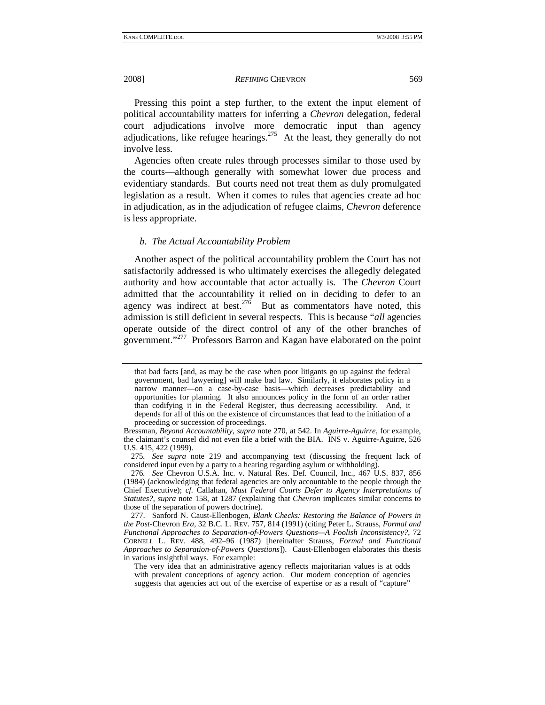Pressing this point a step further, to the extent the input element of political accountability matters for inferring a *Chevron* delegation, federal court adjudications involve more democratic input than agency adjudications, like refugee hearings. $275$  At the least, they generally do not involve less.

Agencies often create rules through processes similar to those used by the courts—although generally with somewhat lower due process and evidentiary standards. But courts need not treat them as duly promulgated legislation as a result. When it comes to rules that agencies create ad hoc in adjudication, as in the adjudication of refugee claims, *Chevron* deference is less appropriate.

#### *b. The Actual Accountability Problem*

Another aspect of the political accountability problem the Court has not satisfactorily addressed is who ultimately exercises the allegedly delegated authority and how accountable that actor actually is. The *Chevron* Court admitted that the accountability it relied on in deciding to defer to an agency was indirect at best.<sup>276</sup> But as commentators have noted, this admission is still deficient in several respects. This is because "*all* agencies operate outside of the direct control of any of the other branches of government."277 Professors Barron and Kagan have elaborated on the point

275*. See supra* note 219 and accompanying text (discussing the frequent lack of considered input even by a party to a hearing regarding asylum or withholding).

276*. See* Chevron U.S.A. Inc. v. Natural Res. Def. Council, Inc., 467 U.S. 837, 856 (1984) (acknowledging that federal agencies are only accountable to the people through the Chief Executive); *cf.* Callahan, *Must Federal Courts Defer to Agency Interpretations of Statutes?*, *supra* note 158, at 1287 (explaining that *Chevron* implicates similar concerns to those of the separation of powers doctrine).

 277. Sanford N. Caust-Ellenbogen, *Blank Checks: Restoring the Balance of Powers in the Post-*Chevron *Era*, 32 B.C. L. REV. 757, 814 (1991) (citing Peter L. Strauss, *Formal and Functional Approaches to Separation-of-Powers Questions—A Foolish Inconsistency?*, 72 CORNELL L. REV. 488, 492–96 (1987) [hereinafter Strauss, *Formal and Functional Approaches to Separation-of-Powers Questions*]). Caust-Ellenbogen elaborates this thesis in various insightful ways. For example:

that bad facts [and, as may be the case when poor litigants go up against the federal government, bad lawyering] will make bad law. Similarly, it elaborates policy in a narrow manner—on a case-by-case basis—which decreases predictability and opportunities for planning. It also announces policy in the form of an order rather than codifying it in the Federal Register, thus decreasing accessibility. And, it depends for all of this on the existence of circumstances that lead to the initiation of a proceeding or succession of proceedings.

Bressman, *Beyond Accountability*, *supra* note 270, at 542. In *Aguirre-Aguirre*, for example, the claimant's counsel did not even file a brief with the BIA. INS v. Aguirre-Aguirre, 526 U.S. 415, 422 (1999).

The very idea that an administrative agency reflects majoritarian values is at odds with prevalent conceptions of agency action. Our modern conception of agencies suggests that agencies act out of the exercise of expertise or as a result of "capture"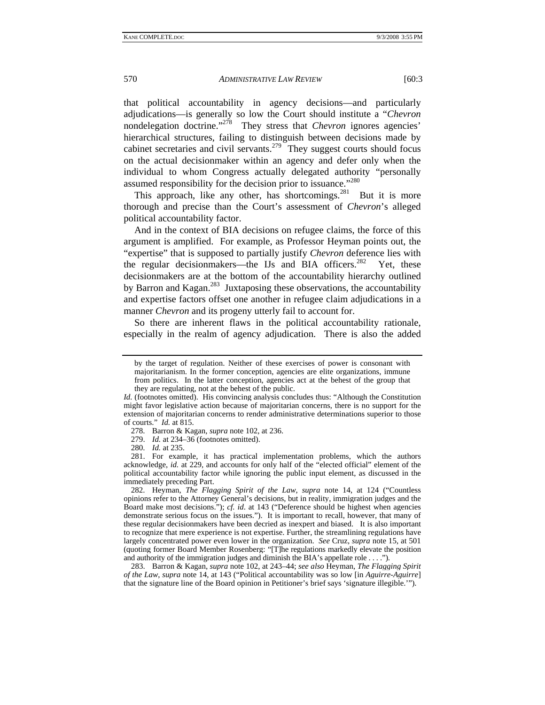that political accountability in agency decisions—and particularly adjudications—is generally so low the Court should institute a "*Chevron* nondelegation doctrine."<sup>278</sup> They stress that *Chevron* ignores agencies' hierarchical structures, failing to distinguish between decisions made by cabinet secretaries and civil servants.<sup>279</sup> They suggest courts should focus on the actual decisionmaker within an agency and defer only when the individual to whom Congress actually delegated authority "personally assumed responsibility for the decision prior to issuance."<sup>280</sup>

This approach, like any other, has shortcomings. $^{281}$  But it is more thorough and precise than the Court's assessment of *Chevron*'s alleged political accountability factor.

And in the context of BIA decisions on refugee claims, the force of this argument is amplified. For example, as Professor Heyman points out, the "expertise" that is supposed to partially justify *Chevron* deference lies with the regular decision makers—the IJs and BIA officers.<sup>282</sup> Yet, these decisionmakers are at the bottom of the accountability hierarchy outlined by Barron and Kagan.<sup>283</sup> Juxtaposing these observations, the accountability and expertise factors offset one another in refugee claim adjudications in a manner *Chevron* and its progeny utterly fail to account for.

So there are inherent flaws in the political accountability rationale, especially in the realm of agency adjudication. There is also the added

278. Barron & Kagan, *supra* note 102, at 236.

279. *Id.* at 234–36 (footnotes omitted).

280. *Id.* at 235.

 281. For example, it has practical implementation problems, which the authors acknowledge, *id.* at 229, and accounts for only half of the "elected official" element of the political accountability factor while ignoring the public input element, as discussed in the immediately preceding Part.

 282. Heyman, *The Flagging Spirit of the Law*, *supra* note 14, at 124 ("Countless opinions refer to the Attorney General's decisions, but in reality, immigration judges and the Board make most decisions."); *cf. id*. at 143 ("Deference should be highest when agencies demonstrate serious focus on the issues."). It is important to recall, however, that many of these regular decisionmakers have been decried as inexpert and biased. It is also important to recognize that mere experience is not expertise. Further, the streamlining regulations have largely concentrated power even lower in the organization. *See* Cruz, *supra* note 15, at 501 (quoting former Board Member Rosenberg: "[T]he regulations markedly elevate the position and authority of the immigration judges and diminish the BIA's appellate role . . . .").

 283. Barron & Kagan, *supra* note 102, at 243–44; *see also* Heyman, *The Flagging Spirit of the Law*, *supra* note 14, at 143 ("Political accountability was so low [in *Aguirre-Aguirre*] that the signature line of the Board opinion in Petitioner's brief says 'signature illegible.'").

by the target of regulation. Neither of these exercises of power is consonant with majoritarianism. In the former conception, agencies are elite organizations, immune from politics. In the latter conception, agencies act at the behest of the group that they are regulating, not at the behest of the public.

*Id.* (footnotes omitted). His convincing analysis concludes thus: "Although the Constitution might favor legislative action because of majoritarian concerns, there is no support for the extension of majoritarian concerns to render administrative determinations superior to those of courts." *Id.* at 815.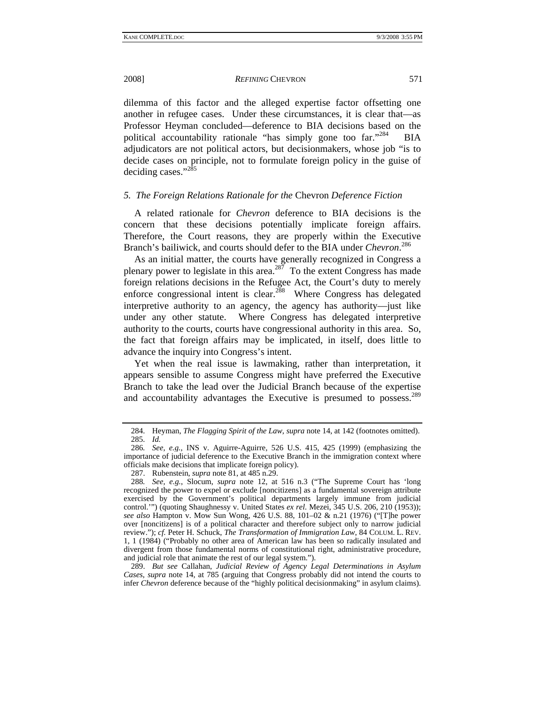2008] *REFINING* CHEVRON 571

dilemma of this factor and the alleged expertise factor offsetting one another in refugee cases. Under these circumstances, it is clear that—as Professor Heyman concluded—deference to BIA decisions based on the political accountability rationale "has simply gone too far."<sup>284</sup> BIA adjudicators are not political actors, but decisionmakers, whose job "is to decide cases on principle, not to formulate foreign policy in the guise of deciding cases."<sup>285</sup>

## *5. The Foreign Relations Rationale for the* Chevron *Deference Fiction*

A related rationale for *Chevron* deference to BIA decisions is the concern that these decisions potentially implicate foreign affairs. Therefore, the Court reasons, they are properly within the Executive Branch's bailiwick, and courts should defer to the BIA under *Chevron*. 286

As an initial matter, the courts have generally recognized in Congress a plenary power to legislate in this area.<sup>287</sup> To the extent Congress has made foreign relations decisions in the Refugee Act, the Court's duty to merely enforce congressional intent is clear.<sup>288</sup> Where Congress has delegated interpretive authority to an agency, the agency has authority—just like under any other statute. Where Congress has delegated interpretive authority to the courts, courts have congressional authority in this area. So, the fact that foreign affairs may be implicated, in itself, does little to advance the inquiry into Congress's intent.

Yet when the real issue is lawmaking, rather than interpretation, it appears sensible to assume Congress might have preferred the Executive Branch to take the lead over the Judicial Branch because of the expertise and accountability advantages the Executive is presumed to possess.<sup>289</sup>

 <sup>284.</sup> Heyman, *The Flagging Spirit of the Law*, *supra* note 14, at 142 (footnotes omitted). 285. *Id.*

<sup>286</sup>*. See, e.g.*, INS v. Aguirre-Aguirre, 526 U.S. 415, 425 (1999) (emphasizing the importance of judicial deference to the Executive Branch in the immigration context where officials make decisions that implicate foreign policy).

 <sup>287.</sup> Rubenstein, *supra* note 81, at 485 n.29.

<sup>288</sup>*. See, e.g.*, Slocum, *supra* note 12, at 516 n.3 ("The Supreme Court has 'long recognized the power to expel or exclude [noncitizens] as a fundamental sovereign attribute exercised by the Government's political departments largely immune from judicial control.'") (quoting Shaughnessy v. United States *ex rel*. Mezei, 345 U.S. 206, 210 (1953)); *see also* Hampton v. Mow Sun Wong, 426 U.S. 88, 101–02 & n.21 (1976) ("[T]he power over [noncitizens] is of a political character and therefore subject only to narrow judicial review."); *cf.* Peter H. Schuck, *The Transformation of Immigration Law*, 84 COLUM. L. REV. 1, 1 (1984) ("Probably no other area of American law has been so radically insulated and divergent from those fundamental norms of constitutional right, administrative procedure, and judicial role that animate the rest of our legal system.").

 <sup>289.</sup> *But see* Callahan, *Judicial Review of Agency Legal Determinations in Asylum Cases*, *supra* note 14, at 785 (arguing that Congress probably did not intend the courts to infer *Chevron* deference because of the "highly political decisionmaking" in asylum claims).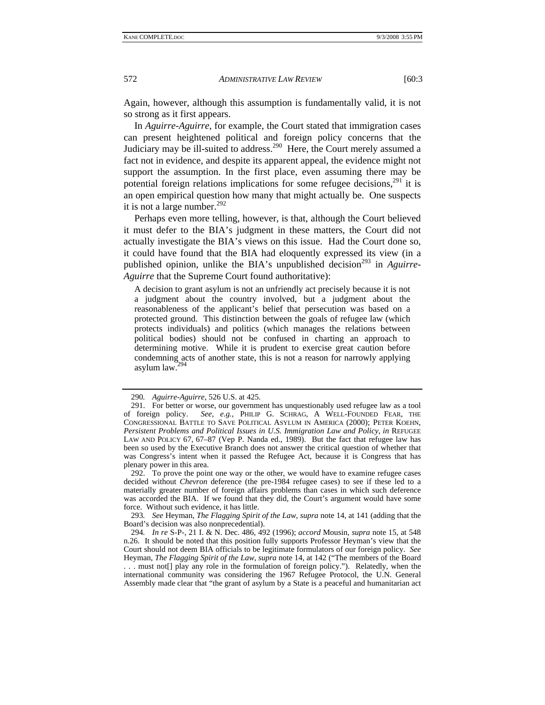Again, however, although this assumption is fundamentally valid, it is not so strong as it first appears.

In *Aguirre-Aguirre*, for example, the Court stated that immigration cases can present heightened political and foreign policy concerns that the Judiciary may be ill-suited to address.<sup>290</sup> Here, the Court merely assumed a fact not in evidence, and despite its apparent appeal, the evidence might not support the assumption. In the first place, even assuming there may be potential foreign relations implications for some refugee decisions, $291$  it is an open empirical question how many that might actually be. One suspects it is not a large number. $292$ 

Perhaps even more telling, however, is that, although the Court believed it must defer to the BIA's judgment in these matters, the Court did not actually investigate the BIA's views on this issue. Had the Court done so, it could have found that the BIA had eloquently expressed its view (in a published opinion, unlike the BIA's unpublished decision<sup>293</sup> in *Aguirre*-*Aguirre* that the Supreme Court found authoritative):

A decision to grant asylum is not an unfriendly act precisely because it is not a judgment about the country involved, but a judgment about the reasonableness of the applicant's belief that persecution was based on a protected ground. This distinction between the goals of refugee law (which protects individuals) and politics (which manages the relations between political bodies) should not be confused in charting an approach to determining motive. While it is prudent to exercise great caution before condemning acts of another state, this is not a reason for narrowly applying asylum law.294

 292. To prove the point one way or the other, we would have to examine refugee cases decided without *Chevron* deference (the pre-1984 refugee cases) to see if these led to a materially greater number of foreign affairs problems than cases in which such deference was accorded the BIA. If we found that they did, the Court's argument would have some force. Without such evidence, it has little.

293*. See* Heyman, *The Flagging Spirit of the Law*, *supra* note 14, at 141 (adding that the Board's decision was also nonprecedential).

294*. In re* S-P-, 21 I. & N. Dec. 486, 492 (1996); *accord* Mousin, *supra* note 15, at 548 n.26. It should be noted that this position fully supports Professor Heyman's view that the Court should not deem BIA officials to be legitimate formulators of our foreign policy. *See*  Heyman, *The Flagging Spirit of the Law*, *supra* note 14, at 142 ("The members of the Board

. . . must not[] play any role in the formulation of foreign policy."). Relatedly, when the international community was considering the 1967 Refugee Protocol, the U.N. General Assembly made clear that "the grant of asylum by a State is a peaceful and humanitarian act

<sup>290</sup>*. Aguirre-Aguirre*, 526 U.S. at 425.

 <sup>291.</sup> For better or worse, our government has unquestionably used refugee law as a tool of foreign policy. *See, e.g.*, PHILIP G. SCHRAG, A WELL-FOUNDED FEAR, THE CONGRESSIONAL BATTLE TO SAVE POLITICAL ASYLUM IN AMERICA (2000); PETER KOEHN, *Persistent Problems and Political Issues in U.S. Immigration Law and Policy*, *in* REFUGEE LAW AND POLICY 67, 67–87 (Vep P. Nanda ed., 1989). But the fact that refugee law has been so used by the Executive Branch does not answer the critical question of whether that was Congress's intent when it passed the Refugee Act, because it is Congress that has plenary power in this area.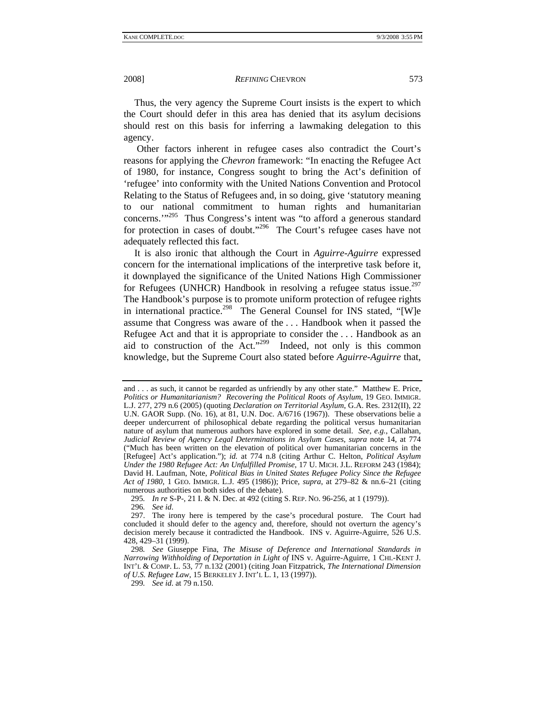Thus, the very agency the Supreme Court insists is the expert to which the Court should defer in this area has denied that its asylum decisions should rest on this basis for inferring a lawmaking delegation to this agency.

 Other factors inherent in refugee cases also contradict the Court's reasons for applying the *Chevron* framework: "In enacting the Refugee Act of 1980, for instance, Congress sought to bring the Act's definition of 'refugee' into conformity with the United Nations Convention and Protocol Relating to the Status of Refugees and, in so doing, give 'statutory meaning to our national commitment to human rights and humanitarian concerns.'"295 Thus Congress's intent was "to afford a generous standard for protection in cases of doubt."<sup>296</sup> The Court's refugee cases have not adequately reflected this fact.

It is also ironic that although the Court in *Aguirre-Aguirre* expressed concern for the international implications of the interpretive task before it, it downplayed the significance of the United Nations High Commissioner for Refugees (UNHCR) Handbook in resolving a refugee status issue.<sup>297</sup> The Handbook's purpose is to promote uniform protection of refugee rights in international practice.<sup>298</sup> The General Counsel for INS stated, "[W]e assume that Congress was aware of the . . . Handbook when it passed the Refugee Act and that it is appropriate to consider the . . . Handbook as an aid to construction of the Act."<sup>299</sup> Indeed, not only is this common knowledge, but the Supreme Court also stated before *Aguirre-Aguirre* that,

295*. In re* S-P-, 21 I. & N. Dec. at 492 (citing S. REP. NO. 96-256, at 1 (1979)).

296*. See id*.

and . . . as such, it cannot be regarded as unfriendly by any other state." Matthew E. Price, *Politics or Humanitarianism? Recovering the Political Roots of Asylum*, 19 GEO. IMMIGR. L.J. 277, 279 n.6 (2005) (quoting *Declaration on Territorial Asylum*, G.A. Res. 2312(II), 22 U.N. GAOR Supp. (No. 16), at 81, U.N. Doc. A/6716 (1967)). These observations belie a deeper undercurrent of philosophical debate regarding the political versus humanitarian nature of asylum that numerous authors have explored in some detail. *See, e.g.*, Callahan, *Judicial Review of Agency Legal Determinations in Asylum Cases*, *supra* note 14, at 774 ("Much has been written on the elevation of political over humanitarian concerns in the [Refugee] Act's application."); *id.* at 774 n.8 (citing Arthur C. Helton, *Political Asylum Under the 1980 Refugee Act: An Unfulfilled Promise*, 17 U. MICH. J.L. REFORM 243 (1984); David H. Laufman, Note, *Political Bias in United States Refugee Policy Since the Refugee Act of 1980*, 1 GEO. IMMIGR. L.J. 495 (1986)); Price, *supra*, at 279–82 & nn.6–21 (citing numerous authorities on both sides of the debate).

 <sup>297.</sup> The irony here is tempered by the case's procedural posture. The Court had concluded it should defer to the agency and, therefore, should not overturn the agency's decision merely because it contradicted the Handbook. INS v. Aguirre-Aguirre, 526 U.S. 428, 429–31 (1999).

<sup>298</sup>*. See* Giuseppe Fina, *The Misuse of Deference and International Standards in Narrowing Withholding of Deportation in Light of* INS v. Aguirre-Aguirre, 1 CHI.-KENT J. INT'L & COMP. L. 53, 77 n.132 (2001) (citing Joan Fitzpatrick, *The International Dimension of U.S. Refugee Law*, 15 BERKELEY J. INT'L L. 1, 13 (1997)).

<sup>299</sup>*. See id*. at 79 n.150.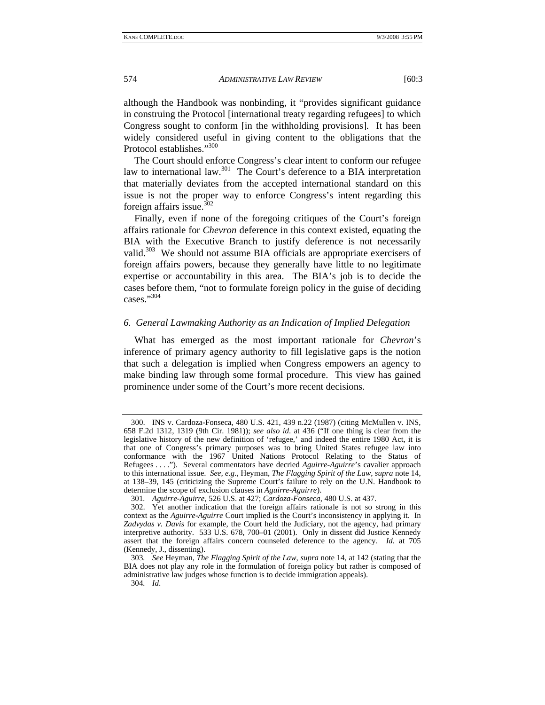although the Handbook was nonbinding, it "provides significant guidance in construing the Protocol [international treaty regarding refugees] to which Congress sought to conform [in the withholding provisions]. It has been widely considered useful in giving content to the obligations that the Protocol establishes."<sup>300</sup>

The Court should enforce Congress's clear intent to conform our refugee law to international law.<sup>301</sup> The Court's deference to a BIA interpretation that materially deviates from the accepted international standard on this issue is not the proper way to enforce Congress's intent regarding this foreign affairs issue. $302$ 

Finally, even if none of the foregoing critiques of the Court's foreign affairs rationale for *Chevron* deference in this context existed, equating the BIA with the Executive Branch to justify deference is not necessarily valid.<sup>303</sup> We should not assume BIA officials are appropriate exercisers of foreign affairs powers, because they generally have little to no legitimate expertise or accountability in this area. The BIA's job is to decide the cases before them, "not to formulate foreign policy in the guise of deciding cases."<sup>304</sup>

### *6. General Lawmaking Authority as an Indication of Implied Delegation*

What has emerged as the most important rationale for *Chevron*'s inference of primary agency authority to fill legislative gaps is the notion that such a delegation is implied when Congress empowers an agency to make binding law through some formal procedure. This view has gained prominence under some of the Court's more recent decisions.

 <sup>300.</sup> INS v. Cardoza-Fonseca, 480 U.S. 421, 439 n.22 (1987) (citing McMullen v. INS, 658 F.2d 1312, 1319 (9th Cir. 1981)); *see also id*. at 436 ("If one thing is clear from the legislative history of the new definition of 'refugee,' and indeed the entire 1980 Act, it is that one of Congress's primary purposes was to bring United States refugee law into conformance with the 1967 United Nations Protocol Relating to the Status of Refugees . . . ."). Several commentators have decried *Aguirre-Aguirre*'s cavalier approach to this international issue. *See, e.g.*, Heyman, *The Flagging Spirit of the Law*, *supra* note 14, at 138–39, 145 (criticizing the Supreme Court's failure to rely on the U.N. Handbook to determine the scope of exclusion clauses in *Aguirre-Aguirre*).

<sup>301</sup>*. Aguirre-Aguirre*, 526 U.S. at 427; *Cardoza-Fonseca*, 480 U.S. at 437.

 <sup>302.</sup> Yet another indication that the foreign affairs rationale is not so strong in this context as the *Aguirre-Aguirre* Court implied is the Court's inconsistency in applying it. In *Zadvydas v. Davis* for example, the Court held the Judiciary, not the agency, had primary interpretive authority. 533 U.S. 678, 700–01 (2001). Only in dissent did Justice Kennedy assert that the foreign affairs concern counseled deference to the agency. *Id.* at 705 (Kennedy, J., dissenting).

<sup>303</sup>*. See* Heyman, *The Flagging Spirit of the Law*, *supra* note 14, at 142 (stating that the BIA does not play any role in the formulation of foreign policy but rather is composed of administrative law judges whose function is to decide immigration appeals).

<sup>304</sup>*. Id*.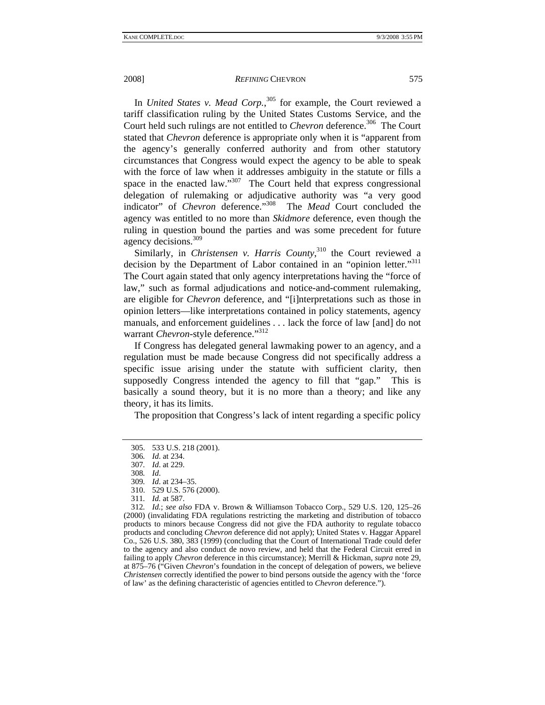In *United States v. Mead Corp.*,<sup>305</sup> for example, the Court reviewed a tariff classification ruling by the United States Customs Service, and the Court held such rulings are not entitled to *Chevron* deference.<sup>306</sup> The Court stated that *Chevron* deference is appropriate only when it is "apparent from the agency's generally conferred authority and from other statutory circumstances that Congress would expect the agency to be able to speak with the force of law when it addresses ambiguity in the statute or fills a space in the enacted law." $307$  The Court held that express congressional delegation of rulemaking or adjudicative authority was "a very good indicator" of *Chevron* deference."308 The *Mead* Court concluded the agency was entitled to no more than *Skidmore* deference, even though the ruling in question bound the parties and was some precedent for future agency decisions.<sup>309</sup>

Similarly, in *Christensen v. Harris County*,<sup>310</sup> the Court reviewed a decision by the Department of Labor contained in an "opinion letter."<sup>311</sup> The Court again stated that only agency interpretations having the "force of law," such as formal adjudications and notice-and-comment rulemaking, are eligible for *Chevron* deference, and "[i]nterpretations such as those in opinion letters—like interpretations contained in policy statements, agency manuals, and enforcement guidelines . . . lack the force of law [and] do not warrant *Chevron*-style deference."<sup>312</sup>

If Congress has delegated general lawmaking power to an agency, and a regulation must be made because Congress did not specifically address a specific issue arising under the statute with sufficient clarity, then supposedly Congress intended the agency to fill that "gap." This is basically a sound theory, but it is no more than a theory; and like any theory, it has its limits.

The proposition that Congress's lack of intent regarding a specific policy

 <sup>305. 533</sup> U.S. 218 (2001).

<sup>306</sup>*. Id*. at 234.

<sup>307</sup>*. Id*. at 229.

<sup>308</sup>*. Id*.

<sup>309</sup>*. Id*. at 234–35.

 <sup>310. 529</sup> U.S. 576 (2000).

<sup>311</sup>*. Id.* at 587.

<sup>312</sup>*. Id.*; *see also* FDA v. Brown & Williamson Tobacco Corp., 529 U.S. 120, 125–26 (2000) (invalidating FDA regulations restricting the marketing and distribution of tobacco products to minors because Congress did not give the FDA authority to regulate tobacco products and concluding *Chevron* deference did not apply); United States v. Haggar Apparel Co., 526 U.S. 380, 383 (1999) (concluding that the Court of International Trade could defer to the agency and also conduct de novo review, and held that the Federal Circuit erred in failing to apply *Chevron* deference in this circumstance); Merrill & Hickman, *supra* note 29, at 875–76 ("Given *Chevron*'s foundation in the concept of delegation of powers, we believe *Christensen* correctly identified the power to bind persons outside the agency with the 'force of law' as the defining characteristic of agencies entitled to *Chevron* deference.").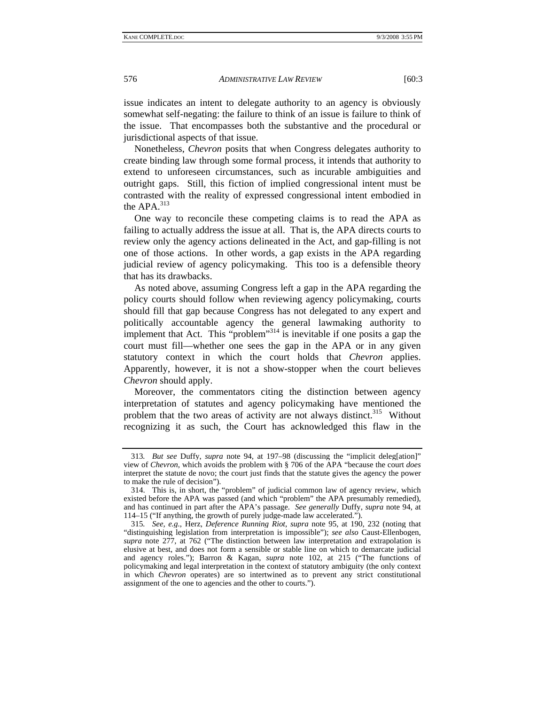issue indicates an intent to delegate authority to an agency is obviously somewhat self-negating: the failure to think of an issue is failure to think of the issue. That encompasses both the substantive and the procedural or jurisdictional aspects of that issue.

Nonetheless, *Chevron* posits that when Congress delegates authority to create binding law through some formal process, it intends that authority to extend to unforeseen circumstances, such as incurable ambiguities and outright gaps. Still, this fiction of implied congressional intent must be contrasted with the reality of expressed congressional intent embodied in the APA.<sup>313</sup>

One way to reconcile these competing claims is to read the APA as failing to actually address the issue at all. That is, the APA directs courts to review only the agency actions delineated in the Act, and gap-filling is not one of those actions. In other words, a gap exists in the APA regarding judicial review of agency policymaking. This too is a defensible theory that has its drawbacks.

As noted above, assuming Congress left a gap in the APA regarding the policy courts should follow when reviewing agency policymaking, courts should fill that gap because Congress has not delegated to any expert and politically accountable agency the general lawmaking authority to implement that Act. This "problem"<sup>314</sup> is inevitable if one posits a gap the court must fill—whether one sees the gap in the APA or in any given statutory context in which the court holds that *Chevron* applies. Apparently, however, it is not a show-stopper when the court believes *Chevron* should apply.

Moreover, the commentators citing the distinction between agency interpretation of statutes and agency policymaking have mentioned the problem that the two areas of activity are not always distinct.<sup>315</sup> Without recognizing it as such, the Court has acknowledged this flaw in the

<sup>313</sup>*. But see* Duffy, *supra* note 94, at 197–98 (discussing the "implicit deleg[ation]" view of *Chevron*, which avoids the problem with § 706 of the APA "because the court *does* interpret the statute de novo; the court just finds that the statute gives the agency the power to make the rule of decision").

 <sup>314.</sup> This is, in short, the "problem" of judicial common law of agency review, which existed before the APA was passed (and which "problem" the APA presumably remedied), and has continued in part after the APA's passage. *See generally* Duffy, *supra* note 94, at 114–15 ("If anything, the growth of purely judge-made law accelerated.").

<sup>315</sup>*. See, e.g.*, Herz, *Deference Running Riot*, *supra* note 95, at 190, 232 (noting that "distinguishing legislation from interpretation is impossible"); *see also* Caust-Ellenbogen, *supra* note 277, at 762 ("The distinction between law interpretation and extrapolation is elusive at best, and does not form a sensible or stable line on which to demarcate judicial and agency roles."); Barron & Kagan, *supra* note 102, at 215 ("The functions of policymaking and legal interpretation in the context of statutory ambiguity (the only context in which *Chevron* operates) are so intertwined as to prevent any strict constitutional assignment of the one to agencies and the other to courts.").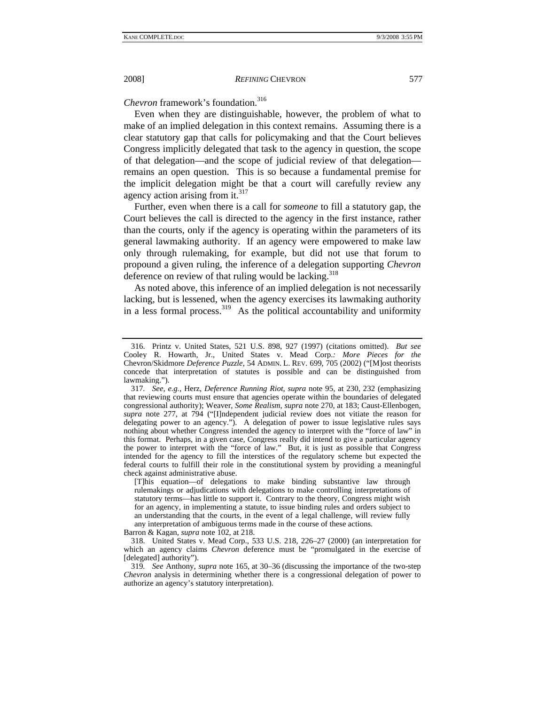*Chevron* framework's foundation.316

Even when they are distinguishable, however, the problem of what to make of an implied delegation in this context remains. Assuming there is a clear statutory gap that calls for policymaking and that the Court believes Congress implicitly delegated that task to the agency in question, the scope of that delegation—and the scope of judicial review of that delegation remains an open question. This is so because a fundamental premise for the implicit delegation might be that a court will carefully review any agency action arising from it. $317$ 

Further, even when there is a call for *someone* to fill a statutory gap, the Court believes the call is directed to the agency in the first instance, rather than the courts, only if the agency is operating within the parameters of its general lawmaking authority. If an agency were empowered to make law only through rulemaking, for example, but did not use that forum to propound a given ruling, the inference of a delegation supporting *Chevron* deference on review of that ruling would be lacking.<sup>318</sup>

As noted above, this inference of an implied delegation is not necessarily lacking, but is lessened, when the agency exercises its lawmaking authority in a less formal process.<sup>319</sup> As the political accountability and uniformity

Barron & Kagan, *supra* note 102, at 218.

 <sup>316.</sup> Printz v. United States, 521 U.S. 898, 927 (1997) (citations omitted). *But see* Cooley R. Howarth, Jr., United States v. Mead Corp.*: More Pieces for the*  Chevron/Skidmore *Deference Puzzle*, 54 ADMIN. L. REV. 699, 705 (2002) ("[M]ost theorists concede that interpretation of statutes is possible and can be distinguished from lawmaking.").

<sup>317</sup>*. See, e.g.*, Herz, *Deference Running Riot*, *supra* note 95, at 230, 232 (emphasizing that reviewing courts must ensure that agencies operate within the boundaries of delegated congressional authority); Weaver, *Some Realism*, *supra* note 270, at 183; Caust-Ellenbogen, *supra* note 277, at 794 ("[I]ndependent judicial review does not vitiate the reason for delegating power to an agency."). A delegation of power to issue legislative rules says nothing about whether Congress intended the agency to interpret with the "force of law" in this format. Perhaps, in a given case, Congress really did intend to give a particular agency the power to interpret with the "force of law." But, it is just as possible that Congress intended for the agency to fill the interstices of the regulatory scheme but expected the federal courts to fulfill their role in the constitutional system by providing a meaningful check against administrative abuse.

<sup>[</sup>T]his equation—of delegations to make binding substantive law through rulemakings or adjudications with delegations to make controlling interpretations of statutory terms—has little to support it. Contrary to the theory, Congress might wish for an agency, in implementing a statute, to issue binding rules and orders subject to an understanding that the courts, in the event of a legal challenge, will review fully any interpretation of ambiguous terms made in the course of these actions.

 <sup>318.</sup> United States v. Mead Corp., 533 U.S. 218, 226–27 (2000) (an interpretation for which an agency claims *Chevron* deference must be "promulgated in the exercise of [delegated] authority").

<sup>319</sup>*. See* Anthony, *supra* note 165, at 30–36 (discussing the importance of the two-step *Chevron* analysis in determining whether there is a congressional delegation of power to authorize an agency's statutory interpretation).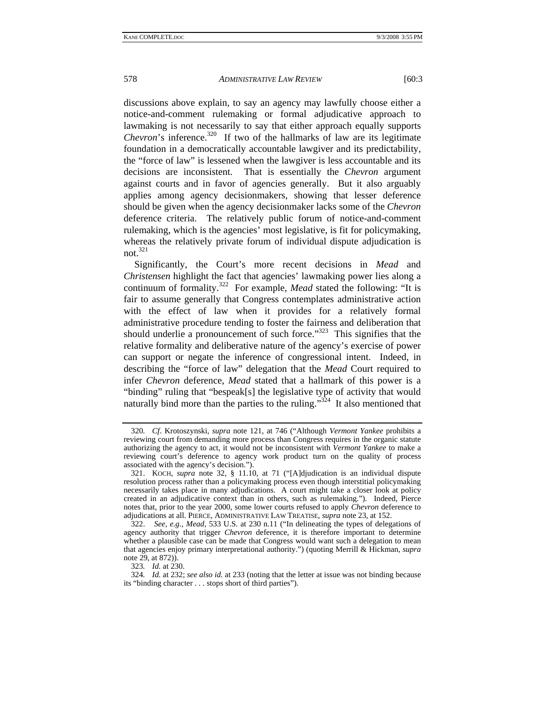discussions above explain, to say an agency may lawfully choose either a notice-and-comment rulemaking or formal adjudicative approach to lawmaking is not necessarily to say that either approach equally supports *Chevron*'s inference.<sup>320</sup> If two of the hallmarks of law are its legitimate foundation in a democratically accountable lawgiver and its predictability, the "force of law" is lessened when the lawgiver is less accountable and its decisions are inconsistent. That is essentially the *Chevron* argument against courts and in favor of agencies generally. But it also arguably applies among agency decisionmakers, showing that lesser deference should be given when the agency decisionmaker lacks some of the *Chevron* deference criteria. The relatively public forum of notice-and-comment rulemaking, which is the agencies' most legislative, is fit for policymaking, whereas the relatively private forum of individual dispute adjudication is not. $321$ 

Significantly, the Court's more recent decisions in *Mead* and *Christensen* highlight the fact that agencies' lawmaking power lies along a continuum of formality.<sup>322</sup> For example, *Mead* stated the following: "It is fair to assume generally that Congress contemplates administrative action with the effect of law when it provides for a relatively formal administrative procedure tending to foster the fairness and deliberation that should underlie a pronouncement of such force."<sup>323</sup> This signifies that the relative formality and deliberative nature of the agency's exercise of power can support or negate the inference of congressional intent. Indeed, in describing the "force of law" delegation that the *Mead* Court required to infer *Chevron* deference, *Mead* stated that a hallmark of this power is a "binding" ruling that "bespeak[s] the legislative type of activity that would naturally bind more than the parties to the ruling.<sup> $324$ </sup> It also mentioned that

323*. Id.* at 230.

<sup>320</sup>*. Cf*. Krotoszynski, *supra* note 121, at 746 ("Although *Vermont Yankee* prohibits a reviewing court from demanding more process than Congress requires in the organic statute authorizing the agency to act, it would not be inconsistent with *Vermont Yankee* to make a reviewing court's deference to agency work product turn on the quality of process associated with the agency's decision.").

 <sup>321.</sup> KOCH, *supra* note 32, § 11.10, at 71 ("[A]djudication is an individual dispute resolution process rather than a policymaking process even though interstitial policymaking necessarily takes place in many adjudications. A court might take a closer look at policy created in an adjudicative context than in others, such as rulemaking."). Indeed, Pierce notes that, prior to the year 2000, some lower courts refused to apply *Chevron* deference to adjudications at all. PIERCE, ADMINISTRATIVE LAW TREATISE, *supra* note 23, at 152.

 <sup>322.</sup> *See, e.g.*, *Mead*, 533 U.S. at 230 n.11 ("In delineating the types of delegations of agency authority that trigger *Chevron* deference, it is therefore important to determine whether a plausible case can be made that Congress would want such a delegation to mean that agencies enjoy primary interpretational authority.") (quoting Merrill & Hickman, *supra* note 29, at 872)).

<sup>324</sup>*. Id.* at 232; *see also id.* at 233 (noting that the letter at issue was not binding because its "binding character . . . stops short of third parties").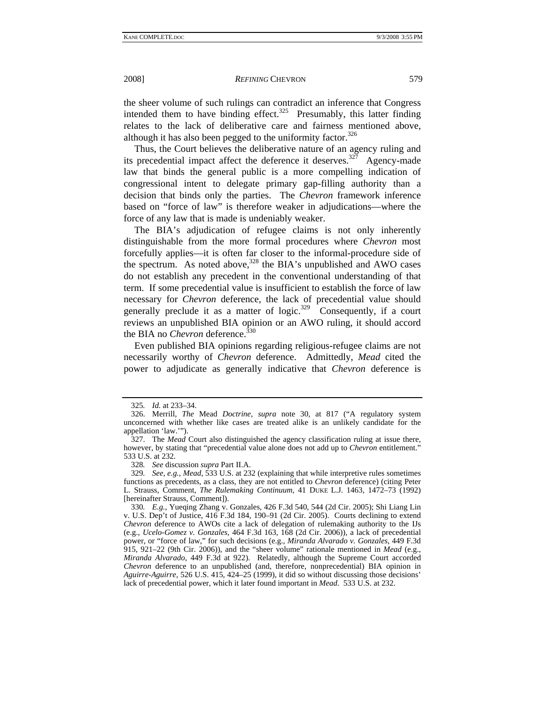the sheer volume of such rulings can contradict an inference that Congress intended them to have binding effect.<sup>325</sup> Presumably, this latter finding relates to the lack of deliberative care and fairness mentioned above, although it has also been pegged to the uniformity factor. $326$ 

Thus, the Court believes the deliberative nature of an agency ruling and its precedential impact affect the deference it deserves.<sup>327</sup> Agency-made law that binds the general public is a more compelling indication of congressional intent to delegate primary gap-filling authority than a decision that binds only the parties. The *Chevron* framework inference based on "force of law" is therefore weaker in adjudications—where the force of any law that is made is undeniably weaker.

The BIA's adjudication of refugee claims is not only inherently distinguishable from the more formal procedures where *Chevron* most forcefully applies—it is often far closer to the informal-procedure side of the spectrum. As noted above,  $328$  the BIA's unpublished and AWO cases do not establish any precedent in the conventional understanding of that term. If some precedential value is insufficient to establish the force of law necessary for *Chevron* deference, the lack of precedential value should generally preclude it as a matter of  $logic^{329}$  Consequently, if a court reviews an unpublished BIA opinion or an AWO ruling, it should accord the BIA no *Chevron* deference.<sup>330</sup>

Even published BIA opinions regarding religious-refugee claims are not necessarily worthy of *Chevron* deference. Admittedly, *Mead* cited the power to adjudicate as generally indicative that *Chevron* deference is

328*. See* discussion *supra* Part II.A.

<sup>325</sup>*. Id.* at 233–34.

 <sup>326.</sup> Merrill, *The* Mead *Doctrine*, *supra* note 30, at 817 ("A regulatory system unconcerned with whether like cases are treated alike is an unlikely candidate for the appellation 'law.'").

 <sup>327.</sup> The *Mead* Court also distinguished the agency classification ruling at issue there, however, by stating that "precedential value alone does not add up to *Chevron* entitlement." 533 U.S. at 232.

<sup>329</sup>*. See, e.g.*, *Mead*, 533 U.S. at 232 (explaining that while interpretive rules sometimes functions as precedents, as a class, they are not entitled to *Chevron* deference) (citing Peter L. Strauss, Comment, *The Rulemaking Continuum*, 41 DUKE L.J. 1463, 1472–73 (1992) [hereinafter Strauss, Comment]).

<sup>330</sup>*. E.g.*, Yueqing Zhang v. Gonzales, 426 F.3d 540, 544 (2d Cir. 2005); Shi Liang Lin v. U.S. Dep't of Justice, 416 F.3d 184, 190–91 (2d Cir. 2005). Courts declining to extend *Chevron* deference to AWOs cite a lack of delegation of rulemaking authority to the IJs (e.g., *Ucelo-Gomez v. Gonzales*, 464 F.3d 163, 168 (2d Cir. 2006)), a lack of precedential power, or "force of law," for such decisions (e.g., *Miranda Alvarado v. Gonzales*, 449 F.3d 915, 921–22 (9th Cir. 2006)), and the "sheer volume" rationale mentioned in *Mead* (e.g., *Miranda Alvarado*, 449 F.3d at 922). Relatedly, although the Supreme Court accorded *Chevron* deference to an unpublished (and, therefore, nonprecedential) BIA opinion in *Aguirre-Aguirre*, 526 U.S. 415, 424–25 (1999), it did so without discussing those decisions' lack of precedential power, which it later found important in *Mead*. 533 U.S. at 232.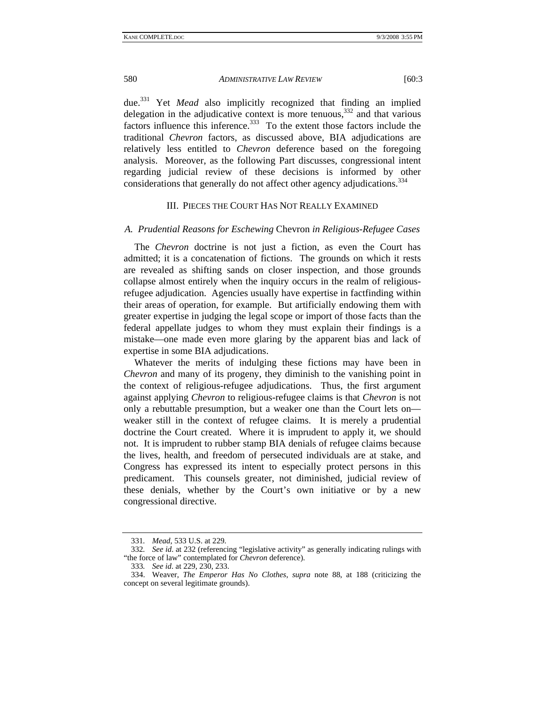due.331 Yet *Mead* also implicitly recognized that finding an implied delegation in the adjudicative context is more tenuous, $332$  and that various factors influence this inference.<sup>333</sup> To the extent those factors include the traditional *Chevron* factors, as discussed above, BIA adjudications are relatively less entitled to *Chevron* deference based on the foregoing analysis. Moreover, as the following Part discusses, congressional intent regarding judicial review of these decisions is informed by other considerations that generally do not affect other agency adjudications.<sup>334</sup>

# III. PIECES THE COURT HAS NOT REALLY EXAMINED

#### *A. Prudential Reasons for Eschewing* Chevron *in Religious-Refugee Cases*

The *Chevron* doctrine is not just a fiction, as even the Court has admitted; it is a concatenation of fictions. The grounds on which it rests are revealed as shifting sands on closer inspection, and those grounds collapse almost entirely when the inquiry occurs in the realm of religiousrefugee adjudication. Agencies usually have expertise in factfinding within their areas of operation, for example. But artificially endowing them with greater expertise in judging the legal scope or import of those facts than the federal appellate judges to whom they must explain their findings is a mistake—one made even more glaring by the apparent bias and lack of expertise in some BIA adjudications.

Whatever the merits of indulging these fictions may have been in *Chevron* and many of its progeny, they diminish to the vanishing point in the context of religious-refugee adjudications. Thus, the first argument against applying *Chevron* to religious-refugee claims is that *Chevron* is not only a rebuttable presumption, but a weaker one than the Court lets on weaker still in the context of refugee claims. It is merely a prudential doctrine the Court created. Where it is imprudent to apply it, we should not. It is imprudent to rubber stamp BIA denials of refugee claims because the lives, health, and freedom of persecuted individuals are at stake, and Congress has expressed its intent to especially protect persons in this predicament. This counsels greater, not diminished, judicial review of these denials, whether by the Court's own initiative or by a new congressional directive.

<sup>331</sup>*. Mead*, 533 U.S. at 229.

<sup>332</sup>*. See id*. at 232 (referencing "legislative activity" as generally indicating rulings with "the force of law" contemplated for *Chevron* deference).

<sup>333</sup>*. See id*. at 229, 230, 233.

 <sup>334.</sup> Weaver, *The Emperor Has No Clothes*, *supra* note 88, at 188 (criticizing the concept on several legitimate grounds).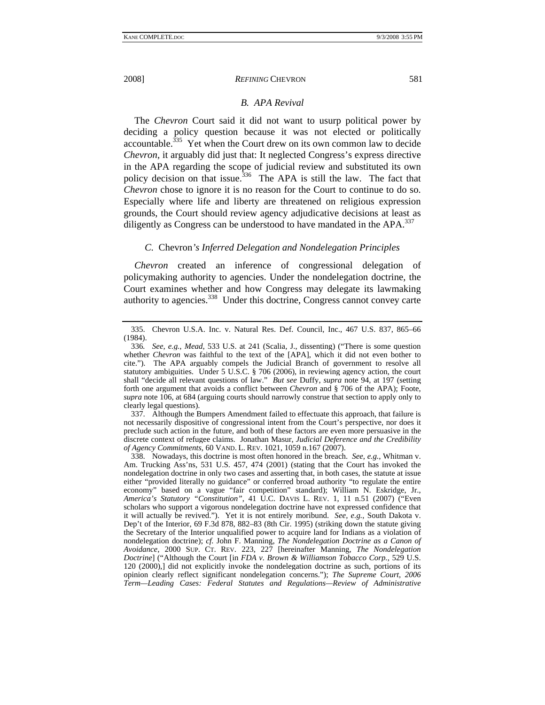### *B. APA Revival*

The *Chevron* Court said it did not want to usurp political power by deciding a policy question because it was not elected or politically accountable.<sup>335</sup> Yet when the Court drew on its own common law to decide *Chevron*, it arguably did just that: It neglected Congress's express directive in the APA regarding the scope of judicial review and substituted its own policy decision on that issue.<sup>336</sup> The APA is still the law. The fact that *Chevron* chose to ignore it is no reason for the Court to continue to do so. Especially where life and liberty are threatened on religious expression grounds, the Court should review agency adjudicative decisions at least as diligently as Congress can be understood to have mandated in the  $APA$ .<sup>337</sup>

## *C.* Chevron*'s Inferred Delegation and Nondelegation Principles*

*Chevron* created an inference of congressional delegation of policymaking authority to agencies. Under the nondelegation doctrine, the Court examines whether and how Congress may delegate its lawmaking authority to agencies.<sup>338</sup> Under this doctrine, Congress cannot convey carte

 337. Although the Bumpers Amendment failed to effectuate this approach, that failure is not necessarily dispositive of congressional intent from the Court's perspective, nor does it preclude such action in the future, and both of these factors are even more persuasive in the discrete context of refugee claims. Jonathan Masur, *Judicial Deference and the Credibility of Agency Commitments*, 60 VAND. L. REV. 1021, 1059 n.167 (2007).

 338. Nowadays, this doctrine is most often honored in the breach. *See, e.g.*, Whitman v. Am. Trucking Ass'ns, 531 U.S. 457, 474 (2001) (stating that the Court has invoked the nondelegation doctrine in only two cases and asserting that, in both cases, the statute at issue either "provided literally no guidance" or conferred broad authority "to regulate the entire economy" based on a vague "fair competition" standard); William N. Eskridge, Jr., *America's Statutory "Constitution"*, 41 U.C. DAVIS L. REV. 1, 11 n.51 (2007) ("Even scholars who support a vigorous nondelegation doctrine have not expressed confidence that it will actually be revived."). Yet it is not entirely moribund. *See, e.g.*, South Dakota v. Dep't of the Interior, 69 F.3d 878, 882–83 (8th Cir. 1995) (striking down the statute giving the Secretary of the Interior unqualified power to acquire land for Indians as a violation of nondelegation doctrine); *cf.* John F. Manning, *The Nondelegation Doctrine as a Canon of Avoidance*, 2000 SUP. CT. REV. 223, 227 [hereinafter Manning, *The Nondelegation Doctrine*] ("Although the Court [in *FDA v. Brown & Williamson Tobacco Corp.*, 529 U.S. 120 (2000),] did not explicitly invoke the nondelegation doctrine as such, portions of its opinion clearly reflect significant nondelegation concerns."); *The Supreme Court, 2006 Term—Leading Cases: Federal Statutes and Regulations—Review of Administrative* 

 <sup>335.</sup> Chevron U.S.A. Inc. v. Natural Res. Def. Council, Inc., 467 U.S. 837, 865–66 (1984).

<sup>336</sup>*. See, e.g.*, *Mead*, 533 U.S. at 241 (Scalia, J., dissenting) ("There is some question whether *Chevron* was faithful to the text of the [APA], which it did not even bother to cite."). The APA arguably compels the Judicial Branch of government to resolve all statutory ambiguities. Under 5 U.S.C. § 706 (2006), in reviewing agency action, the court shall "decide all relevant questions of law." *But see* Duffy, *supra* note 94, at 197 (setting forth one argument that avoids a conflict between *Chevron* and § 706 of the APA); Foote, *supra* note 106, at 684 (arguing courts should narrowly construe that section to apply only to clearly legal questions).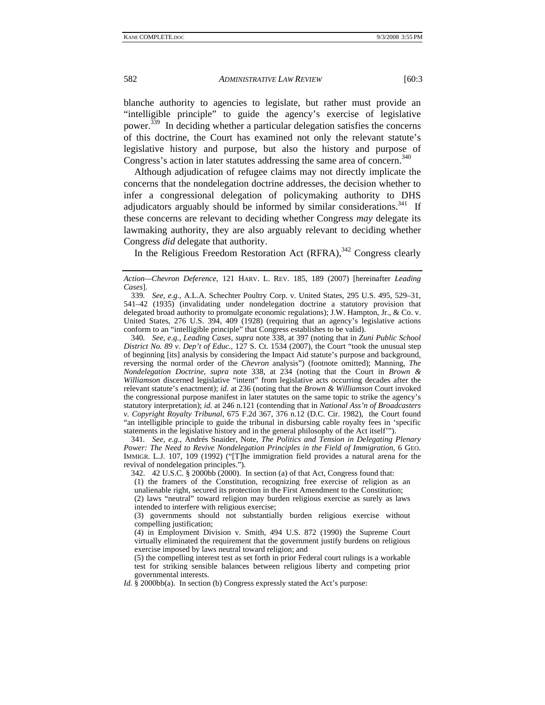blanche authority to agencies to legislate, but rather must provide an "intelligible principle" to guide the agency's exercise of legislative power.339 In deciding whether a particular delegation satisfies the concerns of this doctrine, the Court has examined not only the relevant statute's legislative history and purpose, but also the history and purpose of Congress's action in later statutes addressing the same area of concern.<sup>340</sup>

Although adjudication of refugee claims may not directly implicate the concerns that the nondelegation doctrine addresses, the decision whether to infer a congressional delegation of policymaking authority to DHS adjudicators arguably should be informed by similar considerations.<sup>341</sup> If these concerns are relevant to deciding whether Congress *may* delegate its lawmaking authority, they are also arguably relevant to deciding whether Congress *did* delegate that authority.

In the Religious Freedom Restoration Act  $(RFRA)$ ,<sup>342</sup> Congress clearly

340*. See, e.g.*, *Leading Cases*, *supra* note 338, at 397 (noting that in *Zuni Public School District No. 89 v. Dep't of Educ.*, 127 S. Ct. 1534 (2007), the Court "took the unusual step of beginning [its] analysis by considering the Impact Aid statute's purpose and background, reversing the normal order of the *Chevron* analysis") (footnote omitted); Manning, *The Nondelegation Doctrine*, *supra* note 338, at 234 (noting that the Court in *Brown & Williamson* discerned legislative "intent" from legislative acts occurring decades after the relevant statute's enactment); *id.* at 236 (noting that the *Brown & Williamson* Court invoked the congressional purpose manifest in later statutes on the same topic to strike the agency's statutory interpretation); *id.* at 246 n.121 (contending that in *National Ass'n of Broadcasters v. Copyright Royalty Tribunal*, 675 F.2d 367, 376 n.12 (D.C. Cir. 1982), the Court found "an intelligible principle to guide the tribunal in disbursing cable royalty fees in 'specific statements in the legislative history and in the general philosophy of the Act itself'").

341*. See, e.g.*, Andrés Snaider, Note, *The Politics and Tension in Delegating Plenary Power: The Need to Revive Nondelegation Principles in the Field of Immigration*, 6 GEO. IMMIGR. L.J. 107, 109 (1992) ("[T]he immigration field provides a natural arena for the revival of nondelegation principles.").

 342. 42 U.S.C. § 2000bb (2000). In section (a) of that Act, Congress found that: (1) the framers of the Constitution, recognizing free exercise of religion as an

unalienable right, secured its protection in the First Amendment to the Constitution;

(2) laws "neutral" toward religion may burden religious exercise as surely as laws intended to interfere with religious exercise;

(3) governments should not substantially burden religious exercise without compelling justification;

(4) in Employment Division v. Smith, 494 U.S. 872 (1990) the Supreme Court virtually eliminated the requirement that the government justify burdens on religious exercise imposed by laws neutral toward religion; and

(5) the compelling interest test as set forth in prior Federal court rulings is a workable test for striking sensible balances between religious liberty and competing prior governmental interests.

*Id.* § 2000bb(a). In section (b) Congress expressly stated the Act's purpose:

*Action—Chevron Deference*, 121 HARV. L. REV. 185, 189 (2007) [hereinafter *Leading Cases*].

<sup>339</sup>*. See, e.g.*, A.L.A. Schechter Poultry Corp. v. United States, 295 U.S. 495, 529–31, 541–42 (1935) (invalidating under nondelegation doctrine a statutory provision that delegated broad authority to promulgate economic regulations); J.W. Hampton, Jr., & Co. v. United States, 276 U.S. 394, 409 (1928) (requiring that an agency's legislative actions conform to an "intelligible principle" that Congress establishes to be valid).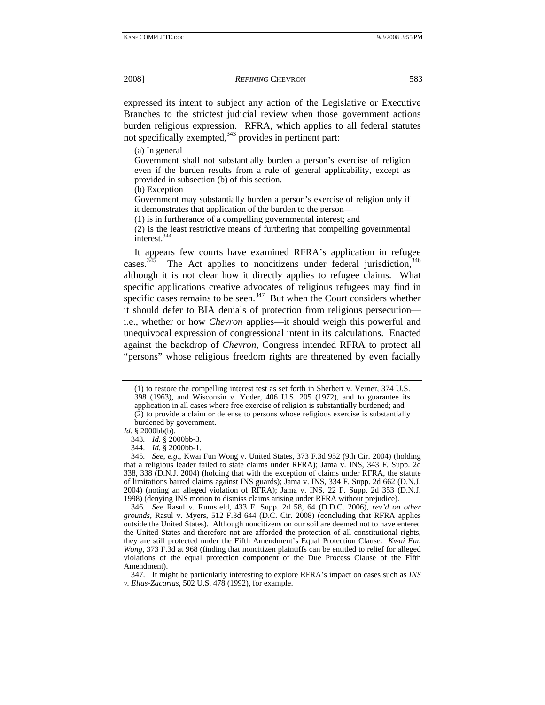expressed its intent to subject any action of the Legislative or Executive Branches to the strictest judicial review when those government actions burden religious expression. RFRA, which applies to all federal statutes not specifically exempted, $343$  provides in pertinent part:

(a) In general

Government shall not substantially burden a person's exercise of religion even if the burden results from a rule of general applicability, except as provided in subsection (b) of this section.

(b) Exception

Government may substantially burden a person's exercise of religion only if it demonstrates that application of the burden to the person—

(1) is in furtherance of a compelling governmental interest; and

(2) is the least restrictive means of furthering that compelling governmental interest.344

It appears few courts have examined RFRA's application in refugee cases.<sup>345</sup> The Act applies to noncitizens under federal jurisdiction,  $346$ although it is not clear how it directly applies to refugee claims. What specific applications creative advocates of religious refugees may find in specific cases remains to be seen. $347$  But when the Court considers whether it should defer to BIA denials of protection from religious persecution i.e., whether or how *Chevron* applies—it should weigh this powerful and unequivocal expression of congressional intent in its calculations. Enacted against the backdrop of *Chevron*, Congress intended RFRA to protect all "persons" whose religious freedom rights are threatened by even facially

 347. It might be particularly interesting to explore RFRA's impact on cases such as *INS v. Elias-Zacarias*, 502 U.S. 478 (1992), for example.

<sup>(1)</sup> to restore the compelling interest test as set forth in Sherbert v. Verner, 374 U.S. 398 (1963), and Wisconsin v. Yoder, 406 U.S. 205 (1972), and to guarantee its application in all cases where free exercise of religion is substantially burdened; and (2) to provide a claim or defense to persons whose religious exercise is substantially burdened by government.

*Id.* § 2000bb(b).

<sup>343</sup>*. Id.* § 2000bb-3.

 <sup>344.</sup> *Id.* § 2000bb-1.

<sup>345</sup>*. See, e.g.*, Kwai Fun Wong v. United States, 373 F.3d 952 (9th Cir. 2004) (holding that a religious leader failed to state claims under RFRA); Jama v. INS, 343 F. Supp. 2d 338, 338 (D.N.J. 2004) (holding that with the exception of claims under RFRA, the statute of limitations barred claims against INS guards); Jama v. INS, 334 F. Supp. 2d 662 (D.N.J. 2004) (noting an alleged violation of RFRA); Jama v. INS, 22 F. Supp. 2d 353 (D.N.J. 1998) (denying INS motion to dismiss claims arising under RFRA without prejudice).

<sup>346</sup>*. See* Rasul v. Rumsfeld, 433 F. Supp. 2d 58, 64 (D.D.C. 2006), *rev'd on other grounds*, Rasul v. Myers, 512 F.3d 644 (D.C. Cir. 2008) (concluding that RFRA applies outside the United States). Although noncitizens on our soil are deemed not to have entered the United States and therefore not are afforded the protection of all constitutional rights, they are still protected under the Fifth Amendment's Equal Protection Clause. *Kwai Fun Wong*, 373 F.3d at 968 (finding that noncitizen plaintiffs can be entitled to relief for alleged violations of the equal protection component of the Due Process Clause of the Fifth Amendment).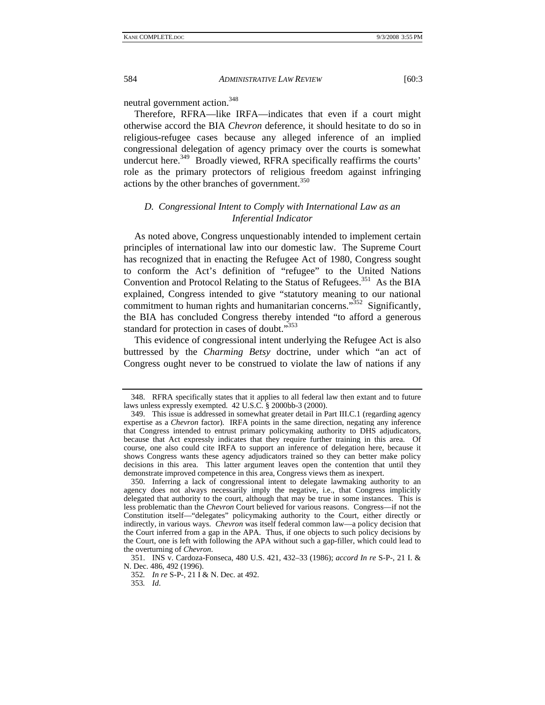neutral government action.<sup>348</sup>

Therefore, RFRA—like IRFA—indicates that even if a court might otherwise accord the BIA *Chevron* deference, it should hesitate to do so in religious-refugee cases because any alleged inference of an implied congressional delegation of agency primacy over the courts is somewhat undercut here.<sup>349</sup> Broadly viewed, RFRA specifically reaffirms the courts' role as the primary protectors of religious freedom against infringing actions by the other branches of government.<sup>350</sup>

# *D. Congressional Intent to Comply with International Law as an Inferential Indicator*

As noted above, Congress unquestionably intended to implement certain principles of international law into our domestic law. The Supreme Court has recognized that in enacting the Refugee Act of 1980, Congress sought to conform the Act's definition of "refugee" to the United Nations Convention and Protocol Relating to the Status of Refugees.<sup>351</sup> As the BIA explained, Congress intended to give "statutory meaning to our national commitment to human rights and humanitarian concerns."<sup>352</sup> Significantly, the BIA has concluded Congress thereby intended "to afford a generous standard for protection in cases of doubt."<sup>353</sup>

This evidence of congressional intent underlying the Refugee Act is also buttressed by the *Charming Betsy* doctrine, under which "an act of Congress ought never to be construed to violate the law of nations if any

352*. In re* S-P-, 21 I & N. Dec. at 492.

353*. Id*.

 <sup>348.</sup> RFRA specifically states that it applies to all federal law then extant and to future laws unless expressly exempted. 42 U.S.C. § 2000bb-3 (2000).

 <sup>349.</sup> This issue is addressed in somewhat greater detail in Part III.C.1 (regarding agency expertise as a *Chevron* factor). IRFA points in the same direction, negating any inference that Congress intended to entrust primary policymaking authority to DHS adjudicators, because that Act expressly indicates that they require further training in this area. Of course, one also could cite IRFA to support an inference of delegation here, because it shows Congress wants these agency adjudicators trained so they can better make policy decisions in this area. This latter argument leaves open the contention that until they demonstrate improved competence in this area, Congress views them as inexpert.

 <sup>350.</sup> Inferring a lack of congressional intent to delegate lawmaking authority to an agency does not always necessarily imply the negative, i.e., that Congress implicitly delegated that authority to the court, although that may be true in some instances. This is less problematic than the *Chevron* Court believed for various reasons. Congress—if not the Constitution itself—"delegates" policymaking authority to the Court, either directly or indirectly, in various ways. *Chevron* was itself federal common law—a policy decision that the Court inferred from a gap in the APA. Thus, if one objects to such policy decisions by the Court, one is left with following the APA without such a gap-filler, which could lead to the overturning of *Chevron*.

 <sup>351.</sup> INS v. Cardoza-Fonseca, 480 U.S. 421, 432–33 (1986); *accord In re* S-P-, 21 I. & N. Dec. 486, 492 (1996).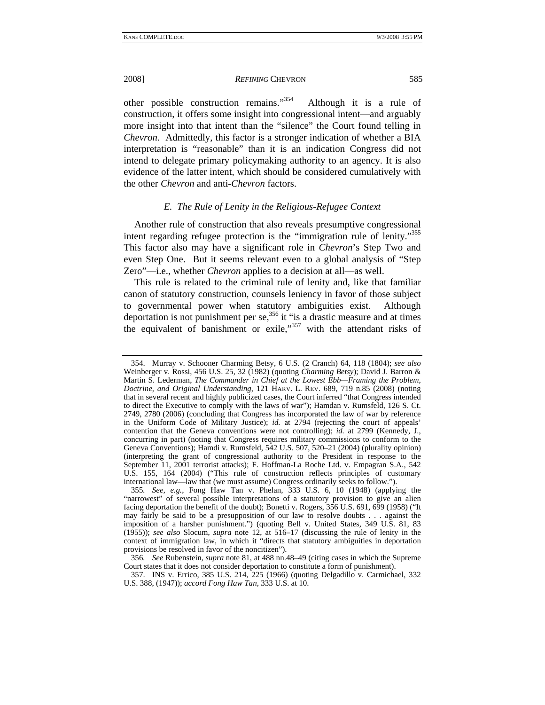2008] *REFINING* CHEVRON 585

other possible construction remains."354 Although it is a rule of construction, it offers some insight into congressional intent—and arguably more insight into that intent than the "silence" the Court found telling in *Chevron*. Admittedly, this factor is a stronger indication of whether a BIA interpretation is "reasonable" than it is an indication Congress did not intend to delegate primary policymaking authority to an agency. It is also evidence of the latter intent, which should be considered cumulatively with the other *Chevron* and anti-*Chevron* factors.

## *E. The Rule of Lenity in the Religious-Refugee Context*

Another rule of construction that also reveals presumptive congressional intent regarding refugee protection is the "immigration rule of lenity."<sup>355</sup> This factor also may have a significant role in *Chevron*'s Step Two and even Step One. But it seems relevant even to a global analysis of "Step Zero"—i.e., whether *Chevron* applies to a decision at all—as well.

This rule is related to the criminal rule of lenity and, like that familiar canon of statutory construction, counsels leniency in favor of those subject to governmental power when statutory ambiguities exist. Although deportation is not punishment per se,<sup>356</sup> it "is a drastic measure and at times the equivalent of banishment or exile,"<sup>357</sup> with the attendant risks of

 <sup>354.</sup> Murray v. Schooner Charming Betsy, 6 U.S. (2 Cranch) 64, 118 (1804); *see also* Weinberger v. Rossi, 456 U.S. 25, 32 (1982) (quoting *Charming Betsy*); David J. Barron & Martin S. Lederman, *The Commander in Chief at the Lowest Ebb—Framing the Problem, Doctrine, and Original Understanding*, 121 HARV. L. REV. 689, 719 n.85 (2008) (noting that in several recent and highly publicized cases, the Court inferred "that Congress intended to direct the Executive to comply with the laws of war"); Hamdan v. Rumsfeld, 126 S. Ct. 2749, 2780 (2006) (concluding that Congress has incorporated the law of war by reference in the Uniform Code of Military Justice); *id.* at 2794 (rejecting the court of appeals' contention that the Geneva conventions were not controlling); *id.* at 2799 (Kennedy, J., concurring in part) (noting that Congress requires military commissions to conform to the Geneva Conventions); Hamdi v. Rumsfeld, 542 U.S. 507, 520–21 (2004) (plurality opinion) (interpreting the grant of congressional authority to the President in response to the September 11, 2001 terrorist attacks); F. Hoffman-La Roche Ltd. v. Empagran S.A., 542 U.S. 155, 164 (2004) ("This rule of construction reflects principles of customary international law—law that (we must assume) Congress ordinarily seeks to follow.").

<sup>355</sup>*. See, e.g.*, Fong Haw Tan v. Phelan, 333 U.S. 6, 10 (1948) (applying the "narrowest" of several possible interpretations of a statutory provision to give an alien facing deportation the benefit of the doubt); Bonetti v. Rogers, 356 U.S. 691, 699 (1958) ("It may fairly be said to be a presupposition of our law to resolve doubts . . . against the imposition of a harsher punishment.") (quoting Bell v. United States, 349 U.S. 81, 83 (1955)); *see also* Slocum, *supra* note 12, at 516–17 (discussing the rule of lenity in the context of immigration law, in which it "directs that statutory ambiguities in deportation provisions be resolved in favor of the noncitizen").

<sup>356</sup>*. See* Rubenstein, *supra* note 81, at 488 nn.48–49 (citing cases in which the Supreme Court states that it does not consider deportation to constitute a form of punishment).

 <sup>357.</sup> INS v. Errico, 385 U.S. 214, 225 (1966) (quoting Delgadillo v. Carmichael, 332 U.S. 388, (1947)); *accord Fong Haw Tan*, 333 U.S. at 10.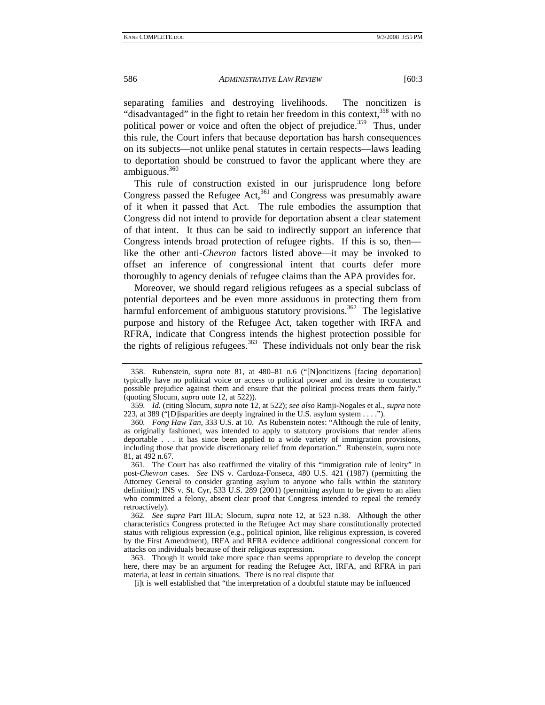separating families and destroying livelihoods. The noncitizen is "disadvantaged" in the fight to retain her freedom in this context,  $358$  with no political power or voice and often the object of prejudice.<sup>359</sup> Thus, under this rule, the Court infers that because deportation has harsh consequences on its subjects—not unlike penal statutes in certain respects—laws leading to deportation should be construed to favor the applicant where they are ambiguous. $360$ 

This rule of construction existed in our jurisprudence long before Congress passed the Refugee Act, $361$  and Congress was presumably aware of it when it passed that Act. The rule embodies the assumption that Congress did not intend to provide for deportation absent a clear statement of that intent. It thus can be said to indirectly support an inference that Congress intends broad protection of refugee rights. If this is so, then like the other anti-*Chevron* factors listed above—it may be invoked to offset an inference of congressional intent that courts defer more thoroughly to agency denials of refugee claims than the APA provides for.

Moreover, we should regard religious refugees as a special subclass of potential deportees and be even more assiduous in protecting them from harmful enforcement of ambiguous statutory provisions.<sup>362</sup> The legislative purpose and history of the Refugee Act, taken together with IRFA and RFRA, indicate that Congress intends the highest protection possible for the rights of religious refugees.<sup>363</sup> These individuals not only bear the risk

 <sup>358.</sup> Rubenstein, *supra* note 81, at 480–81 n.6 ("[N]oncitizens [facing deportation] typically have no political voice or access to political power and its desire to counteract possible prejudice against them and ensure that the political process treats them fairly." (quoting Slocum, *supra* note 12, at 522)).

<sup>359</sup>*. Id.* (citing Slocum, *supra* note 12, at 522); *see also* Ramji-Nogales et al., *supra* note 223, at 389 ("[D]isparities are deeply ingrained in the U.S. asylum system . . . .").

<sup>360</sup>*. Fong Haw Tan*, 333 U.S. at 10. As Rubenstein notes: "Although the rule of lenity, as originally fashioned, was intended to apply to statutory provisions that render aliens deportable . . . it has since been applied to a wide variety of immigration provisions, including those that provide discretionary relief from deportation." Rubenstein, *supra* note 81, at 492 n.67.

<sup>361</sup>*.* The Court has also reaffirmed the vitality of this "immigration rule of lenity" in post-*Chevron* cases. *See* INS v. Cardoza-Fonseca, 480 U.S. 421 (1987) (permitting the Attorney General to consider granting asylum to anyone who falls within the statutory definition); INS v. St. Cyr, 533 U.S. 289 (2001) (permitting asylum to be given to an alien who committed a felony, absent clear proof that Congress intended to repeal the remedy retroactively).

<sup>362</sup>*. See supra* Part III.A; Slocum, *supra* note 12, at 523 n.38. Although the other characteristics Congress protected in the Refugee Act may share constitutionally protected status with religious expression (e.g., political opinion, like religious expression, is covered by the First Amendment), IRFA and RFRA evidence additional congressional concern for attacks on individuals because of their religious expression.

 <sup>363.</sup> Though it would take more space than seems appropriate to develop the concept here, there may be an argument for reading the Refugee Act, IRFA, and RFRA in pari materia, at least in certain situations. There is no real dispute that

<sup>[</sup>i]t is well established that "the interpretation of a doubtful statute may be influenced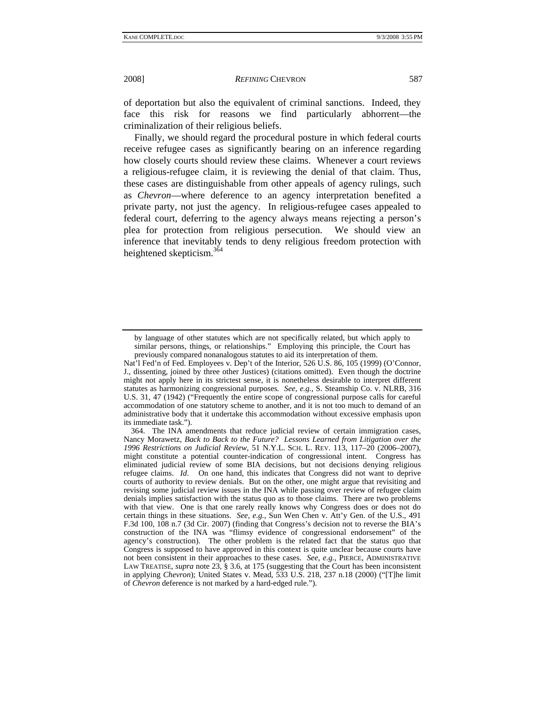of deportation but also the equivalent of criminal sanctions. Indeed, they face this risk for reasons we find particularly abhorrent—the criminalization of their religious beliefs.

Finally, we should regard the procedural posture in which federal courts receive refugee cases as significantly bearing on an inference regarding how closely courts should review these claims. Whenever a court reviews a religious-refugee claim, it is reviewing the denial of that claim. Thus, these cases are distinguishable from other appeals of agency rulings, such as *Chevron*—where deference to an agency interpretation benefited a private party, not just the agency. In religious-refugee cases appealed to federal court, deferring to the agency always means rejecting a person's plea for protection from religious persecution. We should view an inference that inevitably tends to deny religious freedom protection with heightened skepticism.<sup>364</sup>

by language of other statutes which are not specifically related, but which apply to similar persons, things, or relationships." Employing this principle, the Court has previously compared nonanalogous statutes to aid its interpretation of them.

Nat'l Fed'n of Fed. Employees v. Dep't of the Interior, 526 U.S. 86, 105 (1999) (O'Connor, J., dissenting, joined by three other Justices) (citations omitted). Even though the doctrine might not apply here in its strictest sense, it is nonetheless desirable to interpret different statutes as harmonizing congressional purposes*. See, e.g.*, S. Steamship Co. v. NLRB, 316 U.S. 31, 47 (1942) ("Frequently the entire scope of congressional purpose calls for careful accommodation of one statutory scheme to another, and it is not too much to demand of an administrative body that it undertake this accommodation without excessive emphasis upon its immediate task.").

 <sup>364.</sup> The INA amendments that reduce judicial review of certain immigration cases, Nancy Morawetz, *Back to Back to the Future? Lessons Learned from Litigation over the 1996 Restrictions on Judicial Review*, 51 N.Y.L. SCH. L. REV. 113, 117–20 (2006–2007), might constitute a potential counter-indication of congressional intent. Congress has eliminated judicial review of some BIA decisions, but not decisions denying religious refugee claims. *Id*. On one hand, this indicates that Congress did not want to deprive courts of authority to review denials. But on the other, one might argue that revisiting and revising some judicial review issues in the INA while passing over review of refugee claim denials implies satisfaction with the status quo as to those claims. There are two problems with that view. One is that one rarely really knows why Congress does or does not do certain things in these situations. *See, e.g.*, Sun Wen Chen v. Att'y Gen. of the U.S., 491 F.3d 100, 108 n.7 (3d Cir. 2007) (finding that Congress's decision not to reverse the BIA's construction of the INA was "flimsy evidence of congressional endorsement" of the agency's construction). The other problem is the related fact that the status quo that Congress is supposed to have approved in this context is quite unclear because courts have not been consistent in their approaches to these cases. *See, e.g.*, PIERCE, ADMINISTRATIVE LAW TREATISE, *supra* note 23, § 3.6, at 175 (suggesting that the Court has been inconsistent in applying *Chevron*); United States v. Mead, 533 U.S. 218, 237 n.18 (2000) ("[T]he limit of *Chevron* deference is not marked by a hard-edged rule.").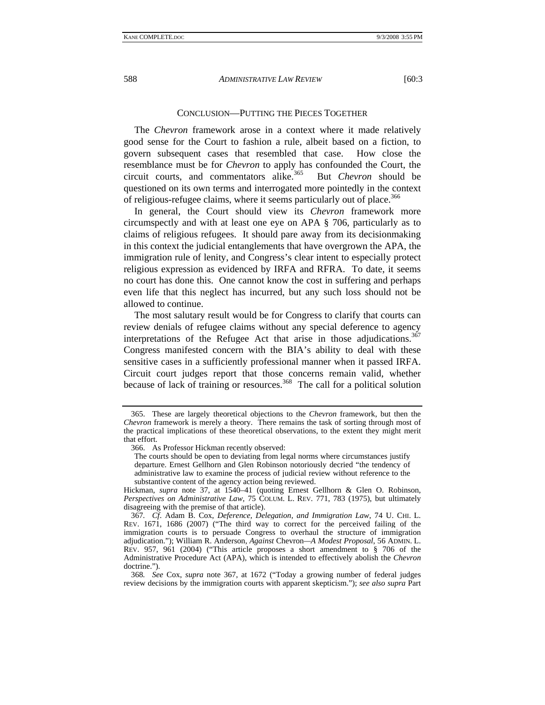## CONCLUSION—PUTTING THE PIECES TOGETHER

The *Chevron* framework arose in a context where it made relatively good sense for the Court to fashion a rule, albeit based on a fiction, to govern subsequent cases that resembled that case. How close the resemblance must be for *Chevron* to apply has confounded the Court, the circuit courts, and commentators alike.365 But *Chevron* should be questioned on its own terms and interrogated more pointedly in the context of religious-refugee claims, where it seems particularly out of place.<sup>366</sup>

In general, the Court should view its *Chevron* framework more circumspectly and with at least one eye on APA § 706, particularly as to claims of religious refugees. It should pare away from its decisionmaking in this context the judicial entanglements that have overgrown the APA, the immigration rule of lenity, and Congress's clear intent to especially protect religious expression as evidenced by IRFA and RFRA. To date, it seems no court has done this. One cannot know the cost in suffering and perhaps even life that this neglect has incurred, but any such loss should not be allowed to continue.

The most salutary result would be for Congress to clarify that courts can review denials of refugee claims without any special deference to agency interpretations of the Refugee Act that arise in those adjudications.<sup>367</sup> Congress manifested concern with the BIA's ability to deal with these sensitive cases in a sufficiently professional manner when it passed IRFA. Circuit court judges report that those concerns remain valid, whether because of lack of training or resources.<sup>368</sup> The call for a political solution

 <sup>365.</sup> These are largely theoretical objections to the *Chevron* framework, but then the *Chevron* framework is merely a theory. There remains the task of sorting through most of the practical implications of these theoretical observations, to the extent they might merit that effort.

 <sup>366.</sup> As Professor Hickman recently observed:

The courts should be open to deviating from legal norms where circumstances justify departure. Ernest Gellhorn and Glen Robinson notoriously decried "the tendency of administrative law to examine the process of judicial review without reference to the substantive content of the agency action being reviewed.

Hickman, *supra* note 37, at 1540–41 (quoting Ernest Gellhorn & Glen O. Robinson, *Perspectives on Administrative Law*, 75 COLUM. L. REV. 771, 783 (1975), but ultimately disagreeing with the premise of that article).

<sup>367</sup>*. Cf*. Adam B. Cox, *Deference, Delegation, and Immigration Law*, 74 U. CHI. L. REV. 1671, 1686 (2007) ("The third way to correct for the perceived failing of the immigration courts is to persuade Congress to overhaul the structure of immigration adjudication."); William R. Anderson, *Against* Chevron*—A Modest Proposal*, 56 ADMIN. L. REV. 957, 961 (2004) ("This article proposes a short amendment to § 706 of the Administrative Procedure Act (APA), which is intended to effectively abolish the *Chevron* doctrine.").

<sup>368</sup>*. See* Cox, *supra* note 367, at 1672 ("Today a growing number of federal judges review decisions by the immigration courts with apparent skepticism."); *see also supra* Part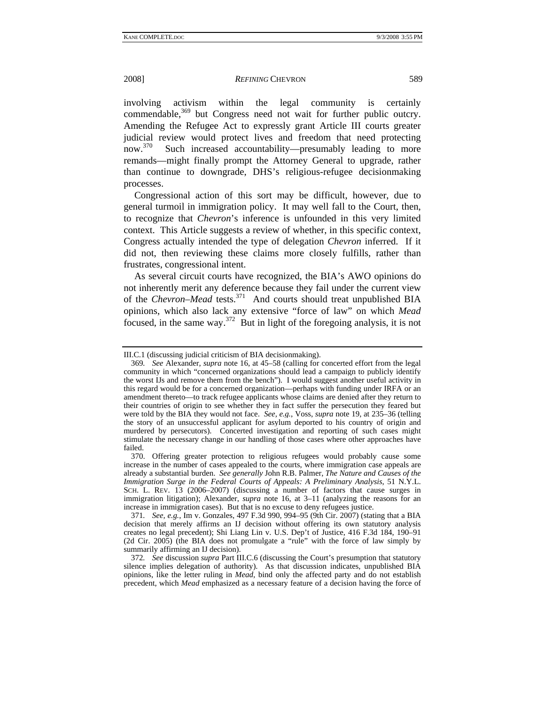involving activism within the legal community is certainly commendable,<sup>369</sup> but Congress need not wait for further public outcry. Amending the Refugee Act to expressly grant Article III courts greater judicial review would protect lives and freedom that need protecting now.<sup>370</sup> Such increased accountability—presumably leading to more remands—might finally prompt the Attorney General to upgrade, rather than continue to downgrade, DHS's religious-refugee decisionmaking processes.

Congressional action of this sort may be difficult, however, due to general turmoil in immigration policy. It may well fall to the Court, then, to recognize that *Chevron*'s inference is unfounded in this very limited context. This Article suggests a review of whether, in this specific context, Congress actually intended the type of delegation *Chevron* inferred. If it did not, then reviewing these claims more closely fulfills, rather than frustrates, congressional intent.

As several circuit courts have recognized, the BIA's AWO opinions do not inherently merit any deference because they fail under the current view of the *Chevron*–*Mead* tests.371 And courts should treat unpublished BIA opinions, which also lack any extensive "force of law" on which *Mead* focused, in the same way.372 But in light of the foregoing analysis, it is not

III.C.1 (discussing judicial criticism of BIA decisionmaking).

<sup>369</sup>*. See* Alexander, *supra* note 16, at 45–58 (calling for concerted effort from the legal community in which "concerned organizations should lead a campaign to publicly identify the worst IJs and remove them from the bench"). I would suggest another useful activity in this regard would be for a concerned organization—perhaps with funding under IRFA or an amendment thereto—to track refugee applicants whose claims are denied after they return to their countries of origin to see whether they in fact suffer the persecution they feared but were told by the BIA they would not face. *See, e.g.*, Voss, *supra* note 19, at 235–36 (telling the story of an unsuccessful applicant for asylum deported to his country of origin and murdered by persecutors). Concerted investigation and reporting of such cases might stimulate the necessary change in our handling of those cases where other approaches have failed.

 <sup>370.</sup> Offering greater protection to religious refugees would probably cause some increase in the number of cases appealed to the courts, where immigration case appeals are already a substantial burden. *See generally* John R.B. Palmer, *The Nature and Causes of the Immigration Surge in the Federal Courts of Appeals: A Preliminary Analysis*, 51 N.Y.L. SCH. L. REV. 13 (2006–2007) (discussing a number of factors that cause surges in immigration litigation); Alexander, *supra* note 16, at 3–11 (analyzing the reasons for an increase in immigration cases). But that is no excuse to deny refugees justice.

<sup>371</sup>*. See, e.g.*, Im v. Gonzales, 497 F.3d 990, 994–95 (9th Cir. 2007) (stating that a BIA decision that merely affirms an IJ decision without offering its own statutory analysis creates no legal precedent); Shi Liang Lin v. U.S. Dep't of Justice, 416 F.3d 184, 190–91 (2d Cir. 2005) (the BIA does not promulgate a "rule" with the force of law simply by summarily affirming an IJ decision).

<sup>372</sup>*. See* discussion *supra* Part III.C.6 (discussing the Court's presumption that statutory silence implies delegation of authority). As that discussion indicates, unpublished BIA opinions, like the letter ruling in *Mead*, bind only the affected party and do not establish precedent, which *Mead* emphasized as a necessary feature of a decision having the force of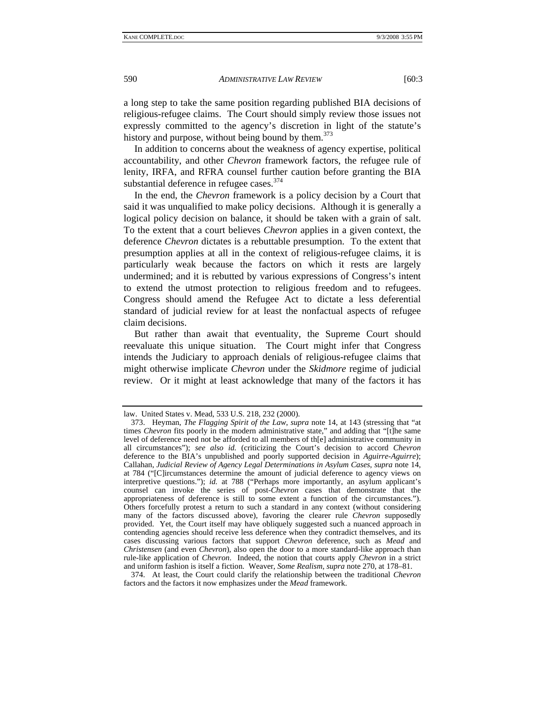a long step to take the same position regarding published BIA decisions of religious-refugee claims. The Court should simply review those issues not expressly committed to the agency's discretion in light of the statute's history and purpose, without being bound by them.<sup>373</sup>

In addition to concerns about the weakness of agency expertise, political accountability, and other *Chevron* framework factors, the refugee rule of lenity, IRFA, and RFRA counsel further caution before granting the BIA substantial deference in refugee cases. $374$ 

In the end, the *Chevron* framework is a policy decision by a Court that said it was unqualified to make policy decisions. Although it is generally a logical policy decision on balance, it should be taken with a grain of salt. To the extent that a court believes *Chevron* applies in a given context, the deference *Chevron* dictates is a rebuttable presumption. To the extent that presumption applies at all in the context of religious-refugee claims, it is particularly weak because the factors on which it rests are largely undermined; and it is rebutted by various expressions of Congress's intent to extend the utmost protection to religious freedom and to refugees. Congress should amend the Refugee Act to dictate a less deferential standard of judicial review for at least the nonfactual aspects of refugee claim decisions.

But rather than await that eventuality, the Supreme Court should reevaluate this unique situation. The Court might infer that Congress intends the Judiciary to approach denials of religious-refugee claims that might otherwise implicate *Chevron* under the *Skidmore* regime of judicial review. Or it might at least acknowledge that many of the factors it has

law. United States v. Mead*,* 533 U.S. 218, 232 (2000).

 <sup>373.</sup> Heyman, *The Flagging Spirit of the Law*, *supra* note 14, at 143 (stressing that "at times *Chevron* fits poorly in the modern administrative state," and adding that "[t]he same level of deference need not be afforded to all members of th[e] administrative community in all circumstances"); *see also id.* (criticizing the Court's decision to accord *Chevron* deference to the BIA's unpublished and poorly supported decision in *Aguirre-Aguirre*); Callahan, *Judicial Review of Agency Legal Determinations in Asylum Cases*, *supra* note 14, at 784 ("[C]ircumstances determine the amount of judicial deference to agency views on interpretive questions."); *id.* at 788 ("Perhaps more importantly, an asylum applicant's counsel can invoke the series of post-*Chevron* cases that demonstrate that the appropriateness of deference is still to some extent a function of the circumstances."). Others forcefully protest a return to such a standard in any context (without considering many of the factors discussed above), favoring the clearer rule *Chevron* supposedly provided. Yet, the Court itself may have obliquely suggested such a nuanced approach in contending agencies should receive less deference when they contradict themselves, and its cases discussing various factors that support *Chevron* deference, such as *Mead* and *Christensen* (and even *Chevron*), also open the door to a more standard-like approach than rule-like application of *Chevron*. Indeed, the notion that courts apply *Chevron* in a strict and uniform fashion is itself a fiction. Weaver, *Some Realism*, *supra* note 270, at 178–81.

 <sup>374.</sup> At least, the Court could clarify the relationship between the traditional *Chevron* factors and the factors it now emphasizes under the *Mead* framework.